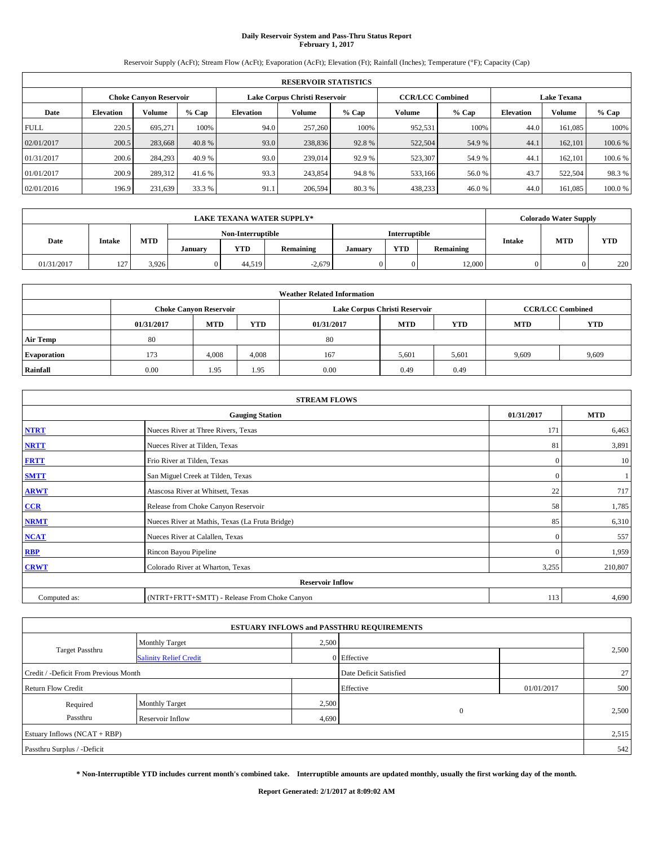# **Daily Reservoir System and Pass-Thru Status Report February 1, 2017**

Reservoir Supply (AcFt); Stream Flow (AcFt); Evaporation (AcFt); Elevation (Ft); Rainfall (Inches); Temperature (°F); Capacity (Cap)

|             | <b>RESERVOIR STATISTICS</b>   |         |         |                  |                               |         |                         |         |                    |               |         |  |
|-------------|-------------------------------|---------|---------|------------------|-------------------------------|---------|-------------------------|---------|--------------------|---------------|---------|--|
|             | <b>Choke Canyon Reservoir</b> |         |         |                  | Lake Corpus Christi Reservoir |         | <b>CCR/LCC Combined</b> |         | <b>Lake Texana</b> |               |         |  |
| Date        | <b>Elevation</b>              | Volume  | $%$ Cap | <b>Elevation</b> | Volume                        | $%$ Cap | Volume                  | $%$ Cap | <b>Elevation</b>   | <b>Volume</b> | % Cap   |  |
| <b>FULL</b> | 220.5                         | 695.271 | 100%    | 94.0             | 257,260                       | 100%    | 952,531                 | 100%    | 44.0               | 161,085       | 100%    |  |
| 02/01/2017  | 200.5                         | 283,668 | 40.8 %  | 93.0             | 238,836                       | 92.8%   | 522,504                 | 54.9%   | 44.1               | 162,101       | 100.6 % |  |
| 01/31/2017  | 200.6                         | 284,293 | 40.9%   | 93.0             | 239,014                       | 92.9 %  | 523,307                 | 54.9 %  | 44.1               | 162,101       | 100.6 % |  |
| 01/01/2017  | 200.9                         | 289,312 | 41.6 %  | 93.3             | 243,854                       | 94.8%   | 533,166                 | 56.0%   | 43.7               | 522,504       | 98.3%   |  |
| 02/01/2016  | 196.9                         | 231,639 | 33.3 %  | 91.1             | 206,594                       | 80.3%   | 438,233                 | 46.0%   | 44.0               | 161,085       | 100.0%  |  |

|            | <b>LAKE TEXANA WATER SUPPLY*</b> |            |         |                   |                  |         |               |           |               |            | <b>Colorado Water Supply</b> |
|------------|----------------------------------|------------|---------|-------------------|------------------|---------|---------------|-----------|---------------|------------|------------------------------|
|            |                                  |            |         | Non-Interruptible |                  |         | Interruptible |           |               |            |                              |
| Date       | Intake                           | <b>MTD</b> | January | <b>YTD</b>        | <b>Remaining</b> | January | YTD           | Remaining | <b>Intake</b> | <b>MTD</b> | <b>YTD</b>                   |
| 01/31/2017 | 127                              | 3,926      |         | 44.519            | $-2.679$         |         |               | 12,000    |               |            | 220                          |

| <b>Weather Related Information</b> |                                                                                                |                               |       |      |                               |                         |       |            |  |  |  |
|------------------------------------|------------------------------------------------------------------------------------------------|-------------------------------|-------|------|-------------------------------|-------------------------|-------|------------|--|--|--|
|                                    |                                                                                                | <b>Choke Canyon Reservoir</b> |       |      | Lake Corpus Christi Reservoir | <b>CCR/LCC Combined</b> |       |            |  |  |  |
|                                    | <b>MTD</b><br><b>YTD</b><br><b>YTD</b><br><b>MTD</b><br><b>MTD</b><br>01/31/2017<br>01/31/2017 |                               |       |      |                               |                         |       | <b>YTD</b> |  |  |  |
| <b>Air Temp</b>                    | 80                                                                                             |                               |       | 80   |                               |                         |       |            |  |  |  |
| <b>Evaporation</b>                 | 173                                                                                            | 4,008                         | 4,008 | 167  | 5,601                         | 5,601                   | 9,609 | 9,609      |  |  |  |
| <b>Rainfall</b>                    | 0.00                                                                                           | 1.95                          | 1.95  | 0.00 | 0.49                          | 0.49                    |       |            |  |  |  |

| <b>STREAM FLOWS</b> |                                                 |              |            |  |  |  |  |  |  |
|---------------------|-------------------------------------------------|--------------|------------|--|--|--|--|--|--|
|                     | <b>Gauging Station</b>                          | 01/31/2017   | <b>MTD</b> |  |  |  |  |  |  |
| <b>NTRT</b>         | Nueces River at Three Rivers, Texas             | 171          | 6,463      |  |  |  |  |  |  |
| <b>NRTT</b>         | Nueces River at Tilden, Texas                   | 81           | 3,891      |  |  |  |  |  |  |
| <b>FRTT</b>         | Frio River at Tilden, Texas                     | $\mathbf{0}$ | 10         |  |  |  |  |  |  |
| <b>SMTT</b>         | San Miguel Creek at Tilden, Texas               | $\mathbf{0}$ |            |  |  |  |  |  |  |
| <b>ARWT</b>         | Atascosa River at Whitsett, Texas               | 22           | 717        |  |  |  |  |  |  |
| CCR                 | Release from Choke Canyon Reservoir             | 58           | 1,785      |  |  |  |  |  |  |
| <b>NRMT</b>         | Nueces River at Mathis, Texas (La Fruta Bridge) | 85           | 6,310      |  |  |  |  |  |  |
| <b>NCAT</b>         | Nueces River at Calallen, Texas                 | $\mathbf{0}$ | 557        |  |  |  |  |  |  |
| <b>RBP</b>          | Rincon Bayou Pipeline                           | $\Omega$     | 1,959      |  |  |  |  |  |  |
| <b>CRWT</b>         | Colorado River at Wharton, Texas                | 3,255        | 210,807    |  |  |  |  |  |  |
|                     | <b>Reservoir Inflow</b>                         |              |            |  |  |  |  |  |  |
| Computed as:        | (NTRT+FRTT+SMTT) - Release From Choke Canyon    |              |            |  |  |  |  |  |  |

| <b>ESTUARY INFLOWS and PASSTHRU REQUIREMENTS</b> |                               |                        |                |            |       |  |  |  |  |  |
|--------------------------------------------------|-------------------------------|------------------------|----------------|------------|-------|--|--|--|--|--|
|                                                  | <b>Monthly Target</b>         | 2,500                  |                |            |       |  |  |  |  |  |
| <b>Target Passthru</b>                           | <b>Salinity Relief Credit</b> |                        | 0 Effective    |            | 2,500 |  |  |  |  |  |
| Credit / -Deficit From Previous Month            |                               | Date Deficit Satisfied |                | 27         |       |  |  |  |  |  |
| <b>Return Flow Credit</b>                        |                               |                        | Effective      | 01/01/2017 | 500   |  |  |  |  |  |
| Required                                         | <b>Monthly Target</b>         | 2,500                  |                |            |       |  |  |  |  |  |
| Passthru                                         | Reservoir Inflow              | 4,690                  | $\overline{0}$ |            | 2,500 |  |  |  |  |  |
| Estuary Inflows (NCAT + RBP)                     |                               |                        |                |            | 2,515 |  |  |  |  |  |
| Passthru Surplus / -Deficit                      |                               |                        |                |            |       |  |  |  |  |  |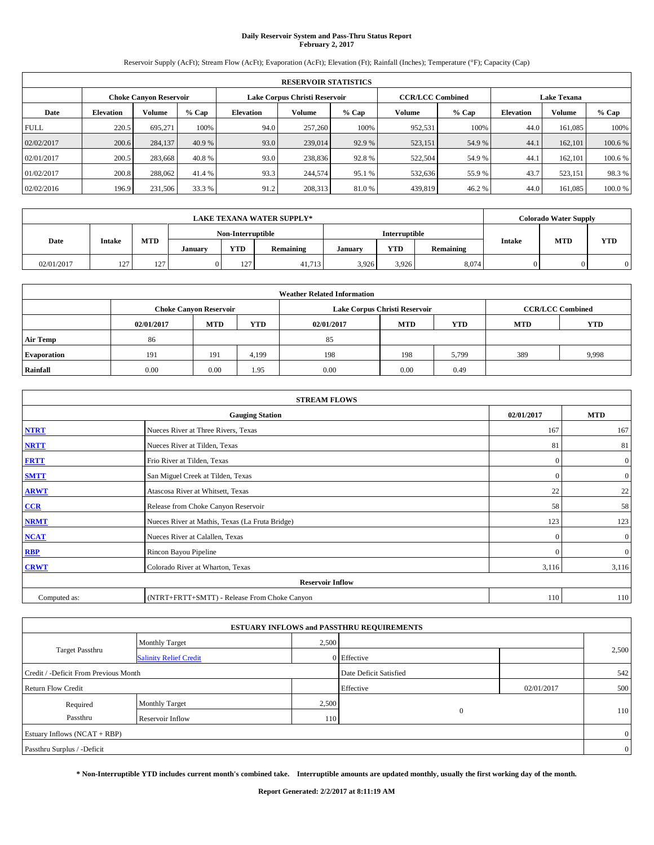# **Daily Reservoir System and Pass-Thru Status Report February 2, 2017**

Reservoir Supply (AcFt); Stream Flow (AcFt); Evaporation (AcFt); Elevation (Ft); Rainfall (Inches); Temperature (°F); Capacity (Cap)

|             | <b>RESERVOIR STATISTICS</b>   |         |         |           |                               |         |                         |         |                  |                    |        |  |
|-------------|-------------------------------|---------|---------|-----------|-------------------------------|---------|-------------------------|---------|------------------|--------------------|--------|--|
|             | <b>Choke Canyon Reservoir</b> |         |         |           | Lake Corpus Christi Reservoir |         | <b>CCR/LCC Combined</b> |         |                  | <b>Lake Texana</b> |        |  |
| Date        | <b>Elevation</b>              | Volume  | $%$ Cap | Elevation | Volume                        | $%$ Cap | Volume                  | $%$ Cap | <b>Elevation</b> | <b>Volume</b>      | % Cap  |  |
| <b>FULL</b> | 220.5                         | 695.271 | 100%    | 94.0      | 257,260                       | 100%    | 952,531                 | 100%    | 44.0             | 161.085            | 100%   |  |
| 02/02/2017  | 200.6                         | 284,137 | 40.9 %  | 93.0      | 239,014                       | 92.9 %  | 523,151                 | 54.9 %  | 44.1             | 162,101            | 100.6% |  |
| 02/01/2017  | 200.5                         | 283,668 | 40.8 %  | 93.0      | 238,836                       | 92.8%   | 522,504                 | 54.9 %  | 44.1             | 162,101            | 100.6% |  |
| 01/02/2017  | 200.8                         | 288,062 | 41.4 %  | 93.3      | 244,574                       | 95.1 %  | 532,636                 | 55.9%   | 43.7             | 523,151            | 98.3%  |  |
| 02/02/2016  | 196.9                         | 231,506 | 33.3 %  | 91.2      | 208,313                       | 81.0%   | 439,819                 | 46.2%   | 44.0             | 161,085            | 100.0% |  |

|            | <b>LAKE TEXANA WATER SUPPLY*</b> |                   |         |                   |           |                      |            |           |               | <b>Colorado Water Supply</b> |            |
|------------|----------------------------------|-------------------|---------|-------------------|-----------|----------------------|------------|-----------|---------------|------------------------------|------------|
|            |                                  |                   |         | Non-Interruptible |           | <b>Interruptible</b> |            |           |               |                              |            |
| Date       | <b>Intake</b>                    | <b>MTD</b>        | January | <b>YTD</b>        | Remaining | January              | <b>YTD</b> | Remaining | <b>Intake</b> | <b>MTD</b>                   | <b>YTD</b> |
| 02/01/2017 | 127                              | 127<br>$1 \leq l$ | 0       | 127               | 41.713    | 3.926                | 3.926      | 8.074     |               |                              | 0          |

| <b>Weather Related Information</b> |            |                                                                                  |       |      |                               |                         |     |            |  |  |  |
|------------------------------------|------------|----------------------------------------------------------------------------------|-------|------|-------------------------------|-------------------------|-----|------------|--|--|--|
|                                    |            | <b>Choke Canyon Reservoir</b>                                                    |       |      | Lake Corpus Christi Reservoir | <b>CCR/LCC Combined</b> |     |            |  |  |  |
|                                    | 02/01/2017 | <b>MTD</b><br><b>YTD</b><br><b>YTD</b><br><b>MTD</b><br><b>MTD</b><br>02/01/2017 |       |      |                               |                         |     | <b>YTD</b> |  |  |  |
| <b>Air Temp</b>                    | 86         |                                                                                  |       | 85   |                               |                         |     |            |  |  |  |
| <b>Evaporation</b>                 | 191        | 191                                                                              | 4,199 | 198  | 198                           | 5,799                   | 389 | 9,998      |  |  |  |
| Rainfall                           | 0.00       | 0.00                                                                             | 1.95  | 0.00 | 0.00                          | 0.49                    |     |            |  |  |  |

| <b>STREAM FLOWS</b> |                                                 |            |                |  |  |  |  |  |  |
|---------------------|-------------------------------------------------|------------|----------------|--|--|--|--|--|--|
|                     | <b>Gauging Station</b>                          | 02/01/2017 | <b>MTD</b>     |  |  |  |  |  |  |
| <b>NTRT</b>         | Nueces River at Three Rivers, Texas             | 167        | 167            |  |  |  |  |  |  |
| <b>NRTT</b>         | Nueces River at Tilden, Texas                   | 81         | 81             |  |  |  |  |  |  |
| <b>FRTT</b>         | Frio River at Tilden, Texas                     | $\Omega$   | $\mathbf{0}$   |  |  |  |  |  |  |
| <b>SMTT</b>         | San Miguel Creek at Tilden, Texas               | $\Omega$   | $\overline{0}$ |  |  |  |  |  |  |
| <b>ARWT</b>         | Atascosa River at Whitsett, Texas               | 22         | 22             |  |  |  |  |  |  |
| CCR                 | Release from Choke Canyon Reservoir             | 58         | 58             |  |  |  |  |  |  |
| <b>NRMT</b>         | Nueces River at Mathis, Texas (La Fruta Bridge) | 123        | 123            |  |  |  |  |  |  |
| <b>NCAT</b>         | Nueces River at Calallen, Texas                 | $\Omega$   | $\mathbf{0}$   |  |  |  |  |  |  |
| <b>RBP</b>          | Rincon Bayou Pipeline                           | $\Omega$   | $\overline{0}$ |  |  |  |  |  |  |
| <b>CRWT</b>         | Colorado River at Wharton, Texas                | 3,116      | 3,116          |  |  |  |  |  |  |
|                     | <b>Reservoir Inflow</b>                         |            |                |  |  |  |  |  |  |
| Computed as:        | (NTRT+FRTT+SMTT) - Release From Choke Canyon    |            |                |  |  |  |  |  |  |

| <b>ESTUARY INFLOWS and PASSTHRU REQUIREMENTS</b> |                               |       |                        |            |       |  |  |  |  |  |
|--------------------------------------------------|-------------------------------|-------|------------------------|------------|-------|--|--|--|--|--|
|                                                  | Monthly Target                | 2,500 |                        |            |       |  |  |  |  |  |
| <b>Target Passthru</b>                           | <b>Salinity Relief Credit</b> |       | 0 Effective            |            | 2,500 |  |  |  |  |  |
| Credit / -Deficit From Previous Month            |                               |       | Date Deficit Satisfied |            | 542   |  |  |  |  |  |
| <b>Return Flow Credit</b>                        |                               |       | Effective              | 02/01/2017 | 500   |  |  |  |  |  |
| Required                                         | Monthly Target                | 2,500 |                        |            |       |  |  |  |  |  |
| Passthru                                         | Reservoir Inflow              | 110   | $\mathbf{0}$           |            | 110   |  |  |  |  |  |
| Estuary Inflows (NCAT + RBP)                     |                               |       |                        |            |       |  |  |  |  |  |
| Passthru Surplus / -Deficit                      |                               |       |                        |            |       |  |  |  |  |  |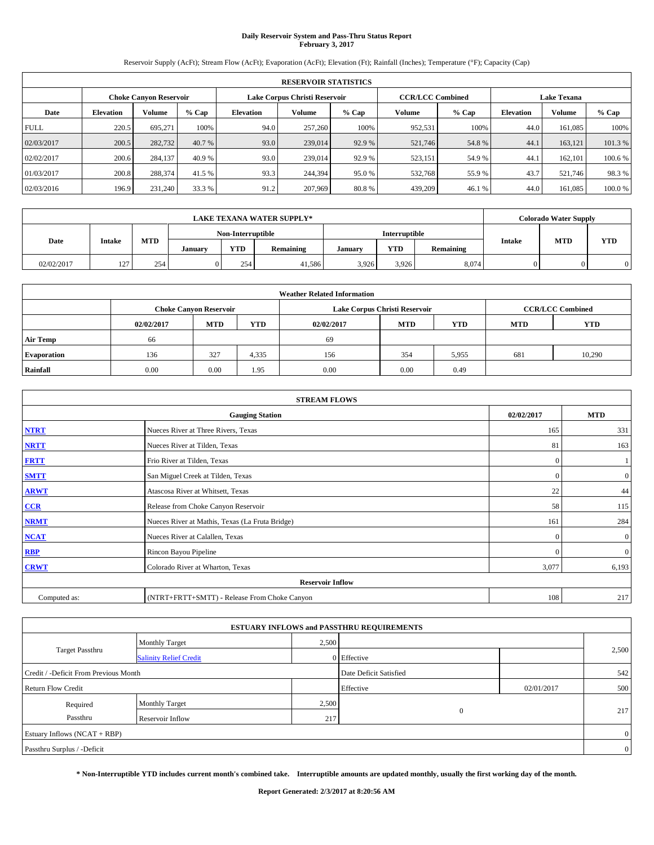# **Daily Reservoir System and Pass-Thru Status Report February 3, 2017**

Reservoir Supply (AcFt); Stream Flow (AcFt); Evaporation (AcFt); Elevation (Ft); Rainfall (Inches); Temperature (°F); Capacity (Cap)

|             | <b>RESERVOIR STATISTICS</b> |         |         |                  |                               |         |                         |         |                  |                    |         |  |
|-------------|-----------------------------|---------|---------|------------------|-------------------------------|---------|-------------------------|---------|------------------|--------------------|---------|--|
|             | Choke Canvon Reservoir      |         |         |                  | Lake Corpus Christi Reservoir |         | <b>CCR/LCC Combined</b> |         |                  | <b>Lake Texana</b> |         |  |
| Date        | <b>Elevation</b>            | Volume  | $%$ Cap | <b>Elevation</b> | Volume                        | $%$ Cap | <b>Volume</b>           | $%$ Cap | <b>Elevation</b> | <b>Volume</b>      | % Cap   |  |
| <b>FULL</b> | 220.5                       | 695.271 | 100%    | 94.0             | 257,260                       | 100%    | 952,531                 | 100%    | 44.0             | 161.085            | 100%    |  |
| 02/03/2017  | 200.5                       | 282,732 | 40.7 %  | 93.0             | 239,014                       | 92.9 %  | 521,746                 | 54.8%   | 44.1             | 163,121            | 101.3%  |  |
| 02/02/2017  | 200.6                       | 284,137 | 40.9 %  | 93.0             | 239,014                       | 92.9 %  | 523,151                 | 54.9 %  | 44.              | 162,101            | 100.6 % |  |
| 01/03/2017  | 200.8                       | 288,374 | 41.5 %  | 93.3             | 244,394                       | 95.0 %  | 532,768                 | 55.9%   | 43.7             | 521,746            | 98.3%   |  |
| 02/03/2016  | 196.9                       | 231,240 | 33.3 %  | 91.2             | 207,969                       | 80.8%   | 439,209                 | 46.1%   | 44.0             | 161.085            | 100.0%  |  |

|            | <b>LAKE TEXANA WATER SUPPLY*</b> |            |         |                   |           |         |                      |           |               | Colorado Water Supply |            |
|------------|----------------------------------|------------|---------|-------------------|-----------|---------|----------------------|-----------|---------------|-----------------------|------------|
|            |                                  |            |         | Non-Interruptible |           |         | <b>Interruptible</b> |           |               |                       |            |
| Date       | <b>Intake</b>                    | <b>MTD</b> | January | <b>YTD</b>        | Remaining | Januarv | <b>YTD</b>           | Remaining | <b>Intake</b> | <b>MTD</b>            | <b>YTD</b> |
| 02/02/2017 | 127                              | 254        | 0       | 254               | 41.586    | 3,926   | 3,926                | 8,074     |               |                       |            |

| <b>Weather Related Information</b> |            |                               |       |            |                               |                         |     |        |  |
|------------------------------------|------------|-------------------------------|-------|------------|-------------------------------|-------------------------|-----|--------|--|
|                                    |            | <b>Choke Canyon Reservoir</b> |       |            | Lake Corpus Christi Reservoir | <b>CCR/LCC Combined</b> |     |        |  |
|                                    | 02/02/2017 | <b>MTD</b>                    | YTD   | 02/02/2017 | <b>YTD</b>                    |                         |     |        |  |
| Air Temp                           | 66         |                               |       | 69         |                               |                         |     |        |  |
| <b>Evaporation</b>                 | 136        | 327                           | 4,335 | 156        | 354                           | 5,955                   | 681 | 10,290 |  |
| Rainfall                           | 0.00       | 0.00                          | 1.95  | 0.00       | 0.00                          | 0.49                    |     |        |  |

| <b>STREAM FLOWS</b> |                                                 |            |                |  |  |  |  |  |  |
|---------------------|-------------------------------------------------|------------|----------------|--|--|--|--|--|--|
|                     | 02/02/2017                                      | <b>MTD</b> |                |  |  |  |  |  |  |
| <b>NTRT</b>         | Nueces River at Three Rivers, Texas             | 165        | 331            |  |  |  |  |  |  |
| <b>NRTT</b>         | Nueces River at Tilden, Texas                   | 81         | 163            |  |  |  |  |  |  |
| <b>FRTT</b>         | Frio River at Tilden, Texas                     | $\theta$   |                |  |  |  |  |  |  |
| <b>SMTT</b>         | San Miguel Creek at Tilden, Texas               | $\Omega$   | $\overline{0}$ |  |  |  |  |  |  |
| <b>ARWT</b>         | Atascosa River at Whitsett, Texas               | 22         | 44             |  |  |  |  |  |  |
| CCR                 | Release from Choke Canyon Reservoir             | 58         | 115            |  |  |  |  |  |  |
| <b>NRMT</b>         | Nueces River at Mathis, Texas (La Fruta Bridge) | 161        | 284            |  |  |  |  |  |  |
| <b>NCAT</b>         | Nueces River at Calallen, Texas                 | $\Omega$   | $\overline{0}$ |  |  |  |  |  |  |
| RBP                 | Rincon Bayou Pipeline                           | $\Omega$   | $\overline{0}$ |  |  |  |  |  |  |
| <b>CRWT</b>         | Colorado River at Wharton, Texas                | 3,077      | 6,193          |  |  |  |  |  |  |
|                     | <b>Reservoir Inflow</b>                         |            |                |  |  |  |  |  |  |
| Computed as:        | (NTRT+FRTT+SMTT) - Release From Choke Canyon    | 108        | 217            |  |  |  |  |  |  |

|                                       |                               |       | <b>ESTUARY INFLOWS and PASSTHRU REQUIREMENTS</b> |            |       |  |  |  |
|---------------------------------------|-------------------------------|-------|--------------------------------------------------|------------|-------|--|--|--|
|                                       | Monthly Target                | 2,500 |                                                  |            |       |  |  |  |
| Target Passthru                       | <b>Salinity Relief Credit</b> |       | 0 Effective                                      |            | 2,500 |  |  |  |
| Credit / -Deficit From Previous Month |                               |       | Date Deficit Satisfied                           |            | 542   |  |  |  |
| <b>Return Flow Credit</b>             |                               |       | Effective                                        | 02/01/2017 | 500   |  |  |  |
| Required                              | <b>Monthly Target</b>         | 2,500 |                                                  |            |       |  |  |  |
| Passthru                              | Reservoir Inflow              | 217   | $\overline{0}$                                   |            | 217   |  |  |  |
| Estuary Inflows (NCAT + RBP)          |                               |       |                                                  |            |       |  |  |  |
| Passthru Surplus / -Deficit           |                               |       |                                                  |            |       |  |  |  |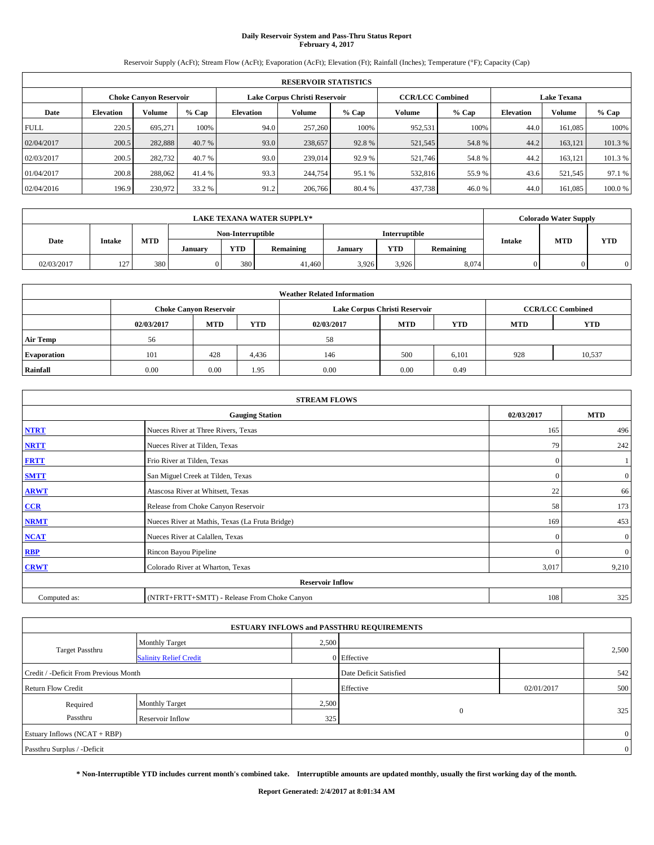# **Daily Reservoir System and Pass-Thru Status Report February 4, 2017**

Reservoir Supply (AcFt); Stream Flow (AcFt); Evaporation (AcFt); Elevation (Ft); Rainfall (Inches); Temperature (°F); Capacity (Cap)

| <b>RESERVOIR STATISTICS</b> |                  |                        |         |                  |                               |         |               |                         |                  |                    |         |  |
|-----------------------------|------------------|------------------------|---------|------------------|-------------------------------|---------|---------------|-------------------------|------------------|--------------------|---------|--|
|                             |                  | Choke Canvon Reservoir |         |                  | Lake Corpus Christi Reservoir |         |               | <b>CCR/LCC Combined</b> |                  | <b>Lake Texana</b> |         |  |
| Date                        | <b>Elevation</b> | Volume                 | $%$ Cap | <b>Elevation</b> | Volume                        | $%$ Cap | <b>Volume</b> | $%$ Cap                 | <b>Elevation</b> | <b>Volume</b>      | % Cap   |  |
| <b>FULL</b>                 | 220.5            | 695.271                | 100%    | 94.0             | 257,260                       | 100%    | 952,531       | 100%                    | 44.0             | 161.085            | 100%    |  |
| 02/04/2017                  | 200.5            | 282,888                | 40.7 %  | 93.0             | 238,657                       | 92.8%   | 521,545       | 54.8%                   | 44.2             | 163,121            | 101.3%  |  |
| 02/03/2017                  | 200.5            | 282,732                | 40.7 %  | 93.0             | 239,014                       | 92.9 %  | 521,746       | 54.8%                   | 44.2             | 163,121            | 101.3 % |  |
| 01/04/2017                  | 200.8            | 288,062                | 41.4 %  | 93.3             | 244,754                       | 95.1 %  | 532,816       | 55.9 %                  | 43.6             | 521,545            | 97.1 %  |  |
| 02/04/2016                  | 196.9            | 230,972                | 33.2 %  | 91.2             | 206,766                       | 80.4 %  | 437,738       | 46.0%                   | 44.0             | 161.085            | 100.0%  |  |

| <b>LAKE TEXANA WATER SUPPLY*</b> |               |            |         |                   |           |         |                      |           |               | Colorado Water Supply |            |
|----------------------------------|---------------|------------|---------|-------------------|-----------|---------|----------------------|-----------|---------------|-----------------------|------------|
|                                  |               |            |         | Non-Interruptible |           |         | <b>Interruptible</b> |           |               |                       |            |
| Date                             | <b>Intake</b> | <b>MTD</b> | January | <b>YTD</b>        | Remaining | Januarv | <b>YTD</b>           | Remaining | <b>Intake</b> | <b>MTD</b>            | <b>YTD</b> |
| 02/03/2017                       | 127           | 380        |         | 380               | 41,460    | 3.926   | 3.926                | 8.074     |               |                       | 0          |

| <b>Weather Related Information</b> |            |                               |       |                                                      |                               |                         |     |        |  |  |
|------------------------------------|------------|-------------------------------|-------|------------------------------------------------------|-------------------------------|-------------------------|-----|--------|--|--|
|                                    |            | <b>Choke Canyon Reservoir</b> |       |                                                      | Lake Corpus Christi Reservoir | <b>CCR/LCC Combined</b> |     |        |  |  |
|                                    | 02/03/2017 | <b>MTD</b>                    | YTD   | <b>MTD</b><br><b>YTD</b><br><b>MTD</b><br>02/03/2017 |                               |                         |     |        |  |  |
| <b>Air Temp</b>                    | 56         |                               |       | 58                                                   |                               |                         |     |        |  |  |
| <b>Evaporation</b>                 | 101        | 428                           | 4,436 | 146                                                  | 500                           | 6,101                   | 928 | 10,537 |  |  |
| Rainfall                           | 0.00       | 0.00                          | 1.95  | 0.00                                                 | 0.00                          | 0.49                    |     |        |  |  |

| <b>STREAM FLOWS</b> |                                                 |            |                |  |  |  |  |  |  |
|---------------------|-------------------------------------------------|------------|----------------|--|--|--|--|--|--|
|                     | 02/03/2017                                      | <b>MTD</b> |                |  |  |  |  |  |  |
| <b>NTRT</b>         | Nueces River at Three Rivers, Texas             | 165        | 496            |  |  |  |  |  |  |
| <b>NRTT</b>         | Nueces River at Tilden, Texas                   | 79         | 242            |  |  |  |  |  |  |
| <b>FRTT</b>         | Frio River at Tilden, Texas                     | $\theta$   |                |  |  |  |  |  |  |
| <b>SMTT</b>         | San Miguel Creek at Tilden, Texas               | $\Omega$   | $\overline{0}$ |  |  |  |  |  |  |
| <b>ARWT</b>         | Atascosa River at Whitsett, Texas               | 22         | 66             |  |  |  |  |  |  |
| CCR                 | Release from Choke Canyon Reservoir             | 58         | 173            |  |  |  |  |  |  |
| <b>NRMT</b>         | Nueces River at Mathis, Texas (La Fruta Bridge) | 169        | 453            |  |  |  |  |  |  |
| <b>NCAT</b>         | Nueces River at Calallen, Texas                 | $\Omega$   | $\overline{0}$ |  |  |  |  |  |  |
| RBP                 | Rincon Bayou Pipeline                           | $\Omega$   | $\overline{0}$ |  |  |  |  |  |  |
| <b>CRWT</b>         | Colorado River at Wharton, Texas                | 3,017      | 9,210          |  |  |  |  |  |  |
|                     | <b>Reservoir Inflow</b>                         |            |                |  |  |  |  |  |  |
| Computed as:        | (NTRT+FRTT+SMTT) - Release From Choke Canyon    | 108        | 325            |  |  |  |  |  |  |

|                                       |                               |       | <b>ESTUARY INFLOWS and PASSTHRU REQUIREMENTS</b> |            |                |
|---------------------------------------|-------------------------------|-------|--------------------------------------------------|------------|----------------|
|                                       | <b>Monthly Target</b>         | 2,500 |                                                  |            |                |
| <b>Target Passthru</b>                | <b>Salinity Relief Credit</b> |       | 0 Effective                                      |            | 2,500          |
| Credit / -Deficit From Previous Month |                               |       | Date Deficit Satisfied                           |            | 542            |
| <b>Return Flow Credit</b>             |                               |       | Effective                                        | 02/01/2017 | 500            |
| Required                              | <b>Monthly Target</b>         | 2,500 |                                                  |            |                |
| Passthru                              | Reservoir Inflow              | 325   | $\mathbf{0}$                                     |            | 325            |
| Estuary Inflows (NCAT + RBP)          |                               |       |                                                  |            | $\overline{0}$ |
| Passthru Surplus / -Deficit           |                               |       |                                                  |            | $\overline{0}$ |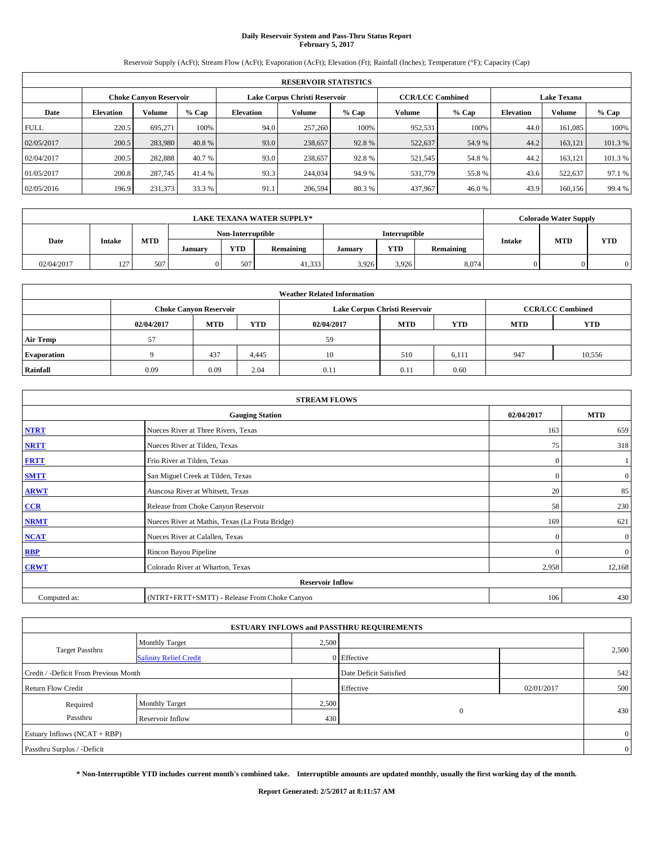# **Daily Reservoir System and Pass-Thru Status Report February 5, 2017**

Reservoir Supply (AcFt); Stream Flow (AcFt); Evaporation (AcFt); Elevation (Ft); Rainfall (Inches); Temperature (°F); Capacity (Cap)

| <b>RESERVOIR STATISTICS</b> |                  |                        |         |                  |                               |         |               |                         |                  |                    |         |
|-----------------------------|------------------|------------------------|---------|------------------|-------------------------------|---------|---------------|-------------------------|------------------|--------------------|---------|
|                             |                  | Choke Canvon Reservoir |         |                  | Lake Corpus Christi Reservoir |         |               | <b>CCR/LCC Combined</b> |                  | <b>Lake Texana</b> |         |
| Date                        | <b>Elevation</b> | Volume                 | $%$ Cap | <b>Elevation</b> | Volume                        | $%$ Cap | <b>Volume</b> | $%$ Cap                 | <b>Elevation</b> | <b>Volume</b>      | % Cap   |
| <b>FULL</b>                 | 220.5            | 695.271                | 100%    | 94.0             | 257,260                       | 100%    | 952,531       | 100%                    | 44.0             | 161.085            | 100%    |
| 02/05/2017                  | 200.5            | 283,980                | 40.8%   | 93.0             | 238,657                       | 92.8%   | 522,637       | 54.9%                   | 44.2             | 163,121            | 101.3%  |
| 02/04/2017                  | 200.5            | 282,888                | 40.7 %  | 93.0             | 238,657                       | 92.8%   | 521,545       | 54.8%                   | 44.2             | 163,121            | 101.3 % |
| 01/05/2017                  | 200.8            | 287,745                | 41.4 %  | 93.3             | 244,034                       | 94.9 %  | 531,779       | 55.8%                   | 43.6             | 522,637            | 97.1 %  |
| 02/05/2016                  | 196.9            | 231,373                | 33.3 %  | 91.1             | 206,594                       | 80.3%   | 437,967       | 46.0%                   | 43.9             | 160,156            | 99.4 %  |

| <b>LAKE TEXANA WATER SUPPLY*</b> |               |            |         |                   |           |                      |            |           |               | <b>Colorado Water Supply</b> |            |
|----------------------------------|---------------|------------|---------|-------------------|-----------|----------------------|------------|-----------|---------------|------------------------------|------------|
|                                  |               |            |         | Non-Interruptible |           | <b>Interruptible</b> |            |           |               |                              |            |
| Date                             | <b>Intake</b> | <b>MTD</b> | January | <b>YTD</b>        | Remaining | Januarv              | <b>YTD</b> | Remaining | <b>Intake</b> | <b>MTD</b>                   | <b>YTD</b> |
| 02/04/2017                       | 127           | 507        |         | 507               | 41,333    | 3.926                | 3.926      | 8.074     |               |                              | 0          |

| <b>Weather Related Information</b> |                   |                               |            |            |                               |                         |     |        |  |
|------------------------------------|-------------------|-------------------------------|------------|------------|-------------------------------|-------------------------|-----|--------|--|
|                                    |                   | <b>Choke Canyon Reservoir</b> |            |            | Lake Corpus Christi Reservoir | <b>CCR/LCC Combined</b> |     |        |  |
|                                    | 02/04/2017        | MTD                           | <b>YTD</b> | 02/04/2017 | <b>YTD</b>                    |                         |     |        |  |
| <b>Air Temp</b>                    | 57                |                               |            | 59         |                               |                         |     |        |  |
| <b>Evaporation</b>                 | $\mathbf{\Omega}$ | 437                           | 4,445      | 10         | 510                           | 6,111                   | 947 | 10,556 |  |
| <b>Rainfall</b>                    | 0.09              | 0.09                          | 2.04       | 0.11       | 0.11                          | 0.60                    |     |        |  |

| <b>STREAM FLOWS</b> |                                                 |              |                  |  |  |  |  |  |  |
|---------------------|-------------------------------------------------|--------------|------------------|--|--|--|--|--|--|
|                     | 02/04/2017                                      | <b>MTD</b>   |                  |  |  |  |  |  |  |
| <b>NTRT</b>         | Nueces River at Three Rivers, Texas             | 163          | 659              |  |  |  |  |  |  |
| <b>NRTT</b>         | Nueces River at Tilden, Texas                   | 75           | 318              |  |  |  |  |  |  |
| <b>FRTT</b>         | Frio River at Tilden, Texas                     | $\mathbf{0}$ |                  |  |  |  |  |  |  |
| <b>SMTT</b>         | San Miguel Creek at Tilden, Texas               | $\mathbf{0}$ | $\overline{0}$   |  |  |  |  |  |  |
| <b>ARWT</b>         | Atascosa River at Whitsett, Texas               | 20           | 85               |  |  |  |  |  |  |
| CCR                 | Release from Choke Canyon Reservoir             | 58           | 230              |  |  |  |  |  |  |
| <b>NRMT</b>         | Nueces River at Mathis, Texas (La Fruta Bridge) | 169          | 621              |  |  |  |  |  |  |
| <b>NCAT</b>         | Nueces River at Calallen, Texas                 | $\Omega$     | $\boldsymbol{0}$ |  |  |  |  |  |  |
| <b>RBP</b>          | Rincon Bayou Pipeline                           | $\Omega$     | $\mathbf{0}$     |  |  |  |  |  |  |
| <b>CRWT</b>         | Colorado River at Wharton, Texas                | 2,958        | 12,168           |  |  |  |  |  |  |
|                     |                                                 |              |                  |  |  |  |  |  |  |
| Computed as:        | (NTRT+FRTT+SMTT) - Release From Choke Canyon    | 106          | 430              |  |  |  |  |  |  |

| <b>ESTUARY INFLOWS and PASSTHRU REQUIREMENTS</b> |                               |       |                        |            |                |  |  |  |  |  |
|--------------------------------------------------|-------------------------------|-------|------------------------|------------|----------------|--|--|--|--|--|
|                                                  | Monthly Target                | 2,500 |                        |            |                |  |  |  |  |  |
| <b>Target Passthru</b>                           | <b>Salinity Relief Credit</b> |       | 0 Effective            |            | 2,500          |  |  |  |  |  |
| Credit / -Deficit From Previous Month            |                               |       | Date Deficit Satisfied |            | 542            |  |  |  |  |  |
| <b>Return Flow Credit</b>                        |                               |       | Effective              | 02/01/2017 | 500            |  |  |  |  |  |
| Required                                         | <b>Monthly Target</b>         | 2,500 |                        |            |                |  |  |  |  |  |
| Passthru                                         | Reservoir Inflow              | 430   | $\overline{0}$         |            | 430            |  |  |  |  |  |
| Estuary Inflows (NCAT + RBP)                     |                               |       |                        |            |                |  |  |  |  |  |
| Passthru Surplus / -Deficit                      |                               |       |                        |            | $\overline{0}$ |  |  |  |  |  |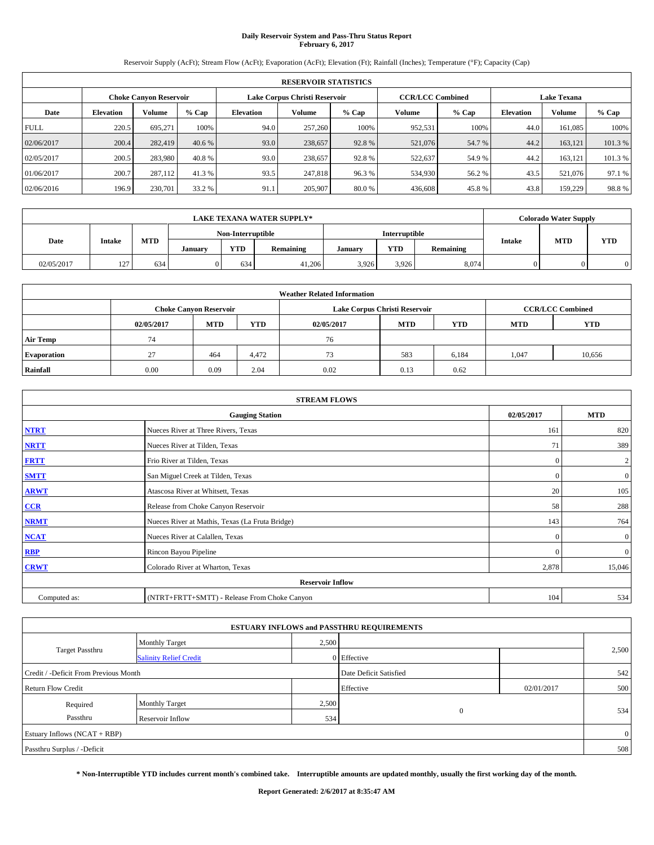# **Daily Reservoir System and Pass-Thru Status Report February 6, 2017**

Reservoir Supply (AcFt); Stream Flow (AcFt); Evaporation (AcFt); Elevation (Ft); Rainfall (Inches); Temperature (°F); Capacity (Cap)

|                                                         | <b>RESERVOIR STATISTICS</b> |         |         |                  |         |         |                         |         |                  |                    |         |
|---------------------------------------------------------|-----------------------------|---------|---------|------------------|---------|---------|-------------------------|---------|------------------|--------------------|---------|
| Lake Corpus Christi Reservoir<br>Choke Canvon Reservoir |                             |         |         |                  |         |         | <b>CCR/LCC Combined</b> |         |                  | <b>Lake Texana</b> |         |
| Date                                                    | <b>Elevation</b>            | Volume  | $%$ Cap | <b>Elevation</b> | Volume  | $%$ Cap | <b>Volume</b>           | $%$ Cap | <b>Elevation</b> | <b>Volume</b>      | % Cap   |
| <b>FULL</b>                                             | 220.5                       | 695.271 | 100%    | 94.0             | 257,260 | 100%    | 952,531                 | 100%    | 44.0             | 161.085            | 100%    |
| 02/06/2017                                              | 200.4                       | 282,419 | 40.6 %  | 93.0             | 238,657 | 92.8%   | 521,076                 | 54.7 %  | 44.2             | 163,121            | 101.3%  |
| 02/05/2017                                              | 200.5                       | 283,980 | 40.8%   | 93.0             | 238,657 | 92.8%   | 522,637                 | 54.9 %  | 44.2             | 163,121            | 101.3 % |
| 01/06/2017                                              | 200.7                       | 287.112 | 41.3 %  | 93.5             | 247,818 | 96.3%   | 534,930                 | 56.2 %  | 43.5             | 521,076            | 97.1 %  |
| 02/06/2016                                              | 196.9                       | 230,701 | 33.2 %  | 91.1             | 205,907 | 80.0%   | 436,608                 | 45.8%   | 43.8             | 159,229            | 98.8%   |

|            |               |            |                   |            | <b>LAKE TEXANA WATER SUPPLY*</b> |                      |            |           |               | Colorado Water Supply |            |
|------------|---------------|------------|-------------------|------------|----------------------------------|----------------------|------------|-----------|---------------|-----------------------|------------|
|            |               |            | Non-Interruptible |            |                                  | <b>Interruptible</b> |            |           |               |                       |            |
| Date       | <b>Intake</b> | <b>MTD</b> | Januarv           | <b>YTD</b> | Remaining                        | Januarv              | <b>YTD</b> | Remaining | <b>Intake</b> | <b>MTD</b>            | <b>YTD</b> |
| 02/05/2017 | 127           | 634        |                   | 634        | 41,206                           | 3,926                | 3,926      | 8,074     |               |                       |            |

| <b>Weather Related Information</b> |            |                                                                           |       |      |                               |       |       |                         |  |  |
|------------------------------------|------------|---------------------------------------------------------------------------|-------|------|-------------------------------|-------|-------|-------------------------|--|--|
|                                    |            | <b>Choke Canyon Reservoir</b>                                             |       |      | Lake Corpus Christi Reservoir |       |       | <b>CCR/LCC Combined</b> |  |  |
|                                    | 02/05/2017 | <b>MTD</b><br>YTD<br><b>MTD</b><br><b>YTD</b><br><b>MTD</b><br>02/05/2017 |       |      |                               |       |       | <b>YTD</b>              |  |  |
| Air Temp                           | 74         |                                                                           |       | 76   |                               |       |       |                         |  |  |
| <b>Evaporation</b>                 | 27         | 464                                                                       | 4.472 | 73   | 583                           | 6,184 | 1.047 | 10,656                  |  |  |
| Rainfall                           | 0.00       | 0.09                                                                      | 2.04  | 0.02 | 0.13                          | 0.62  |       |                         |  |  |

|              | <b>STREAM FLOWS</b>                                                                                                                                                                                                                                                                                                                                                                               |              |                  |  |  |
|--------------|---------------------------------------------------------------------------------------------------------------------------------------------------------------------------------------------------------------------------------------------------------------------------------------------------------------------------------------------------------------------------------------------------|--------------|------------------|--|--|
|              | <b>Gauging Station</b><br>Nueces River at Three Rivers, Texas<br>Nueces River at Tilden, Texas<br>Frio River at Tilden, Texas<br>San Miguel Creek at Tilden, Texas<br>Atascosa River at Whitsett, Texas<br>Release from Choke Canyon Reservoir<br>Nueces River at Mathis, Texas (La Fruta Bridge)<br>Nueces River at Calallen, Texas<br>Rincon Bayou Pipeline<br>Colorado River at Wharton, Texas |              |                  |  |  |
| <b>NTRT</b>  |                                                                                                                                                                                                                                                                                                                                                                                                   | 161          | 820              |  |  |
| <b>NRTT</b>  |                                                                                                                                                                                                                                                                                                                                                                                                   | 71           | 389              |  |  |
| <b>FRTT</b>  |                                                                                                                                                                                                                                                                                                                                                                                                   | $\mathbf{0}$ | $\boldsymbol{2}$ |  |  |
| <b>SMTT</b>  |                                                                                                                                                                                                                                                                                                                                                                                                   | $\mathbf{0}$ | $\mathbf{0}$     |  |  |
| <b>ARWT</b>  |                                                                                                                                                                                                                                                                                                                                                                                                   | 20           | 105              |  |  |
| $CCR$        |                                                                                                                                                                                                                                                                                                                                                                                                   | 58           | 288              |  |  |
| <b>NRMT</b>  |                                                                                                                                                                                                                                                                                                                                                                                                   | 143          | 764              |  |  |
| <b>NCAT</b>  |                                                                                                                                                                                                                                                                                                                                                                                                   | $\Omega$     | $\boldsymbol{0}$ |  |  |
| <b>RBP</b>   |                                                                                                                                                                                                                                                                                                                                                                                                   | $\Omega$     | $\mathbf{0}$     |  |  |
| <b>CRWT</b>  |                                                                                                                                                                                                                                                                                                                                                                                                   | 2,878        | 15,046           |  |  |
|              | <b>Reservoir Inflow</b>                                                                                                                                                                                                                                                                                                                                                                           |              |                  |  |  |
| Computed as: | (NTRT+FRTT+SMTT) - Release From Choke Canyon                                                                                                                                                                                                                                                                                                                                                      | 104          | 534              |  |  |

| <b>ESTUARY INFLOWS and PASSTHRU REQUIREMENTS</b> |                               |       |                        |            |       |  |  |  |  |  |
|--------------------------------------------------|-------------------------------|-------|------------------------|------------|-------|--|--|--|--|--|
|                                                  | Monthly Target                | 2,500 |                        |            |       |  |  |  |  |  |
| <b>Target Passthru</b>                           | <b>Salinity Relief Credit</b> |       | 0 Effective            |            | 2,500 |  |  |  |  |  |
| Credit / -Deficit From Previous Month            |                               |       | Date Deficit Satisfied |            | 542   |  |  |  |  |  |
| <b>Return Flow Credit</b>                        |                               |       | Effective              | 02/01/2017 | 500   |  |  |  |  |  |
| Required                                         | <b>Monthly Target</b>         | 2,500 |                        |            |       |  |  |  |  |  |
| Passthru                                         | Reservoir Inflow              | 534   | $\overline{0}$         |            | 534   |  |  |  |  |  |
| Estuary Inflows $(NCAT + RBP)$                   |                               |       |                        |            |       |  |  |  |  |  |
| Passthru Surplus / -Deficit                      |                               |       |                        |            | 508   |  |  |  |  |  |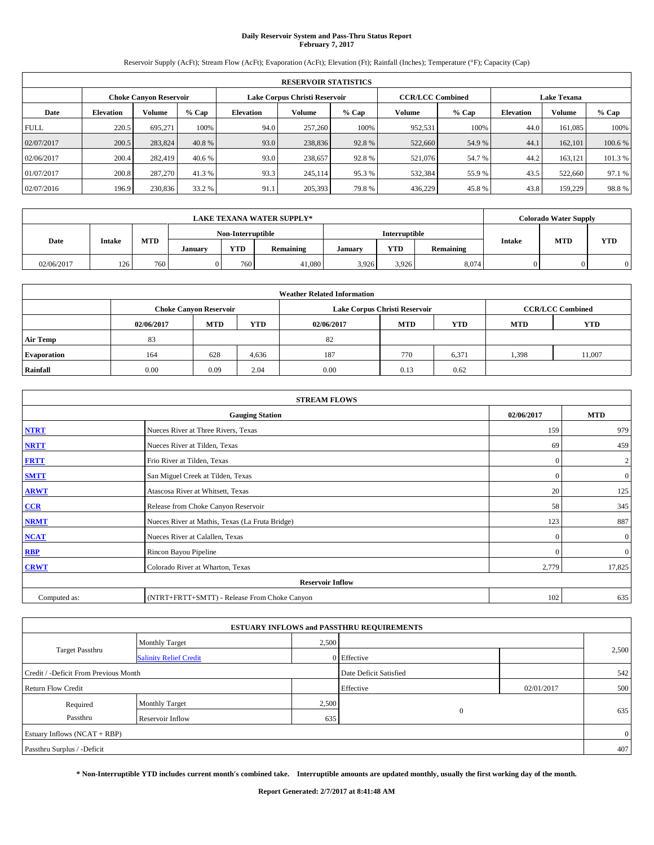# **Daily Reservoir System and Pass-Thru Status Report February 7, 2017**

Reservoir Supply (AcFt); Stream Flow (AcFt); Evaporation (AcFt); Elevation (Ft); Rainfall (Inches); Temperature (°F); Capacity (Cap)

|             | <b>RESERVOIR STATISTICS</b> |                               |         |                  |                               |         |                         |         |                    |               |         |  |
|-------------|-----------------------------|-------------------------------|---------|------------------|-------------------------------|---------|-------------------------|---------|--------------------|---------------|---------|--|
|             |                             | <b>Choke Canyon Reservoir</b> |         |                  | Lake Corpus Christi Reservoir |         | <b>CCR/LCC Combined</b> |         | <b>Lake Texana</b> |               |         |  |
| Date        | <b>Elevation</b>            | Volume                        | $%$ Cap | <b>Elevation</b> | Volume                        | $%$ Cap | Volume                  | $%$ Cap | <b>Elevation</b>   | <b>Volume</b> | % Cap   |  |
| <b>FULL</b> | 220.5                       | 695.271                       | 100%    | 94.0             | 257,260                       | 100%    | 952,531                 | 100%    | 44.0               | 161.085       | 100%    |  |
| 02/07/2017  | 200.5                       | 283,824                       | 40.8 %  | 93.0             | 238,836                       | 92.8%   | 522,660                 | 54.9 %  | 44.1               | 162,101       | 100.6%  |  |
| 02/06/2017  | 200.4                       | 282,419                       | 40.6 %  | 93.0             | 238,657                       | 92.8%   | 521,076                 | 54.7 %  | 44.2               | 163.121       | 101.3 % |  |
| 01/07/2017  | 200.8                       | 287,270                       | 41.3 %  | 93.3             | 245.114                       | 95.3 %  | 532,384                 | 55.9%   | 43.5               | 522,660       | 97.1 %  |  |
| 02/07/2016  | 196.9                       | 230,836                       | 33.2 %  | 91.1             | 205,393                       | 79.8%   | 436,229                 | 45.8%   | 43.8               | 159,229       | 98.8%   |  |

|            |               |     |                   |         | <b>LAKE TEXANA WATER SUPPLY*</b> |                      |         |            |           | Colorado Water Supply |            |
|------------|---------------|-----|-------------------|---------|----------------------------------|----------------------|---------|------------|-----------|-----------------------|------------|
| Date       |               |     | Non-Interruptible |         |                                  | <b>Interruptible</b> |         |            |           |                       |            |
|            | <b>Intake</b> |     | <b>MTD</b>        | January | <b>YTD</b>                       | Remaining            | Januarv | <b>YTD</b> | Remaining | <b>Intake</b>         | <b>MTD</b> |
| 02/06/2017 | 126           | 760 |                   | 760     | 41.080                           | 3.926                | 3.926   | 8.074      |           |                       | 0          |

| <b>Weather Related Information</b> |            |                                                                           |       |      |                               |       |      |                         |  |  |
|------------------------------------|------------|---------------------------------------------------------------------------|-------|------|-------------------------------|-------|------|-------------------------|--|--|
|                                    |            | <b>Choke Canyon Reservoir</b>                                             |       |      | Lake Corpus Christi Reservoir |       |      | <b>CCR/LCC Combined</b> |  |  |
|                                    | 02/06/2017 | <b>MTD</b><br>YTD<br><b>MTD</b><br><b>YTD</b><br><b>MTD</b><br>02/06/2017 |       |      |                               |       |      |                         |  |  |
| <b>Air Temp</b>                    | 83         |                                                                           |       | 82   |                               |       |      |                         |  |  |
| <b>Evaporation</b>                 | 164        | 628                                                                       | 4,636 | 187  | 770                           | 6,371 | .398 | 11,007                  |  |  |
| Rainfall                           | 0.00       | 0.09                                                                      | 2.04  | 0.00 | 0.13                          | 0.62  |      |                         |  |  |

|              | <b>STREAM FLOWS</b>                                                                                                                                                                                                                                    |              |                  |
|--------------|--------------------------------------------------------------------------------------------------------------------------------------------------------------------------------------------------------------------------------------------------------|--------------|------------------|
|              | <b>Gauging Station</b>                                                                                                                                                                                                                                 | 02/06/2017   | <b>MTD</b>       |
| <b>NTRT</b>  | Nueces River at Three Rivers, Texas                                                                                                                                                                                                                    | 159          | 979              |
| <b>NRTT</b>  | Nueces River at Tilden, Texas                                                                                                                                                                                                                          | 69           | 459              |
| <b>FRTT</b>  | Frio River at Tilden, Texas                                                                                                                                                                                                                            | $\mathbf{0}$ | $\boldsymbol{2}$ |
| <b>SMTT</b>  | San Miguel Creek at Tilden, Texas                                                                                                                                                                                                                      | $\mathbf{0}$ | $\mathbf{0}$     |
| <b>ARWT</b>  | Atascosa River at Whitsett, Texas<br>Release from Choke Canyon Reservoir<br>Nueces River at Mathis, Texas (La Fruta Bridge)<br>Nueces River at Calallen, Texas<br>Rincon Bayou Pipeline<br>Colorado River at Wharton, Texas<br><b>Reservoir Inflow</b> |              | 125              |
| $CCR$        |                                                                                                                                                                                                                                                        | 58           | 345              |
| <b>NRMT</b>  |                                                                                                                                                                                                                                                        | 123          | 887              |
| <b>NCAT</b>  |                                                                                                                                                                                                                                                        | $\Omega$     | $\boldsymbol{0}$ |
| <b>RBP</b>   |                                                                                                                                                                                                                                                        | $\Omega$     | $\mathbf{0}$     |
| <b>CRWT</b>  |                                                                                                                                                                                                                                                        | 2,779        | 17,825           |
|              |                                                                                                                                                                                                                                                        |              |                  |
| Computed as: | (NTRT+FRTT+SMTT) - Release From Choke Canyon                                                                                                                                                                                                           | 102          | 635              |

| <b>ESTUARY INFLOWS and PASSTHRU REQUIREMENTS</b> |                               |       |                        |            |       |  |  |  |  |  |
|--------------------------------------------------|-------------------------------|-------|------------------------|------------|-------|--|--|--|--|--|
|                                                  | Monthly Target                | 2,500 |                        |            |       |  |  |  |  |  |
| <b>Target Passthru</b>                           | <b>Salinity Relief Credit</b> |       | 0 Effective            |            | 2,500 |  |  |  |  |  |
| Credit / -Deficit From Previous Month            |                               |       | Date Deficit Satisfied |            | 542   |  |  |  |  |  |
| <b>Return Flow Credit</b>                        |                               |       | Effective              | 02/01/2017 | 500   |  |  |  |  |  |
| Required                                         | <b>Monthly Target</b>         | 2,500 |                        |            |       |  |  |  |  |  |
| Passthru                                         | Reservoir Inflow              | 635   | $\overline{0}$         |            | 635   |  |  |  |  |  |
| Estuary Inflows $(NCAT + RBP)$                   |                               |       |                        |            |       |  |  |  |  |  |
| Passthru Surplus / -Deficit                      |                               |       |                        |            | 407   |  |  |  |  |  |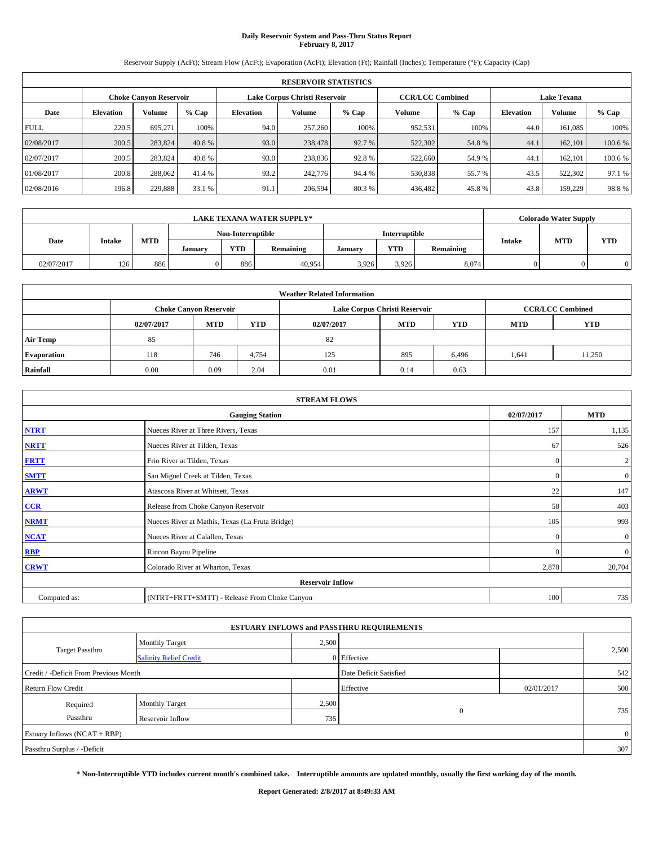# **Daily Reservoir System and Pass-Thru Status Report February 8, 2017**

Reservoir Supply (AcFt); Stream Flow (AcFt); Evaporation (AcFt); Elevation (Ft); Rainfall (Inches); Temperature (°F); Capacity (Cap)

|             | <b>RESERVOIR STATISTICS</b> |                               |         |                  |                               |         |                         |                    |                  |               |         |  |
|-------------|-----------------------------|-------------------------------|---------|------------------|-------------------------------|---------|-------------------------|--------------------|------------------|---------------|---------|--|
|             |                             | <b>Choke Canyon Reservoir</b> |         |                  | Lake Corpus Christi Reservoir |         | <b>CCR/LCC Combined</b> | <b>Lake Texana</b> |                  |               |         |  |
| Date        | <b>Elevation</b>            | Volume                        | $%$ Cap | <b>Elevation</b> | Volume                        | $%$ Cap | Volume                  | $%$ Cap            | <b>Elevation</b> | <b>Volume</b> | % Cap   |  |
| <b>FULL</b> | 220.5                       | 695.271                       | 100%    | 94.0             | 257,260                       | 100%    | 952,531                 | 100%               | 44.0             | 161.085       | 100%    |  |
| 02/08/2017  | 200.5                       | 283,824                       | 40.8 %  | 93.0             | 238,478                       | 92.7 %  | 522,302                 | 54.8%              | 44.1             | 162,101       | 100.6%  |  |
| 02/07/2017  | 200.5                       | 283,824                       | 40.8 %  | 93.0             | 238,836                       | 92.8%   | 522,660                 | 54.9 %             | 44.              | 162,101       | 100.6 % |  |
| 01/08/2017  | 200.8                       | 288,062                       | 41.4 %  | 93.2             | 242,776                       | 94.4 %  | 530,838                 | 55.7 %             | 43.5             | 522,302       | 97.1 %  |  |
| 02/08/2016  | 196.8                       | 229,888                       | 33.1 %  | 91.1             | 206,594                       | 80.3%   | 436,482                 | 45.8%              | 43.8             | 159,229       | 98.8%   |  |

|            | <b>LAKE TEXANA WATER SUPPLY*</b> |            |         |                   |           |         |                      |           |               | Colorado Water Supply |            |
|------------|----------------------------------|------------|---------|-------------------|-----------|---------|----------------------|-----------|---------------|-----------------------|------------|
|            |                                  |            |         | Non-Interruptible |           |         | <b>Interruptible</b> |           |               | <b>MTD</b>            |            |
| Date       | <b>Intake</b>                    | <b>MTD</b> | January | <b>YTD</b>        | Remaining | Januarv | <b>YTD</b>           | Remaining | <b>Intake</b> |                       | <b>YTD</b> |
| 02/07/2017 | 126                              | 886        |         | 886               | 40,954    | 3,926   | 3,926                | 8,074     |               |                       |            |

|                    | <b>Weather Related Information</b>                                                      |                               |       |      |                               |                         |      |            |  |  |  |  |
|--------------------|-----------------------------------------------------------------------------------------|-------------------------------|-------|------|-------------------------------|-------------------------|------|------------|--|--|--|--|
|                    |                                                                                         | <b>Choke Canyon Reservoir</b> |       |      | Lake Corpus Christi Reservoir | <b>CCR/LCC Combined</b> |      |            |  |  |  |  |
|                    | <b>MTD</b><br>YTD<br><b>MTD</b><br><b>YTD</b><br>02/07/2017<br><b>MTD</b><br>02/07/2017 |                               |       |      |                               |                         |      | <b>YTD</b> |  |  |  |  |
| Air Temp           | 85                                                                                      |                               |       | 82   |                               |                         |      |            |  |  |  |  |
| <b>Evaporation</b> | 118                                                                                     | 746                           | 4,754 | 125  | 895                           | 6,496                   | .641 | 11,250     |  |  |  |  |
| Rainfall           | 0.00                                                                                    | 0.09                          | 2.04  | 0.01 | 0.14                          | 0.63                    |      |            |  |  |  |  |

| <b>STREAM FLOWS</b> |                                                 |              |                  |  |  |  |  |  |
|---------------------|-------------------------------------------------|--------------|------------------|--|--|--|--|--|
|                     | <b>Gauging Station</b>                          | 02/07/2017   | <b>MTD</b>       |  |  |  |  |  |
| <b>NTRT</b>         | Nueces River at Three Rivers, Texas             | 157          | 1,135            |  |  |  |  |  |
| <b>NRTT</b>         | Nueces River at Tilden, Texas                   | 67           | 526              |  |  |  |  |  |
| <b>FRTT</b>         | Frio River at Tilden, Texas                     | $\mathbf{0}$ | $\boldsymbol{2}$ |  |  |  |  |  |
| <b>SMTT</b>         | San Miguel Creek at Tilden, Texas               | $\mathbf{0}$ | $\mathbf{0}$     |  |  |  |  |  |
| <b>ARWT</b>         | Atascosa River at Whitsett, Texas               | 22           | 147              |  |  |  |  |  |
| $CCR$               | Release from Choke Canyon Reservoir             | 58           | 403              |  |  |  |  |  |
| <b>NRMT</b>         | Nueces River at Mathis, Texas (La Fruta Bridge) | 105          | 993              |  |  |  |  |  |
| <b>NCAT</b>         | Nueces River at Calallen, Texas                 | $\Omega$     | $\boldsymbol{0}$ |  |  |  |  |  |
| <b>RBP</b>          | Rincon Bayou Pipeline                           | $\Omega$     | $\mathbf{0}$     |  |  |  |  |  |
| <b>CRWT</b>         | Colorado River at Wharton, Texas                | 2,878        | 20,704           |  |  |  |  |  |
|                     | <b>Reservoir Inflow</b>                         |              |                  |  |  |  |  |  |
| Computed as:        | (NTRT+FRTT+SMTT) - Release From Choke Canyon    |              |                  |  |  |  |  |  |

|                                       |                               |       | <b>ESTUARY INFLOWS and PASSTHRU REQUIREMENTS</b> |            |                |
|---------------------------------------|-------------------------------|-------|--------------------------------------------------|------------|----------------|
|                                       | Monthly Target                | 2,500 |                                                  |            |                |
| <b>Target Passthru</b>                | <b>Salinity Relief Credit</b> |       | 0 Effective                                      |            | 2,500          |
| Credit / -Deficit From Previous Month |                               |       | Date Deficit Satisfied                           |            | 542            |
| <b>Return Flow Credit</b>             |                               |       | Effective                                        | 02/01/2017 | 500            |
| Required                              | <b>Monthly Target</b>         | 2,500 |                                                  |            |                |
| Passthru                              | Reservoir Inflow              | 735   | $\overline{0}$                                   |            | 735            |
| Estuary Inflows (NCAT + RBP)          |                               |       |                                                  |            | $\overline{0}$ |
| Passthru Surplus / -Deficit           |                               |       |                                                  |            | 307            |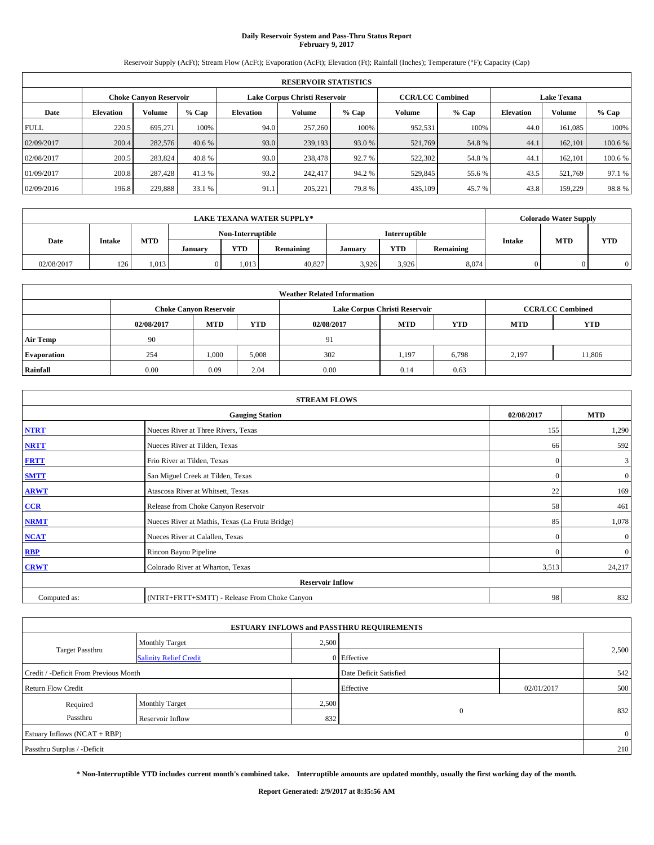# **Daily Reservoir System and Pass-Thru Status Report February 9, 2017**

Reservoir Supply (AcFt); Stream Flow (AcFt); Evaporation (AcFt); Elevation (Ft); Rainfall (Inches); Temperature (°F); Capacity (Cap)

|             | <b>RESERVOIR STATISTICS</b> |                        |         |                  |                               |         |                         |         |                    |               |         |  |  |
|-------------|-----------------------------|------------------------|---------|------------------|-------------------------------|---------|-------------------------|---------|--------------------|---------------|---------|--|--|
|             |                             | Choke Canvon Reservoir |         |                  | Lake Corpus Christi Reservoir |         | <b>CCR/LCC Combined</b> |         | <b>Lake Texana</b> |               |         |  |  |
| Date        | <b>Elevation</b>            | Volume                 | $%$ Cap | <b>Elevation</b> | Volume                        | $%$ Cap | <b>Volume</b>           | $%$ Cap | <b>Elevation</b>   | <b>Volume</b> | % Cap   |  |  |
| <b>FULL</b> | 220.5                       | 695.271                | 100%    | 94.0             | 257,260                       | 100%    | 952,531                 | 100%    | 44.0               | 161.085       | 100%    |  |  |
| 02/09/2017  | 200.4                       | 282,576                | 40.6 %  | 93.0             | 239,193                       | 93.0 %  | 521,769                 | 54.8%   | 44.                | 162,101       | 100.6 % |  |  |
| 02/08/2017  | 200.5                       | 283,824                | 40.8%   | 93.0             | 238,478                       | 92.7 %  | 522,302                 | 54.8%   | 44.                | 162,101       | 100.6 % |  |  |
| 01/09/2017  | 200.8                       | 287,428                | 41.3 %  | 93.2             | 242,417                       | 94.2 %  | 529,845                 | 55.6 %  | 43.5               | 521.769       | 97.1 %  |  |  |
| 02/09/2016  | 196.8                       | 229,888                | 33.1 %  | 91.1             | 205,221                       | 79.8%   | 435,109                 | 45.7%   | 43.8               | 159,229       | 98.8%   |  |  |

|            |        |            |         |                   | <b>LAKE TEXANA WATER SUPPLY*</b> |         |               |           |               | <b>Colorado Water Supply</b> |            |
|------------|--------|------------|---------|-------------------|----------------------------------|---------|---------------|-----------|---------------|------------------------------|------------|
|            |        |            |         | Non-Interruptible |                                  |         | Interruptible |           |               | <b>MTD</b>                   |            |
| Date       | Intake | <b>MTD</b> | January | <b>YTD</b>        | Remaining                        | January | YTD           | Remaining | <b>Intake</b> |                              | <b>YTD</b> |
| 02/08/2017 | 126    | 1,013      |         | 1.013             | 40,827                           | 3.926   | 3,926         | 8,074     |               |                              |            |

|                    | <b>Weather Related Information</b>                                                      |                               |       |      |                               |                         |       |            |  |  |  |  |
|--------------------|-----------------------------------------------------------------------------------------|-------------------------------|-------|------|-------------------------------|-------------------------|-------|------------|--|--|--|--|
|                    |                                                                                         | <b>Choke Canyon Reservoir</b> |       |      | Lake Corpus Christi Reservoir | <b>CCR/LCC Combined</b> |       |            |  |  |  |  |
|                    | <b>MTD</b><br>YTD<br><b>MTD</b><br><b>YTD</b><br><b>MTD</b><br>02/08/2017<br>02/08/2017 |                               |       |      |                               |                         |       | <b>YTD</b> |  |  |  |  |
| <b>Air Temp</b>    | 90                                                                                      |                               |       | 91   |                               |                         |       |            |  |  |  |  |
| <b>Evaporation</b> | 254                                                                                     | 1,000                         | 5,008 | 302  | 1,197                         | 6,798                   | 2.197 | 11,806     |  |  |  |  |
| Rainfall           | 0.00                                                                                    | 0.09                          | 2.04  | 0.00 | 0.14                          | 0.63                    |       |            |  |  |  |  |

| <b>STREAM FLOWS</b>     |                                                 |              |              |  |  |  |  |  |
|-------------------------|-------------------------------------------------|--------------|--------------|--|--|--|--|--|
|                         | <b>Gauging Station</b>                          | 02/08/2017   | <b>MTD</b>   |  |  |  |  |  |
| <b>NTRT</b>             | Nueces River at Three Rivers, Texas             | 155          | 1,290        |  |  |  |  |  |
| <b>NRTT</b>             | Nueces River at Tilden, Texas                   | 66           | 592          |  |  |  |  |  |
| <b>FRTT</b>             | Frio River at Tilden, Texas                     | $\mathbf{0}$ | 3            |  |  |  |  |  |
| <b>SMTT</b>             | San Miguel Creek at Tilden, Texas               | $\mathbf{0}$ | $\mathbf{0}$ |  |  |  |  |  |
| <b>ARWT</b>             | Atascosa River at Whitsett, Texas               | 22           | 169          |  |  |  |  |  |
| $CCR$                   | Release from Choke Canyon Reservoir             | 58           | 461          |  |  |  |  |  |
| <b>NRMT</b>             | Nueces River at Mathis, Texas (La Fruta Bridge) | 85           | 1,078        |  |  |  |  |  |
| <b>NCAT</b>             | Nueces River at Calallen, Texas                 | $\Omega$     | $\mathbf{0}$ |  |  |  |  |  |
| RBP                     | Rincon Bayou Pipeline                           | $\Omega$     | $\mathbf{0}$ |  |  |  |  |  |
| <b>CRWT</b>             | Colorado River at Wharton, Texas                | 3,513        | 24,217       |  |  |  |  |  |
| <b>Reservoir Inflow</b> |                                                 |              |              |  |  |  |  |  |
| Computed as:            | (NTRT+FRTT+SMTT) - Release From Choke Canyon    |              |              |  |  |  |  |  |

|                                       |                               |       | <b>ESTUARY INFLOWS and PASSTHRU REQUIREMENTS</b> |            |                |  |
|---------------------------------------|-------------------------------|-------|--------------------------------------------------|------------|----------------|--|
|                                       | Monthly Target                | 2,500 |                                                  |            |                |  |
| <b>Target Passthru</b>                | <b>Salinity Relief Credit</b> |       | 0 Effective                                      |            | 2,500          |  |
| Credit / -Deficit From Previous Month |                               |       | Date Deficit Satisfied                           |            | 542            |  |
| <b>Return Flow Credit</b>             |                               |       | Effective                                        | 02/01/2017 | 500            |  |
| Required                              | <b>Monthly Target</b>         | 2,500 |                                                  |            |                |  |
| Passthru                              | Reservoir Inflow              | 832   | $\overline{0}$                                   |            | 832            |  |
| Estuary Inflows $(NCAT + RBP)$        |                               |       |                                                  |            | $\overline{0}$ |  |
| Passthru Surplus / -Deficit           |                               |       |                                                  |            | 210            |  |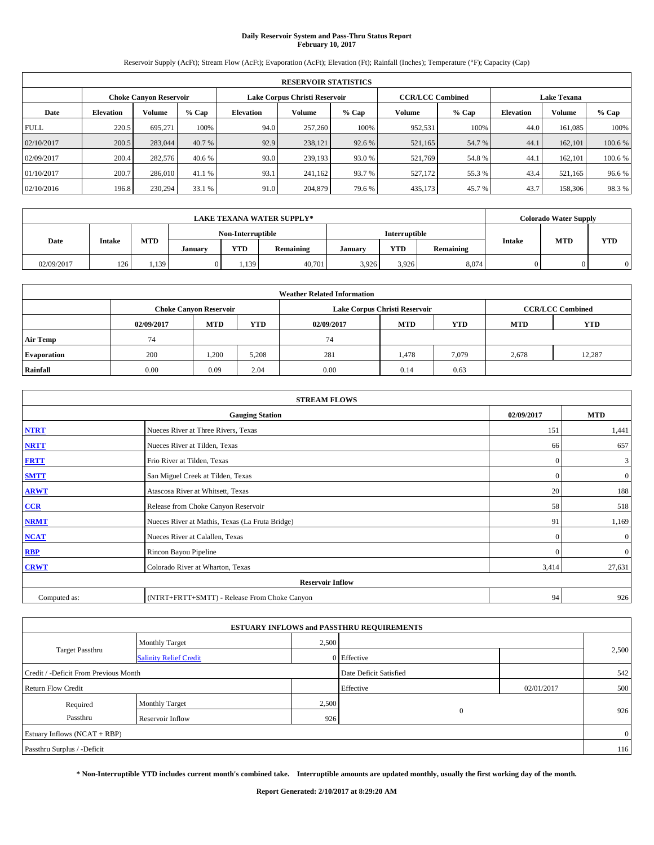## **Daily Reservoir System and Pass-Thru Status Report February 10, 2017**

Reservoir Supply (AcFt); Stream Flow (AcFt); Evaporation (AcFt); Elevation (Ft); Rainfall (Inches); Temperature (°F); Capacity (Cap)

|             | <b>RESERVOIR STATISTICS</b> |                               |         |                  |                               |         |                         |         |                    |               |         |  |  |
|-------------|-----------------------------|-------------------------------|---------|------------------|-------------------------------|---------|-------------------------|---------|--------------------|---------------|---------|--|--|
|             |                             | <b>Choke Canyon Reservoir</b> |         |                  | Lake Corpus Christi Reservoir |         | <b>CCR/LCC Combined</b> |         | <b>Lake Texana</b> |               |         |  |  |
| Date        | <b>Elevation</b>            | Volume                        | $%$ Cap | <b>Elevation</b> | Volume                        | $%$ Cap | Volume                  | $%$ Cap | <b>Elevation</b>   | <b>Volume</b> | % Cap   |  |  |
| <b>FULL</b> | 220.5                       | 695.271                       | 100%    | 94.0             | 257,260                       | 100%    | 952,531                 | 100%    | 44.0               | 161.085       | 100%    |  |  |
| 02/10/2017  | 200.5                       | 283,044                       | 40.7 %  | 92.9             | 238,121                       | 92.6 %  | 521,165                 | 54.7 %  | 44.1               | 162,101       | 100.6%  |  |  |
| 02/09/2017  | 200.4                       | 282,576                       | 40.6 %  | 93.0             | 239,193                       | 93.0 %  | 521,769                 | 54.8%   | 44.                | 162,101       | 100.6 % |  |  |
| 01/10/2017  | 200.7                       | 286,010                       | 41.1 %  | 93.1             | 241,162                       | 93.7 %  | 527,172                 | 55.3 %  | 43.4               | 521,165       | 96.6%   |  |  |
| 02/10/2016  | 196.8                       | 230,294                       | 33.1 %  | 91.0             | 204,879                       | 79.6 %  | 435,173                 | 45.7%   | 43.7               | 158,306       | 98.3%   |  |  |

|            |        |            |         |                   | <b>LAKE TEXANA WATER SUPPLY*</b> |         |               |           |               | <b>Colorado Water Supply</b> |            |
|------------|--------|------------|---------|-------------------|----------------------------------|---------|---------------|-----------|---------------|------------------------------|------------|
|            |        |            |         | Non-Interruptible |                                  |         | Interruptible |           |               | <b>MTD</b>                   |            |
| Date       | Intake | <b>MTD</b> | January | <b>YTD</b>        | Remaining                        | January | YTD           | Remaining | <b>Intake</b> |                              | <b>YTD</b> |
| 02/09/2017 | 126    | 1,139      |         | 1,139             | 40,701                           | 3.926   | 3,926         | 8,074     |               |                              |            |

|                    | <b>Weather Related Information</b>                                                             |                               |       |      |                               |                         |       |            |  |  |  |  |
|--------------------|------------------------------------------------------------------------------------------------|-------------------------------|-------|------|-------------------------------|-------------------------|-------|------------|--|--|--|--|
|                    |                                                                                                | <b>Choke Canyon Reservoir</b> |       |      | Lake Corpus Christi Reservoir | <b>CCR/LCC Combined</b> |       |            |  |  |  |  |
|                    | <b>YTD</b><br><b>YTD</b><br><b>MTD</b><br><b>MTD</b><br><b>MTD</b><br>02/09/2017<br>02/09/2017 |                               |       |      |                               |                         |       | <b>YTD</b> |  |  |  |  |
| <b>Air Temp</b>    | 74                                                                                             |                               |       | 74   |                               |                         |       |            |  |  |  |  |
| <b>Evaporation</b> | 200                                                                                            | 1,200                         | 5,208 | 281  | 1,478                         | 7,079                   | 2,678 | 12,287     |  |  |  |  |
| Rainfall           | 0.00                                                                                           | 0.09                          | 2.04  | 0.00 | 0.14                          | 0.63                    |       |            |  |  |  |  |

| <b>STREAM FLOWS</b> |                                                 |            |                |  |  |  |  |  |  |
|---------------------|-------------------------------------------------|------------|----------------|--|--|--|--|--|--|
|                     | <b>Gauging Station</b>                          | 02/09/2017 | <b>MTD</b>     |  |  |  |  |  |  |
| <b>NTRT</b>         | Nueces River at Three Rivers, Texas             | 151        | 1,441          |  |  |  |  |  |  |
| <b>NRTT</b>         | Nueces River at Tilden, Texas                   | 66         | 657            |  |  |  |  |  |  |
| <b>FRTT</b>         | Frio River at Tilden, Texas                     | $\theta$   | $\mathbf{3}$   |  |  |  |  |  |  |
| <b>SMTT</b>         | San Miguel Creek at Tilden, Texas               | $\Omega$   | $\overline{0}$ |  |  |  |  |  |  |
| <b>ARWT</b>         | Atascosa River at Whitsett, Texas               | 20         | 188            |  |  |  |  |  |  |
| CCR                 | Release from Choke Canyon Reservoir             | 58         | 518            |  |  |  |  |  |  |
| <b>NRMT</b>         | Nueces River at Mathis, Texas (La Fruta Bridge) | 91         | 1,169          |  |  |  |  |  |  |
| <b>NCAT</b>         | Nueces River at Calallen, Texas                 | $\Omega$   | $\overline{0}$ |  |  |  |  |  |  |
| RBP                 | Rincon Bayou Pipeline                           | $\Omega$   | $\overline{0}$ |  |  |  |  |  |  |
| <b>CRWT</b>         | Colorado River at Wharton, Texas                | 3,414      | 27,631         |  |  |  |  |  |  |
|                     | <b>Reservoir Inflow</b>                         |            |                |  |  |  |  |  |  |
| Computed as:        | (NTRT+FRTT+SMTT) - Release From Choke Canyon    | 94         | 926            |  |  |  |  |  |  |

| <b>ESTUARY INFLOWS and PASSTHRU REQUIREMENTS</b> |                               |       |                        |            |                |  |  |  |  |  |
|--------------------------------------------------|-------------------------------|-------|------------------------|------------|----------------|--|--|--|--|--|
|                                                  | <b>Monthly Target</b>         | 2,500 |                        |            |                |  |  |  |  |  |
| <b>Target Passthru</b>                           | <b>Salinity Relief Credit</b> |       | 0 Effective            |            | 2,500          |  |  |  |  |  |
| Credit / -Deficit From Previous Month            |                               |       | Date Deficit Satisfied |            | 542            |  |  |  |  |  |
| <b>Return Flow Credit</b>                        |                               |       | Effective              | 02/01/2017 | 500            |  |  |  |  |  |
| Required                                         | <b>Monthly Target</b>         | 2,500 |                        |            |                |  |  |  |  |  |
| Passthru                                         | Reservoir Inflow              | 926   | $\overline{0}$         |            | 926            |  |  |  |  |  |
| Estuary Inflows $(NCAT + RBP)$                   |                               |       |                        |            | $\overline{0}$ |  |  |  |  |  |
| Passthru Surplus / -Deficit                      |                               |       |                        |            | 116            |  |  |  |  |  |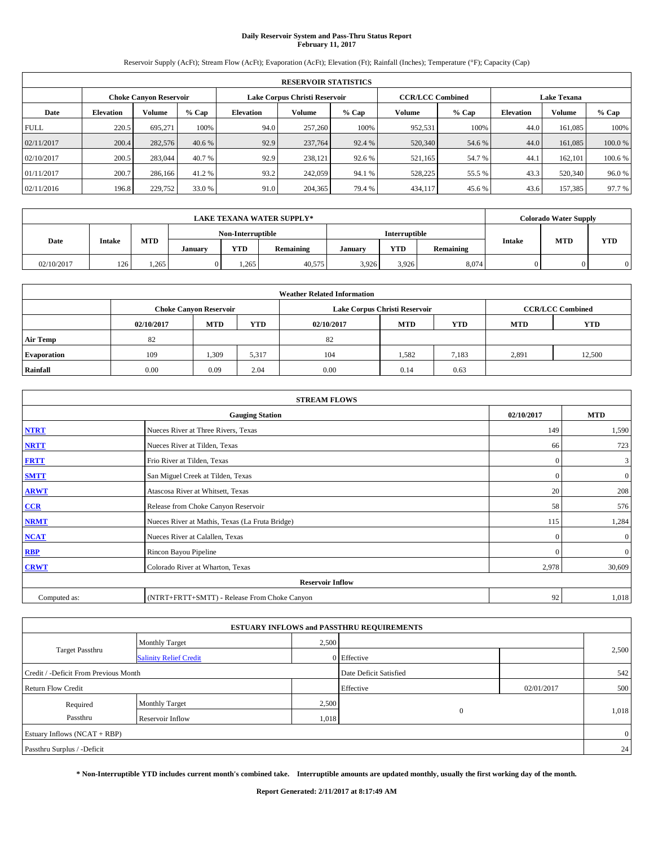## **Daily Reservoir System and Pass-Thru Status Report February 11, 2017**

Reservoir Supply (AcFt); Stream Flow (AcFt); Evaporation (AcFt); Elevation (Ft); Rainfall (Inches); Temperature (°F); Capacity (Cap)

|             | <b>RESERVOIR STATISTICS</b> |                               |         |                  |                               |         |                         |         |                  |                    |         |
|-------------|-----------------------------|-------------------------------|---------|------------------|-------------------------------|---------|-------------------------|---------|------------------|--------------------|---------|
|             |                             | <b>Choke Canyon Reservoir</b> |         |                  | Lake Corpus Christi Reservoir |         | <b>CCR/LCC Combined</b> |         |                  | <b>Lake Texana</b> |         |
| Date        | <b>Elevation</b>            | Volume                        | $%$ Cap | <b>Elevation</b> | Volume                        | $%$ Cap | Volume                  | $%$ Cap | <b>Elevation</b> | <b>Volume</b>      | % Cap   |
| <b>FULL</b> | 220.5                       | 695.271                       | 100%    | 94.0             | 257,260                       | 100%    | 952,531                 | 100%    | 44.0             | 161.085            | 100%    |
| 02/11/2017  | 200.4                       | 282,576                       | 40.6 %  | 92.9             | 237,764                       | 92.4 %  | 520,340                 | 54.6 %  | 44.0             | 161,085            | 100.0%  |
| 02/10/2017  | 200.5                       | 283,044                       | 40.7 %  | 92.9             | 238.121                       | 92.6 %  | 521,165                 | 54.7 %  | 44.              | 162,101            | 100.6 % |
| 01/11/2017  | 200.7                       | 286,166                       | 41.2 %  | 93.2             | 242,059                       | 94.1 %  | 528,225                 | 55.5 %  | 43.3             | 520,340            | 96.0%   |
| 02/11/2016  | 196.8                       | 229,752                       | 33.0 %  | 91.0             | 204,365                       | 79.4 %  | 434,117                 | 45.6 %  | 43.6             | 157,385            | 97.7 %  |

|            | <b>LAKE TEXANA WATER SUPPLY*</b> |            |         |                   |           |         | <b>Colorado Water Supply</b> |           |               |            |            |
|------------|----------------------------------|------------|---------|-------------------|-----------|---------|------------------------------|-----------|---------------|------------|------------|
|            |                                  |            |         | Non-Interruptible |           |         | Interruptible                |           |               |            |            |
| Date       | Intake                           | <b>MTD</b> | January | <b>YTD</b>        | Remaining | January | YTD                          | Remaining | <b>Intake</b> | <b>MTD</b> | <b>YTD</b> |
| 02/10/2017 | 126                              | 1,265      |         | 1.265             | 40,575    | 3.926   | 3,926                        | 8,074     |               |            |            |

| <b>Weather Related Information</b> |            |                               |            |            |                               |                         |            |            |  |  |  |
|------------------------------------|------------|-------------------------------|------------|------------|-------------------------------|-------------------------|------------|------------|--|--|--|
|                                    |            | <b>Choke Canyon Reservoir</b> |            |            | Lake Corpus Christi Reservoir | <b>CCR/LCC Combined</b> |            |            |  |  |  |
|                                    | 02/10/2017 | <b>MTD</b>                    | <b>YTD</b> | 02/10/2017 | <b>MTD</b>                    | <b>YTD</b>              | <b>MTD</b> | <b>YTD</b> |  |  |  |
| <b>Air Temp</b>                    | 82         |                               |            | 82         |                               |                         |            |            |  |  |  |
| <b>Evaporation</b>                 | 109        | 1,309                         | 5,317      | 104        | 1,582                         | 7,183                   | 2,891      | 12,500     |  |  |  |
| Rainfall                           | 0.00       | 0.09                          | 2.04       | 0.00       | 0.14                          | 0.63                    |            |            |  |  |  |

| <b>STREAM FLOWS</b> |                                                 |              |                |  |  |  |  |  |
|---------------------|-------------------------------------------------|--------------|----------------|--|--|--|--|--|
|                     | <b>Gauging Station</b>                          | 02/10/2017   | <b>MTD</b>     |  |  |  |  |  |
| <b>NTRT</b>         | Nueces River at Three Rivers, Texas             | 149          | 1,590          |  |  |  |  |  |
| <b>NRTT</b>         | Nueces River at Tilden, Texas                   | 66           | 723            |  |  |  |  |  |
| <b>FRTT</b>         | Frio River at Tilden, Texas                     | $\mathbf{0}$ | 3              |  |  |  |  |  |
| <b>SMTT</b>         | San Miguel Creek at Tilden, Texas               | $\mathbf{0}$ | $\overline{0}$ |  |  |  |  |  |
| <b>ARWT</b>         | Atascosa River at Whitsett, Texas               | 20           | 208            |  |  |  |  |  |
| CCR                 | Release from Choke Canyon Reservoir             | 58           | 576            |  |  |  |  |  |
| <b>NRMT</b>         | Nueces River at Mathis, Texas (La Fruta Bridge) | 115          | 1,284          |  |  |  |  |  |
| <b>NCAT</b>         | Nueces River at Calallen, Texas                 | $\mathbf{0}$ | $\mathbf{0}$   |  |  |  |  |  |
| <b>RBP</b>          | Rincon Bayou Pipeline                           | $\Omega$     | $\mathbf{0}$   |  |  |  |  |  |
| <b>CRWT</b>         | Colorado River at Wharton, Texas                | 2,978        | 30,609         |  |  |  |  |  |
|                     | <b>Reservoir Inflow</b>                         |              |                |  |  |  |  |  |
| Computed as:        | (NTRT+FRTT+SMTT) - Release From Choke Canyon    | 92           | 1,018          |  |  |  |  |  |

| <b>ESTUARY INFLOWS and PASSTHRU REQUIREMENTS</b> |                               |       |                        |            |                |  |  |  |  |  |
|--------------------------------------------------|-------------------------------|-------|------------------------|------------|----------------|--|--|--|--|--|
|                                                  | Monthly Target                | 2,500 |                        |            |                |  |  |  |  |  |
| <b>Target Passthru</b>                           | <b>Salinity Relief Credit</b> |       | 0 Effective            |            | 2,500          |  |  |  |  |  |
| Credit / -Deficit From Previous Month            |                               |       | Date Deficit Satisfied |            | 542            |  |  |  |  |  |
| <b>Return Flow Credit</b>                        |                               |       | Effective              | 02/01/2017 | 500            |  |  |  |  |  |
| Required                                         | Monthly Target                | 2,500 |                        |            |                |  |  |  |  |  |
| Passthru                                         | <b>Reservoir Inflow</b>       | 1,018 | $\mathbf{0}$           |            | 1,018          |  |  |  |  |  |
| Estuary Inflows $(NCAT + RBP)$                   |                               |       |                        |            | $\overline{0}$ |  |  |  |  |  |
| Passthru Surplus / -Deficit                      |                               |       |                        |            | 24             |  |  |  |  |  |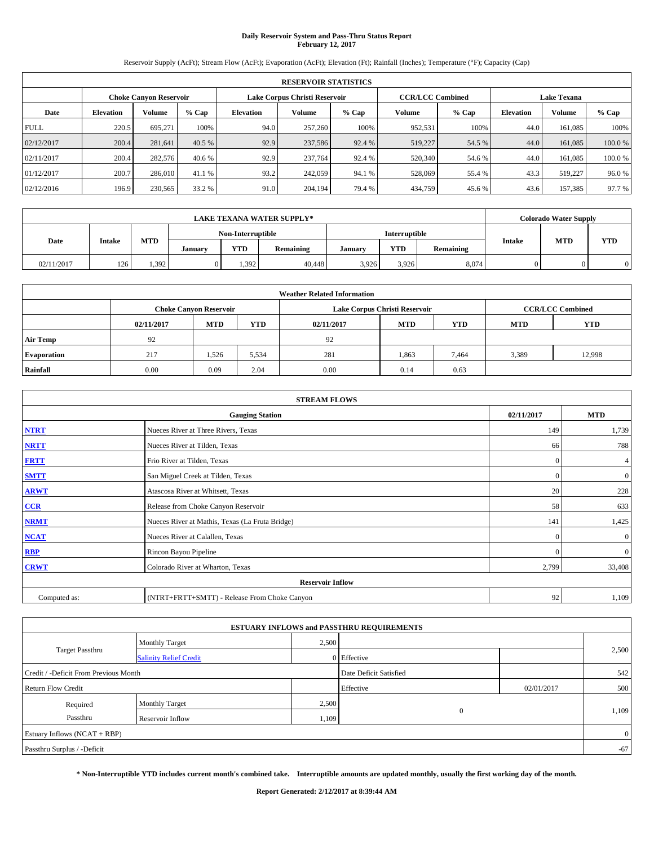## **Daily Reservoir System and Pass-Thru Status Report February 12, 2017**

Reservoir Supply (AcFt); Stream Flow (AcFt); Evaporation (AcFt); Elevation (Ft); Rainfall (Inches); Temperature (°F); Capacity (Cap)

|             | <b>RESERVOIR STATISTICS</b> |                               |         |                  |                               |         |                         |         |                  |                    |         |
|-------------|-----------------------------|-------------------------------|---------|------------------|-------------------------------|---------|-------------------------|---------|------------------|--------------------|---------|
|             |                             | <b>Choke Canyon Reservoir</b> |         |                  | Lake Corpus Christi Reservoir |         | <b>CCR/LCC Combined</b> |         |                  | <b>Lake Texana</b> |         |
| Date        | <b>Elevation</b>            | Volume                        | $%$ Cap | <b>Elevation</b> | <b>Volume</b>                 | $%$ Cap | Volume                  | $%$ Cap | <b>Elevation</b> | <b>Volume</b>      | % Cap   |
| <b>FULL</b> | 220.5                       | 695.271                       | 100%    | 94.0             | 257,260                       | 100%    | 952,531                 | 100%    | 44.0             | 161,085            | 100%    |
| 02/12/2017  | 200.4                       | 281.641                       | 40.5 %  | 92.9             | 237,586                       | 92.4 %  | 519,227                 | 54.5 %  | 44.0             | 161,085            | 100.0%  |
| 02/11/2017  | 200.4                       | 282,576                       | 40.6 %  | 92.9             | 237,764                       | 92.4 %  | 520,340                 | 54.6 %  | 44.0             | 161,085            | 100.0 % |
| 01/12/2017  | 200.7                       | 286,010                       | 41.1 %  | 93.2             | 242,059                       | 94.1 %  | 528,069                 | 55.4 %  | 43.3             | 519,227            | 96.0%   |
| 02/12/2016  | 196.9                       | 230,565                       | 33.2 %  | 91.0             | 204.194                       | 79.4 %  | 434,759                 | 45.6 %  | 43.6             | 157,385            | 97.7 %  |

| <b>LAKE TEXANA WATER SUPPLY*</b> |               |       |         |                   |           | <b>Colorado Water Supply</b> |               |           |               |            |            |  |  |
|----------------------------------|---------------|-------|---------|-------------------|-----------|------------------------------|---------------|-----------|---------------|------------|------------|--|--|
|                                  |               |       |         | Non-Interruptible |           |                              | Interruptible |           |               |            |            |  |  |
| Date                             | <b>Intake</b> | MTD   | January | <b>YTD</b>        | Remaining | January                      | YTD           | Remaining | <b>Intake</b> | <b>MTD</b> | <b>YTD</b> |  |  |
| 02/11/2017                       | 126           | 1,392 |         | 1.392             | 40,448    | 3,926                        | 3,926         | 8,074     |               |            | 0          |  |  |

| <b>Weather Related Information</b> |            |                               |            |            |                               |                         |            |            |  |  |  |
|------------------------------------|------------|-------------------------------|------------|------------|-------------------------------|-------------------------|------------|------------|--|--|--|
|                                    |            | <b>Choke Canyon Reservoir</b> |            |            | Lake Corpus Christi Reservoir | <b>CCR/LCC Combined</b> |            |            |  |  |  |
|                                    | 02/11/2017 | <b>MTD</b>                    | <b>YTD</b> | 02/11/2017 | <b>MTD</b>                    | <b>YTD</b>              | <b>MTD</b> | <b>YTD</b> |  |  |  |
| <b>Air Temp</b>                    | 92         |                               |            | 92         |                               |                         |            |            |  |  |  |
| <b>Evaporation</b>                 | 217        | 1,526                         | 5,534      | 281        | 1,863                         | 7,464                   | 3,389      | 12,998     |  |  |  |
| Rainfall                           | 0.00       | 0.09                          | 2.04       | 0.00       | 0.14                          | 0.63                    |            |            |  |  |  |

| <b>STREAM FLOWS</b> |                                                 |              |                  |  |  |  |  |  |  |
|---------------------|-------------------------------------------------|--------------|------------------|--|--|--|--|--|--|
|                     | <b>Gauging Station</b>                          | 02/11/2017   | <b>MTD</b>       |  |  |  |  |  |  |
| <b>NTRT</b>         | Nueces River at Three Rivers, Texas             | 149          | 1,739            |  |  |  |  |  |  |
| <b>NRTT</b>         | Nueces River at Tilden, Texas                   | 66           | 788              |  |  |  |  |  |  |
| <b>FRTT</b>         | Frio River at Tilden, Texas                     | $\mathbf{0}$ | 4                |  |  |  |  |  |  |
| <b>SMTT</b>         | San Miguel Creek at Tilden, Texas               | $\mathbf{0}$ | $\overline{0}$   |  |  |  |  |  |  |
| <b>ARWT</b>         | Atascosa River at Whitsett, Texas               | 20           | 228              |  |  |  |  |  |  |
| $CCR$               | Release from Choke Canyon Reservoir             | 58           | 633              |  |  |  |  |  |  |
| <b>NRMT</b>         | Nueces River at Mathis, Texas (La Fruta Bridge) | 141          | 1,425            |  |  |  |  |  |  |
| <b>NCAT</b>         | Nueces River at Calallen, Texas                 | $\Omega$     | $\boldsymbol{0}$ |  |  |  |  |  |  |
| <b>RBP</b>          | Rincon Bayou Pipeline                           | $\mathbf{0}$ | $\mathbf{0}$     |  |  |  |  |  |  |
| <b>CRWT</b>         | Colorado River at Wharton, Texas                | 2,799        | 33,408           |  |  |  |  |  |  |
|                     | <b>Reservoir Inflow</b>                         |              |                  |  |  |  |  |  |  |
| Computed as:        | (NTRT+FRTT+SMTT) - Release From Choke Canyon    | 92           | 1,109            |  |  |  |  |  |  |

|                                       |                               |       | <b>ESTUARY INFLOWS and PASSTHRU REQUIREMENTS</b> |            |                |
|---------------------------------------|-------------------------------|-------|--------------------------------------------------|------------|----------------|
|                                       | Monthly Target                | 2,500 |                                                  |            |                |
| <b>Target Passthru</b>                | <b>Salinity Relief Credit</b> |       | 0 Effective                                      |            | 2,500          |
| Credit / -Deficit From Previous Month |                               |       | Date Deficit Satisfied                           |            | 542            |
| <b>Return Flow Credit</b>             |                               |       | Effective                                        | 02/01/2017 | 500            |
| Required                              | Monthly Target                | 2,500 |                                                  |            |                |
| Passthru                              | <b>Reservoir Inflow</b>       | 1,109 | $\mathbf{0}$                                     |            | 1,109          |
| Estuary Inflows $(NCAT + RBP)$        |                               |       |                                                  |            | $\overline{0}$ |
| Passthru Surplus / -Deficit           |                               |       |                                                  |            | $-67$          |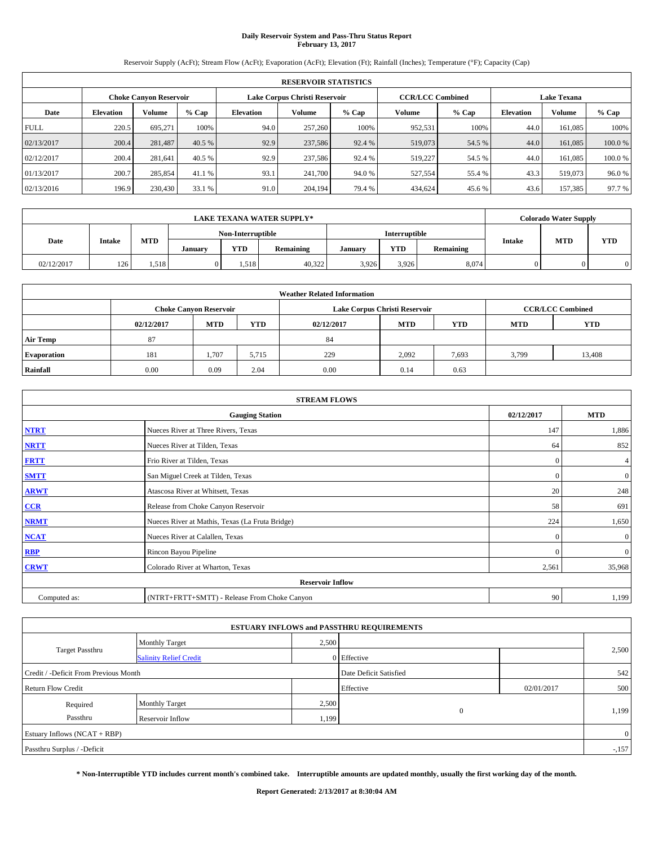## **Daily Reservoir System and Pass-Thru Status Report February 13, 2017**

Reservoir Supply (AcFt); Stream Flow (AcFt); Evaporation (AcFt); Elevation (Ft); Rainfall (Inches); Temperature (°F); Capacity (Cap)

|             | <b>RESERVOIR STATISTICS</b> |                        |         |                                                          |         |         |         |         |                    |               |        |
|-------------|-----------------------------|------------------------|---------|----------------------------------------------------------|---------|---------|---------|---------|--------------------|---------------|--------|
|             |                             | Choke Canvon Reservoir |         | <b>CCR/LCC Combined</b><br>Lake Corpus Christi Reservoir |         |         |         |         | <b>Lake Texana</b> |               |        |
| Date        | <b>Elevation</b>            | Volume                 | $%$ Cap | <b>Elevation</b>                                         | Volume  | $%$ Cap | Volume  | $%$ Cap | <b>Elevation</b>   | <b>Volume</b> | % Cap  |
| <b>FULL</b> | 220.5                       | 695.271                | 100%    | 94.0                                                     | 257,260 | 100%    | 952,531 | 100%    | 44.0               | 161.085       | 100%   |
| 02/13/2017  | 200.4                       | 281,487                | 40.5 %  | 92.9                                                     | 237,586 | 92.4 %  | 519,073 | 54.5 %  | 44.0               | 161,085       | 100.0% |
| 02/12/2017  | 200.4                       | 281.641                | 40.5 %  | 92.9                                                     | 237,586 | 92.4 %  | 519,227 | 54.5 %  | 44.0               | 161.085       | 100.0% |
| 01/13/2017  | 200.7                       | 285,854                | 41.1 %  | 93.1                                                     | 241,700 | 94.0 %  | 527,554 | 55.4 %  | 43.3               | 519,073       | 96.0%  |
| 02/13/2016  | 196.9                       | 230,430                | 33.1 %  | 91.0                                                     | 204,194 | 79.4 %  | 434,624 | 45.6 %  | 43.6               | 157,385       | 97.7 % |

|            | <b>LAKE TEXANA WATER SUPPLY*</b> |            |         |                   |           |         |               |           |               | <b>Colorado Water Supply</b> |            |  |
|------------|----------------------------------|------------|---------|-------------------|-----------|---------|---------------|-----------|---------------|------------------------------|------------|--|
| Date       |                                  |            |         | Non-Interruptible |           |         | Interruptible |           |               | <b>MTD</b>                   |            |  |
|            | Intake                           | <b>MTD</b> | January | <b>YTD</b>        | Remaining | January | YTD           | Remaining | <b>Intake</b> |                              | <b>YTD</b> |  |
| 02/12/2017 | 126                              | 1,518      |         | .518              | 40,322    | 3.926   | 3,926         | 8,074     |               |                              |            |  |

| <b>Weather Related Information</b> |                                                                                                |                               |       |      |                               |                         |       |            |  |  |
|------------------------------------|------------------------------------------------------------------------------------------------|-------------------------------|-------|------|-------------------------------|-------------------------|-------|------------|--|--|
|                                    |                                                                                                | <b>Choke Canyon Reservoir</b> |       |      | Lake Corpus Christi Reservoir | <b>CCR/LCC Combined</b> |       |            |  |  |
|                                    | <b>MTD</b><br><b>YTD</b><br><b>YTD</b><br><b>MTD</b><br><b>MTD</b><br>02/12/2017<br>02/12/2017 |                               |       |      |                               |                         |       | <b>YTD</b> |  |  |
| <b>Air Temp</b>                    | 87                                                                                             |                               |       | 84   |                               |                         |       |            |  |  |
| <b>Evaporation</b>                 | 181                                                                                            | 1,707                         | 5,715 | 229  | 2,092                         | 7,693                   | 3,799 | 13,408     |  |  |
| Rainfall                           | 0.00                                                                                           | 0.09                          | 2.04  | 0.00 | 0.14                          | 0.63                    |       |            |  |  |

|              | <b>STREAM FLOWS</b>                             |              |              |  |  |  |  |  |  |  |
|--------------|-------------------------------------------------|--------------|--------------|--|--|--|--|--|--|--|
|              | <b>Gauging Station</b>                          | 02/12/2017   | <b>MTD</b>   |  |  |  |  |  |  |  |
| <b>NTRT</b>  | Nueces River at Three Rivers, Texas             | 147          | 1,886        |  |  |  |  |  |  |  |
| <b>NRTT</b>  | Nueces River at Tilden, Texas                   | 64           | 852          |  |  |  |  |  |  |  |
| <b>FRTT</b>  | Frio River at Tilden, Texas                     | $\mathbf{0}$ | 4            |  |  |  |  |  |  |  |
| <b>SMTT</b>  | San Miguel Creek at Tilden, Texas               | $\mathbf{0}$ | $\mathbf{0}$ |  |  |  |  |  |  |  |
| <b>ARWT</b>  | Atascosa River at Whitsett, Texas               | 20           | 248          |  |  |  |  |  |  |  |
| $CCR$        | Release from Choke Canyon Reservoir             | 58           | 691          |  |  |  |  |  |  |  |
| <b>NRMT</b>  | Nueces River at Mathis, Texas (La Fruta Bridge) | 224          | 1,650        |  |  |  |  |  |  |  |
| <b>NCAT</b>  | Nueces River at Calallen, Texas                 | $\Omega$     | $\mathbf{0}$ |  |  |  |  |  |  |  |
| RBP          | Rincon Bayou Pipeline                           | $\Omega$     | $\mathbf{0}$ |  |  |  |  |  |  |  |
| <b>CRWT</b>  | Colorado River at Wharton, Texas                | 2,561        | 35,968       |  |  |  |  |  |  |  |
|              | <b>Reservoir Inflow</b>                         |              |              |  |  |  |  |  |  |  |
| Computed as: | (NTRT+FRTT+SMTT) - Release From Choke Canyon    | 90           | 1,199        |  |  |  |  |  |  |  |

| <b>ESTUARY INFLOWS and PASSTHRU REQUIREMENTS</b> |                               |       |                        |            |                |  |  |  |  |  |
|--------------------------------------------------|-------------------------------|-------|------------------------|------------|----------------|--|--|--|--|--|
|                                                  | Monthly Target                | 2,500 |                        |            |                |  |  |  |  |  |
| <b>Target Passthru</b>                           | <b>Salinity Relief Credit</b> |       | 0 Effective            |            | 2,500          |  |  |  |  |  |
| Credit / -Deficit From Previous Month            |                               |       | Date Deficit Satisfied |            | 542            |  |  |  |  |  |
| <b>Return Flow Credit</b>                        |                               |       | Effective              | 02/01/2017 | 500            |  |  |  |  |  |
| Required                                         | <b>Monthly Target</b>         | 2,500 |                        |            |                |  |  |  |  |  |
| Passthru                                         | Reservoir Inflow              | 1,199 | $\theta$               |            | 1,199          |  |  |  |  |  |
| Estuary Inflows (NCAT + RBP)                     |                               |       |                        |            | $\overline{0}$ |  |  |  |  |  |
| Passthru Surplus / -Deficit                      |                               |       |                        |            | $-157$         |  |  |  |  |  |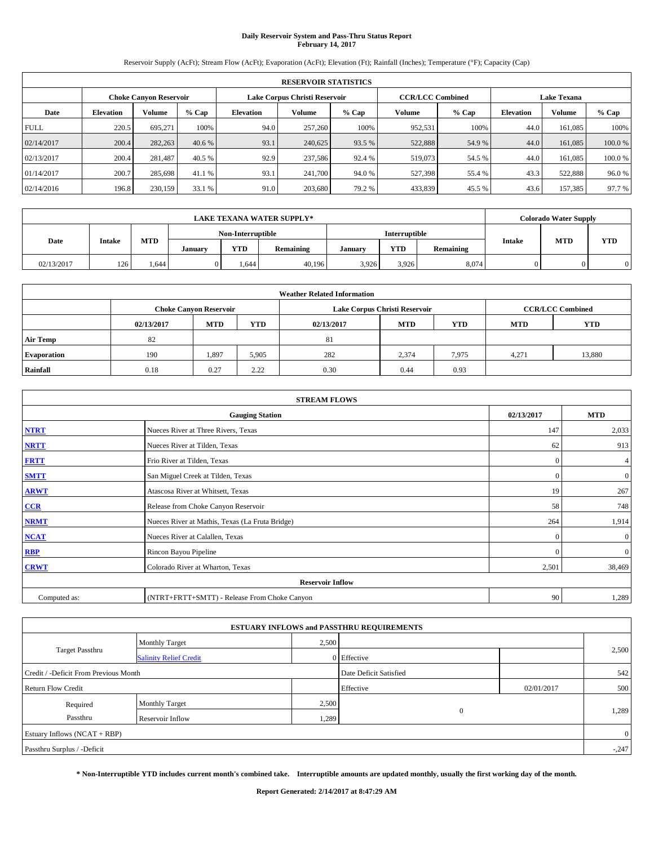## **Daily Reservoir System and Pass-Thru Status Report February 14, 2017**

Reservoir Supply (AcFt); Stream Flow (AcFt); Evaporation (AcFt); Elevation (Ft); Rainfall (Inches); Temperature (°F); Capacity (Cap)

|             | <b>RESERVOIR STATISTICS</b> |                               |         |                               |         |         |         |                         |                    |               |        |  |
|-------------|-----------------------------|-------------------------------|---------|-------------------------------|---------|---------|---------|-------------------------|--------------------|---------------|--------|--|
|             |                             | <b>Choke Canyon Reservoir</b> |         | Lake Corpus Christi Reservoir |         |         |         | <b>CCR/LCC Combined</b> | <b>Lake Texana</b> |               |        |  |
| Date        | <b>Elevation</b>            | Volume                        | $%$ Cap | <b>Elevation</b>              | Volume  | $%$ Cap | Volume  | $%$ Cap                 | <b>Elevation</b>   | <b>Volume</b> | % Cap  |  |
| <b>FULL</b> | 220.5                       | 695.271                       | 100%    | 94.0                          | 257,260 | 100%    | 952,531 | 100%                    | 44.0               | 161.085       | 100%   |  |
| 02/14/2017  | 200.4                       | 282,263                       | 40.6 %  | 93.1                          | 240,625 | 93.5 %  | 522,888 | 54.9 %                  | 44.0               | 161,085       | 100.0% |  |
| 02/13/2017  | 200.4                       | 281.487                       | 40.5 %  | 92.9                          | 237,586 | 92.4 %  | 519,073 | 54.5 %                  | 44.0               | 161.085       | 100.0% |  |
| 01/14/2017  | 200.7                       | 285,698                       | 41.1 %  | 93.1                          | 241,700 | 94.0 %  | 527,398 | 55.4 %                  | 43.3               | 522.888       | 96.0%  |  |
| 02/14/2016  | 196.8                       | 230,159                       | 33.1 %  | 91.0                          | 203,680 | 79.2 %  | 433,839 | 45.5 %                  | 43.6               | 157,385       | 97.7 % |  |

|            | <b>LAKE TEXANA WATER SUPPLY*</b> |            |         |                   |           |         |               |           |               | <b>Colorado Water Supply</b> |            |  |
|------------|----------------------------------|------------|---------|-------------------|-----------|---------|---------------|-----------|---------------|------------------------------|------------|--|
| Date       |                                  |            |         | Non-Interruptible |           |         | Interruptible |           |               | <b>MTD</b>                   |            |  |
|            | Intake                           | <b>MTD</b> | January | <b>YTD</b>        | Remaining | January | YTD           | Remaining | <b>Intake</b> |                              | <b>YTD</b> |  |
| 02/13/2017 | 126                              | 1.644      |         | .644              | 40,196    | 3.926   | 3,926         | 8,074     |               |                              |            |  |

| <b>Weather Related Information</b> |                                                                                                |                               |       |      |                               |                         |       |            |  |  |
|------------------------------------|------------------------------------------------------------------------------------------------|-------------------------------|-------|------|-------------------------------|-------------------------|-------|------------|--|--|
|                                    |                                                                                                | <b>Choke Canyon Reservoir</b> |       |      | Lake Corpus Christi Reservoir | <b>CCR/LCC Combined</b> |       |            |  |  |
|                                    | <b>MTD</b><br><b>YTD</b><br><b>YTD</b><br><b>MTD</b><br><b>MTD</b><br>02/13/2017<br>02/13/2017 |                               |       |      |                               |                         |       | <b>YTD</b> |  |  |
| Air Temp                           | 82                                                                                             |                               |       | 81   |                               |                         |       |            |  |  |
| <b>Evaporation</b>                 | 190                                                                                            | 1,897                         | 5,905 | 282  | 2,374                         | 7,975                   | 4.271 | 13,880     |  |  |
| Rainfall                           | 0.18                                                                                           | 0.27                          | 2.22  | 0.30 | 0.44                          | 0.93                    |       |            |  |  |

| <b>STREAM FLOWS</b> |                                                 |              |                |  |  |  |  |  |  |
|---------------------|-------------------------------------------------|--------------|----------------|--|--|--|--|--|--|
|                     | <b>Gauging Station</b>                          | 02/13/2017   | <b>MTD</b>     |  |  |  |  |  |  |
| <b>NTRT</b>         | Nueces River at Three Rivers, Texas             | 147          | 2,033          |  |  |  |  |  |  |
| <b>NRTT</b>         | Nueces River at Tilden, Texas                   | 62           | 913            |  |  |  |  |  |  |
| <b>FRTT</b>         | Frio River at Tilden, Texas                     | $\mathbf{0}$ | 4              |  |  |  |  |  |  |
| <b>SMTT</b>         | San Miguel Creek at Tilden, Texas               | $\mathbf{0}$ | $\mathbf{0}$   |  |  |  |  |  |  |
| <b>ARWT</b>         | Atascosa River at Whitsett, Texas               | 19           | 267            |  |  |  |  |  |  |
| CCR                 | Release from Choke Canyon Reservoir             | 58           | 748            |  |  |  |  |  |  |
| <b>NRMT</b>         | Nueces River at Mathis, Texas (La Fruta Bridge) | 264          | 1,914          |  |  |  |  |  |  |
| <b>NCAT</b>         | Nueces River at Calallen, Texas                 | $\mathbf{0}$ | $\overline{0}$ |  |  |  |  |  |  |
| <b>RBP</b>          | Rincon Bayou Pipeline                           | $\Omega$     | $\mathbf{0}$   |  |  |  |  |  |  |
| <b>CRWT</b>         | Colorado River at Wharton, Texas                | 2,501        | 38,469         |  |  |  |  |  |  |
|                     | <b>Reservoir Inflow</b>                         |              |                |  |  |  |  |  |  |
| Computed as:        | (NTRT+FRTT+SMTT) - Release From Choke Canyon    | 90           | 1,289          |  |  |  |  |  |  |

| <b>ESTUARY INFLOWS and PASSTHRU REQUIREMENTS</b> |                               |       |                        |            |                |  |  |  |  |  |
|--------------------------------------------------|-------------------------------|-------|------------------------|------------|----------------|--|--|--|--|--|
|                                                  | Monthly Target                | 2,500 |                        |            |                |  |  |  |  |  |
| <b>Target Passthru</b>                           | <b>Salinity Relief Credit</b> |       | 0 Effective            |            | 2,500          |  |  |  |  |  |
| Credit / -Deficit From Previous Month            |                               |       | Date Deficit Satisfied |            | 542            |  |  |  |  |  |
| <b>Return Flow Credit</b>                        |                               |       | Effective              | 02/01/2017 | 500            |  |  |  |  |  |
| Required                                         | <b>Monthly Target</b>         | 2,500 |                        |            |                |  |  |  |  |  |
| Passthru                                         | Reservoir Inflow              | 1,289 | $\theta$               |            | 1,289          |  |  |  |  |  |
| Estuary Inflows (NCAT + RBP)                     |                               |       |                        |            | $\overline{0}$ |  |  |  |  |  |
| Passthru Surplus / -Deficit                      |                               |       |                        |            | $-.247$        |  |  |  |  |  |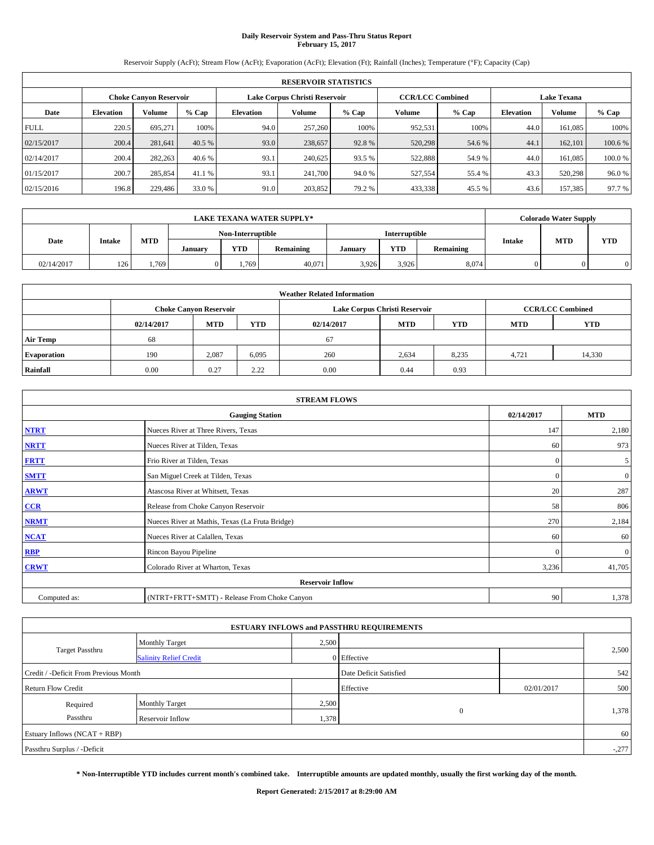## **Daily Reservoir System and Pass-Thru Status Report February 15, 2017**

Reservoir Supply (AcFt); Stream Flow (AcFt); Evaporation (AcFt); Elevation (Ft); Rainfall (Inches); Temperature (°F); Capacity (Cap)

|             | <b>RESERVOIR STATISTICS</b> |                               |         |                  |                               |         |                         |         |                    |               |        |  |
|-------------|-----------------------------|-------------------------------|---------|------------------|-------------------------------|---------|-------------------------|---------|--------------------|---------------|--------|--|
|             |                             | <b>Choke Canyon Reservoir</b> |         |                  | Lake Corpus Christi Reservoir |         | <b>CCR/LCC Combined</b> |         | <b>Lake Texana</b> |               |        |  |
| Date        | <b>Elevation</b>            | Volume                        | $%$ Cap | <b>Elevation</b> | Volume                        | $%$ Cap | Volume                  | $%$ Cap | <b>Elevation</b>   | <b>Volume</b> | % Cap  |  |
| <b>FULL</b> | 220.5                       | 695.271                       | 100%    | 94.0             | 257,260                       | 100%    | 952,531                 | 100%    | 44.0               | 161.085       | 100%   |  |
| 02/15/2017  | 200.4                       | 281.641                       | 40.5 %  | 93.0             | 238,657                       | 92.8%   | 520,298                 | 54.6 %  | 44.1               | 162,101       | 100.6% |  |
| 02/14/2017  | 200.4                       | 282,263                       | 40.6 %  | 93.1             | 240,625                       | 93.5 %  | 522,888                 | 54.9 %  | 44.0               | 161.085       | 100.0% |  |
| 01/15/2017  | 200.7                       | 285,854                       | 41.1 %  | 93.1             | 241,700                       | 94.0 %  | 527,554                 | 55.4 %  | 43.3               | 520,298       | 96.0%  |  |
| 02/15/2016  | 196.8                       | 229,486                       | 33.0 %  | 91.0             | 203,852                       | 79.2 %  | 433,338                 | 45.5 %  | 43.6               | 157,385       | 97.7 % |  |

|            | <b>LAKE TEXANA WATER SUPPLY*</b> |            |         |                   |           |         |               |           |               | <b>Colorado Water Supply</b> |            |  |
|------------|----------------------------------|------------|---------|-------------------|-----------|---------|---------------|-----------|---------------|------------------------------|------------|--|
| Date       |                                  |            |         | Non-Interruptible |           |         | Interruptible |           |               | <b>MTD</b>                   |            |  |
|            | Intake                           | <b>MTD</b> | January | <b>YTD</b>        | Remaining | January | YTD           | Remaining | <b>Intake</b> |                              | <b>YTD</b> |  |
| 02/14/2017 | 126                              | .,769      |         | .,769             | 40,071    | 3.926   | 3,926         | 8,074     |               |                              |            |  |

| <b>Weather Related Information</b> |            |                               |       |            |                               |                         |       |        |  |
|------------------------------------|------------|-------------------------------|-------|------------|-------------------------------|-------------------------|-------|--------|--|
|                                    |            | <b>Choke Canyon Reservoir</b> |       |            | Lake Corpus Christi Reservoir | <b>CCR/LCC Combined</b> |       |        |  |
|                                    | 02/14/2017 | <b>MTD</b>                    | YTD   | 02/14/2017 | <b>YTD</b>                    |                         |       |        |  |
| <b>Air Temp</b>                    | 68         |                               |       | 67         |                               |                         |       |        |  |
| <b>Evaporation</b>                 | 190        | 2,087                         | 6,095 | 260        | 2,634                         | 8,235                   | 4.721 | 14,330 |  |
| Rainfall                           | 0.00       | 0.27                          | 2.22  | 0.00       | 0.44                          | 0.93                    |       |        |  |

| <b>STREAM FLOWS</b> |                                                 |              |                |  |  |  |  |  |
|---------------------|-------------------------------------------------|--------------|----------------|--|--|--|--|--|
|                     | 02/14/2017                                      | <b>MTD</b>   |                |  |  |  |  |  |
| <b>NTRT</b>         | Nueces River at Three Rivers, Texas             | 147          | 2,180          |  |  |  |  |  |
| <b>NRTT</b>         | Nueces River at Tilden, Texas                   | 60           | 973            |  |  |  |  |  |
| <b>FRTT</b>         | Frio River at Tilden, Texas                     | $\mathbf{0}$ | 5              |  |  |  |  |  |
| <b>SMTT</b>         | San Miguel Creek at Tilden, Texas               | $\mathbf{0}$ | $\overline{0}$ |  |  |  |  |  |
| <b>ARWT</b>         | Atascosa River at Whitsett, Texas               | 20           | 287            |  |  |  |  |  |
| $CCR$               | Release from Choke Canyon Reservoir             | 58           | 806            |  |  |  |  |  |
| <b>NRMT</b>         | Nueces River at Mathis, Texas (La Fruta Bridge) | 270          | 2,184          |  |  |  |  |  |
| <b>NCAT</b>         | Nueces River at Calallen, Texas                 | 60           | 60             |  |  |  |  |  |
| RBP                 | Rincon Bayou Pipeline                           | $\mathbf{0}$ | $\mathbf{0}$   |  |  |  |  |  |
| <b>CRWT</b>         | Colorado River at Wharton, Texas                | 3,236        | 41,705         |  |  |  |  |  |
|                     | <b>Reservoir Inflow</b>                         |              |                |  |  |  |  |  |
| Computed as:        | (NTRT+FRTT+SMTT) - Release From Choke Canyon    | 90           | 1,378          |  |  |  |  |  |

|                                       |                               |       | <b>ESTUARY INFLOWS and PASSTHRU REQUIREMENTS</b> |            |         |
|---------------------------------------|-------------------------------|-------|--------------------------------------------------|------------|---------|
|                                       | <b>Monthly Target</b>         | 2,500 |                                                  |            |         |
| <b>Target Passthru</b>                | <b>Salinity Relief Credit</b> |       | 0 Effective                                      |            | 2,500   |
| Credit / -Deficit From Previous Month |                               |       | Date Deficit Satisfied                           |            | 542     |
| <b>Return Flow Credit</b>             |                               |       | Effective                                        | 02/01/2017 | 500     |
| Required                              | <b>Monthly Target</b>         | 2,500 |                                                  |            |         |
| Passthru                              | Reservoir Inflow              | 1,378 | $\theta$                                         |            | 1,378   |
| Estuary Inflows $(NCAT + RBP)$        |                               |       |                                                  |            | 60      |
| Passthru Surplus / -Deficit           |                               |       |                                                  |            | $-.277$ |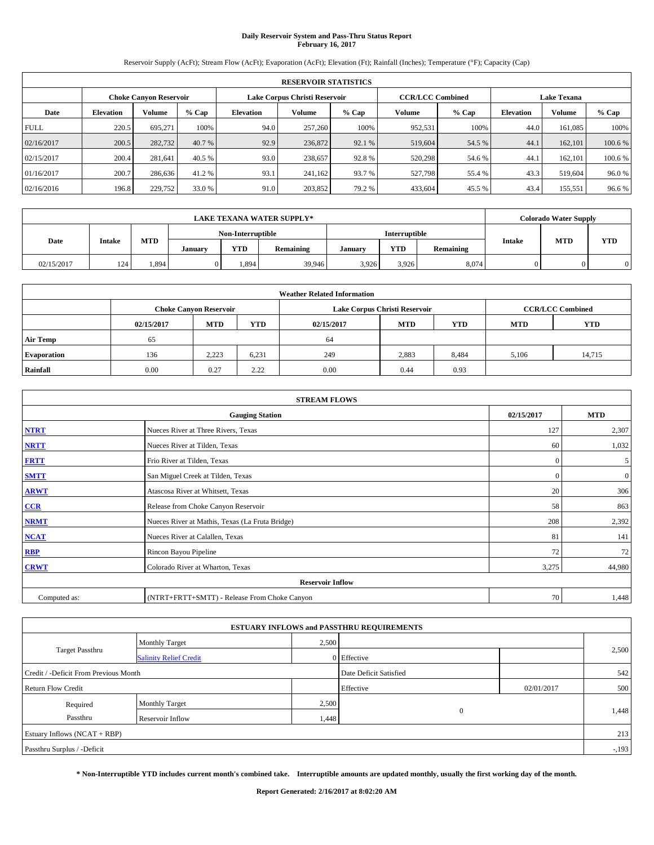## **Daily Reservoir System and Pass-Thru Status Report February 16, 2017**

Reservoir Supply (AcFt); Stream Flow (AcFt); Evaporation (AcFt); Elevation (Ft); Rainfall (Inches); Temperature (°F); Capacity (Cap)

|             | <b>RESERVOIR STATISTICS</b> |                               |         |                  |                               |         |                         |         |                  |                    |         |  |
|-------------|-----------------------------|-------------------------------|---------|------------------|-------------------------------|---------|-------------------------|---------|------------------|--------------------|---------|--|
|             |                             | <b>Choke Canyon Reservoir</b> |         |                  | Lake Corpus Christi Reservoir |         | <b>CCR/LCC Combined</b> |         |                  | <b>Lake Texana</b> |         |  |
| Date        | <b>Elevation</b>            | Volume                        | $%$ Cap | <b>Elevation</b> | Volume                        | $%$ Cap | Volume                  | $%$ Cap | <b>Elevation</b> | <b>Volume</b>      | % Cap   |  |
| <b>FULL</b> | 220.5                       | 695.271                       | 100%    | 94.0             | 257,260                       | 100%    | 952,531                 | 100%    | 44.0             | 161.085            | 100%    |  |
| 02/16/2017  | 200.5                       | 282,732                       | 40.7 %  | 92.9             | 236,872                       | 92.1 %  | 519,604                 | 54.5 %  | 44.1             | 162,101            | 100.6%  |  |
| 02/15/2017  | 200.4                       | 281.641                       | 40.5 %  | 93.0             | 238,657                       | 92.8%   | 520,298                 | 54.6 %  | 44.              | 162,101            | 100.6 % |  |
| 01/16/2017  | 200.7                       | 286,636                       | 41.2 %  | 93.1             | 241,162                       | 93.7 %  | 527,798                 | 55.4 %  | 43.3             | 519,604            | 96.0%   |  |
| 02/16/2016  | 196.8                       | 229,752                       | 33.0 %  | 91.0             | 203,852                       | 79.2 %  | 433,604                 | 45.5 %  | 43.4             | 155,551            | 96.6%   |  |

| <b>LAKE TEXANA WATER SUPPLY*</b> |        |            |         |                   |           |         |               |           |               | <b>Colorado Water Supply</b> |            |
|----------------------------------|--------|------------|---------|-------------------|-----------|---------|---------------|-----------|---------------|------------------------------|------------|
|                                  |        |            |         | Non-Interruptible |           |         | Interruptible |           |               |                              |            |
| Date                             | Intake | <b>MTD</b> | January | <b>YTD</b>        | Remaining | January | YTD           | Remaining | <b>Intake</b> | <b>MTD</b>                   | <b>YTD</b> |
| 02/15/2017                       | 124    | 1,894      |         | 1.894             | 39.946    | 3,926   | 3,926         | 8,074     |               |                              |            |

| <b>Weather Related Information</b> |            |                               |       |            |                                        |                         |       |        |  |  |  |
|------------------------------------|------------|-------------------------------|-------|------------|----------------------------------------|-------------------------|-------|--------|--|--|--|
|                                    |            | <b>Choke Canyon Reservoir</b> |       |            | Lake Corpus Christi Reservoir          | <b>CCR/LCC Combined</b> |       |        |  |  |  |
|                                    | 02/15/2017 | <b>MTD</b>                    | YTD   | 02/15/2017 | <b>MTD</b><br><b>YTD</b><br><b>MTD</b> |                         |       |        |  |  |  |
| Air Temp                           | 65         |                               |       | 64         |                                        |                         |       |        |  |  |  |
| <b>Evaporation</b>                 | 136        | 2,223                         | 6.231 | 249        | 2,883                                  | 8,484                   | 5,106 | 14,715 |  |  |  |
| Rainfall                           | 0.00       | 0.27                          | 2.22  | 0.00       | 0.44                                   | 0.93                    |       |        |  |  |  |

| <b>STREAM FLOWS</b> |                                                 |              |                |  |  |  |  |  |  |
|---------------------|-------------------------------------------------|--------------|----------------|--|--|--|--|--|--|
|                     | 02/15/2017                                      | <b>MTD</b>   |                |  |  |  |  |  |  |
| <b>NTRT</b>         | Nueces River at Three Rivers, Texas             | 127          | 2,307          |  |  |  |  |  |  |
| <b>NRTT</b>         | Nueces River at Tilden, Texas                   | 60           | 1,032          |  |  |  |  |  |  |
| <b>FRTT</b>         | Frio River at Tilden, Texas                     | $\mathbf{0}$ | 5 <sup>5</sup> |  |  |  |  |  |  |
| <b>SMTT</b>         | San Miguel Creek at Tilden, Texas               | $\Omega$     | $\overline{0}$ |  |  |  |  |  |  |
| <b>ARWT</b>         | Atascosa River at Whitsett, Texas               | 20           | 306            |  |  |  |  |  |  |
| CCR                 | Release from Choke Canyon Reservoir             | 58           | 863            |  |  |  |  |  |  |
| <b>NRMT</b>         | Nueces River at Mathis, Texas (La Fruta Bridge) | 208          | 2,392          |  |  |  |  |  |  |
| <b>NCAT</b>         | Nueces River at Calallen, Texas                 | 81           | 141            |  |  |  |  |  |  |
| RBP                 | Rincon Bayou Pipeline                           | 72           | 72             |  |  |  |  |  |  |
| <b>CRWT</b>         | Colorado River at Wharton, Texas                | 3,275        | 44,980         |  |  |  |  |  |  |
|                     | <b>Reservoir Inflow</b>                         |              |                |  |  |  |  |  |  |
| Computed as:        | (NTRT+FRTT+SMTT) - Release From Choke Canyon    | 70           | 1,448          |  |  |  |  |  |  |

|                                       |                               |       | <b>ESTUARY INFLOWS and PASSTHRU REQUIREMENTS</b> |            |        |
|---------------------------------------|-------------------------------|-------|--------------------------------------------------|------------|--------|
|                                       | <b>Monthly Target</b>         | 2,500 |                                                  |            |        |
| <b>Target Passthru</b>                | <b>Salinity Relief Credit</b> |       | 0 Effective                                      |            | 2,500  |
| Credit / -Deficit From Previous Month |                               |       | Date Deficit Satisfied                           |            | 542    |
| <b>Return Flow Credit</b>             |                               |       | Effective                                        | 02/01/2017 | 500    |
| Required                              | <b>Monthly Target</b>         | 2,500 |                                                  |            |        |
| Passthru                              | Reservoir Inflow              | 1,448 | $\theta$                                         |            | 1,448  |
| Estuary Inflows (NCAT + RBP)          |                               |       |                                                  |            | 213    |
| Passthru Surplus / -Deficit           |                               |       |                                                  |            | $-193$ |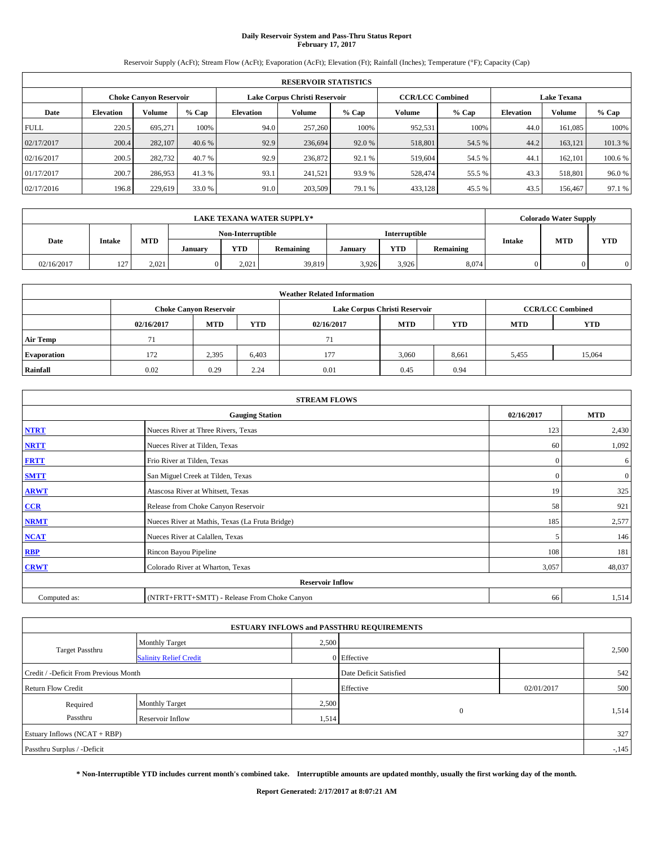## **Daily Reservoir System and Pass-Thru Status Report February 17, 2017**

Reservoir Supply (AcFt); Stream Flow (AcFt); Evaporation (AcFt); Elevation (Ft); Rainfall (Inches); Temperature (°F); Capacity (Cap)

| <b>RESERVOIR STATISTICS</b> |                  |                        |         |                               |         |         |                         |         |                  |                    |         |  |
|-----------------------------|------------------|------------------------|---------|-------------------------------|---------|---------|-------------------------|---------|------------------|--------------------|---------|--|
|                             |                  | Choke Canvon Reservoir |         | Lake Corpus Christi Reservoir |         |         | <b>CCR/LCC Combined</b> |         |                  | <b>Lake Texana</b> |         |  |
| Date                        | <b>Elevation</b> | Volume                 | $%$ Cap | <b>Elevation</b>              | Volume  | $%$ Cap | Volume                  | $%$ Cap | <b>Elevation</b> | <b>Volume</b>      | % Cap   |  |
| <b>FULL</b>                 | 220.5            | 695.271                | 100%    | 94.0                          | 257,260 | 100%    | 952,531                 | 100%    | 44.0             | 161.085            | 100%    |  |
| 02/17/2017                  | 200.4            | 282,107                | 40.6 %  | 92.9                          | 236,694 | 92.0 %  | 518,801                 | 54.5 %  | 44.2             | 163,121            | 101.3%  |  |
| 02/16/2017                  | 200.5            | 282,732                | 40.7 %  | 92.9                          | 236,872 | 92.1 %  | 519,604                 | 54.5 %  | 44.              | 162,101            | 100.6 % |  |
| 01/17/2017                  | 200.7            | 286,953                | 41.3 %  | 93.1                          | 241.521 | 93.9 %  | 528,474                 | 55.5 %  | 43.3             | 518,801            | 96.0%   |  |
| 02/17/2016                  | 196.8            | 229,619                | 33.0 %  | 91.0                          | 203,509 | 79.1 %  | 433,128                 | 45.5 %  | 43.5             | 156,467            | 97.1 %  |  |

| <b>LAKE TEXANA WATER SUPPLY*</b> |        |            |         |                   |           |         |               |           |               | <b>Colorado Water Supply</b> |            |
|----------------------------------|--------|------------|---------|-------------------|-----------|---------|---------------|-----------|---------------|------------------------------|------------|
|                                  |        |            |         | Non-Interruptible |           |         | Interruptible |           |               |                              |            |
| Date                             | Intake | <b>MTD</b> | January | <b>YTD</b>        | Remaining | January | YTD           | Remaining | <b>Intake</b> | <b>MTD</b>                   | <b>YTD</b> |
| 02/16/2017                       | 127    | 2,021      |         | 2.021             | 39,819    | 3.926   | 3,926         | 8,074     |               |                              |            |

| <b>Weather Related Information</b> |            |                               |       |            |                               |                         |       |        |  |
|------------------------------------|------------|-------------------------------|-------|------------|-------------------------------|-------------------------|-------|--------|--|
|                                    |            | <b>Choke Canyon Reservoir</b> |       |            | Lake Corpus Christi Reservoir | <b>CCR/LCC Combined</b> |       |        |  |
|                                    | 02/16/2017 | <b>MTD</b>                    | YTD   | 02/16/2017 | <b>YTD</b>                    |                         |       |        |  |
| <b>Air Temp</b>                    | 71         |                               |       | 71         |                               |                         |       |        |  |
| <b>Evaporation</b>                 | 172        | 2,395                         | 6,403 | 177        | 3,060                         | 8,661                   | 5,455 | 15,064 |  |
| Rainfall                           | 0.02       | 0.29                          | 2.24  | 0.01       | 0.45                          | 0.94                    |       |        |  |

| <b>STREAM FLOWS</b> |                                                 |                          |                |  |  |  |  |  |
|---------------------|-------------------------------------------------|--------------------------|----------------|--|--|--|--|--|
|                     | 02/16/2017                                      | <b>MTD</b>               |                |  |  |  |  |  |
| <b>NTRT</b>         | Nueces River at Three Rivers, Texas             | 123                      | 2,430          |  |  |  |  |  |
| <b>NRTT</b>         | Nueces River at Tilden, Texas                   | 60                       | 1,092          |  |  |  |  |  |
| <b>FRTT</b>         | Frio River at Tilden, Texas                     | $\mathbf{0}$             | 6              |  |  |  |  |  |
| <b>SMTT</b>         | San Miguel Creek at Tilden, Texas               | $\mathbf{0}$             | $\overline{0}$ |  |  |  |  |  |
| <b>ARWT</b>         | Atascosa River at Whitsett, Texas               | 19                       | 325            |  |  |  |  |  |
| CCR                 | Release from Choke Canyon Reservoir             | 58                       | 921            |  |  |  |  |  |
| <b>NRMT</b>         | Nueces River at Mathis, Texas (La Fruta Bridge) | 185                      | 2,577          |  |  |  |  |  |
| <b>NCAT</b>         | Nueces River at Calallen, Texas                 | $\overline{\phantom{0}}$ | 146            |  |  |  |  |  |
| <b>RBP</b>          | Rincon Bayou Pipeline                           | 108                      | 181            |  |  |  |  |  |
| <b>CRWT</b>         | Colorado River at Wharton, Texas                | 3,057                    | 48,037         |  |  |  |  |  |
|                     |                                                 |                          |                |  |  |  |  |  |
| Computed as:        | (NTRT+FRTT+SMTT) - Release From Choke Canyon    | 66                       | 1,514          |  |  |  |  |  |

| <b>ESTUARY INFLOWS and PASSTHRU REQUIREMENTS</b> |                               |       |                        |            |        |  |  |  |  |  |
|--------------------------------------------------|-------------------------------|-------|------------------------|------------|--------|--|--|--|--|--|
|                                                  | Monthly Target                | 2,500 |                        |            |        |  |  |  |  |  |
| <b>Target Passthru</b>                           | <b>Salinity Relief Credit</b> |       | 0 Effective            |            | 2,500  |  |  |  |  |  |
| Credit / -Deficit From Previous Month            |                               |       | Date Deficit Satisfied |            | 542    |  |  |  |  |  |
| <b>Return Flow Credit</b>                        |                               |       | Effective              | 02/01/2017 | 500    |  |  |  |  |  |
| Required                                         | <b>Monthly Target</b>         | 2,500 |                        |            |        |  |  |  |  |  |
| Passthru                                         | Reservoir Inflow              | 1,514 | $\theta$               |            | 1,514  |  |  |  |  |  |
| Estuary Inflows (NCAT + RBP)                     |                               |       |                        |            |        |  |  |  |  |  |
| Passthru Surplus / -Deficit                      |                               |       |                        |            | $-145$ |  |  |  |  |  |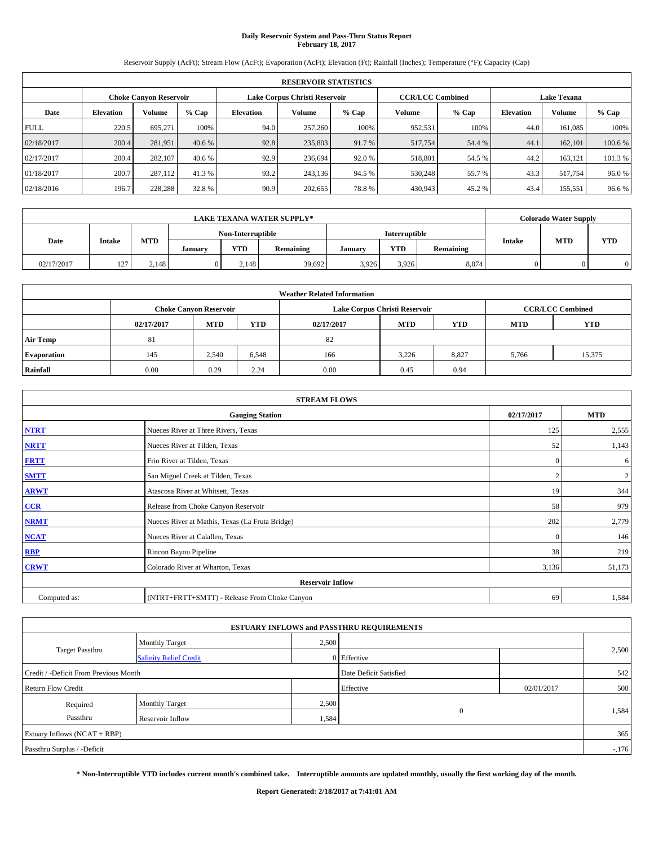## **Daily Reservoir System and Pass-Thru Status Report February 18, 2017**

Reservoir Supply (AcFt); Stream Flow (AcFt); Evaporation (AcFt); Elevation (Ft); Rainfall (Inches); Temperature (°F); Capacity (Cap)

|             | <b>RESERVOIR STATISTICS</b> |                               |         |                  |                               |         |                         |         |                  |                    |         |
|-------------|-----------------------------|-------------------------------|---------|------------------|-------------------------------|---------|-------------------------|---------|------------------|--------------------|---------|
|             |                             | <b>Choke Canyon Reservoir</b> |         |                  | Lake Corpus Christi Reservoir |         | <b>CCR/LCC Combined</b> |         |                  | <b>Lake Texana</b> |         |
| Date        | <b>Elevation</b>            | Volume                        | $%$ Cap | <b>Elevation</b> | Volume                        | $%$ Cap | Volume                  | $%$ Cap | <b>Elevation</b> | <b>Volume</b>      | % Cap   |
| <b>FULL</b> | 220.5                       | 695.271                       | 100%    | 94.0             | 257,260                       | 100%    | 952,531                 | 100%    | 44.0             | 161.085            | 100%    |
| 02/18/2017  | 200.4                       | 281,951                       | 40.6 %  | 92.8             | 235,803                       | 91.7 %  | 517,754                 | 54.4 %  | 44.1             | 162,101            | 100.6%  |
| 02/17/2017  | 200.4                       | 282,107                       | 40.6 %  | 92.9             | 236,694                       | 92.0 %  | 518,801                 | 54.5 %  | 44.2             | 163.121            | 101.3 % |
| 01/18/2017  | 200.7                       | 287.112                       | 41.3 %  | 93.2             | 243,136                       | 94.5 %  | 530,248                 | 55.7 %  | 43.3             | 517.754            | 96.0%   |
| 02/18/2016  | 196.7                       | 228,288                       | 32.8 %  | 90.9             | 202,655                       | 78.8%   | 430,943                 | 45.2%   | 43.4             | 155,551            | 96.6%   |

|            |        |            |         |                   | <b>LAKE TEXANA WATER SUPPLY*</b> |               |       |           |               | <b>Colorado Water Supply</b> |            |
|------------|--------|------------|---------|-------------------|----------------------------------|---------------|-------|-----------|---------------|------------------------------|------------|
|            |        |            |         | Non-Interruptible |                                  | Interruptible |       |           |               |                              |            |
| Date       | Intake | <b>MTD</b> | January | <b>YTD</b>        | Remaining                        | January       | YTD   | Remaining | <b>Intake</b> | <b>MTD</b>                   | <b>YTD</b> |
| 02/17/2017 | 127    | 2,148      |         | 2.148             | 39,692                           | 3.926         | 3,926 | 8,074     |               |                              |            |

| <b>Weather Related Information</b> |            |                                                                           |       |      |                               |       |                         |        |  |  |
|------------------------------------|------------|---------------------------------------------------------------------------|-------|------|-------------------------------|-------|-------------------------|--------|--|--|
|                                    |            | <b>Choke Canyon Reservoir</b>                                             |       |      | Lake Corpus Christi Reservoir |       | <b>CCR/LCC Combined</b> |        |  |  |
|                                    | 02/17/2017 | <b>MTD</b><br>YTD<br><b>MTD</b><br><b>YTD</b><br><b>MTD</b><br>02/17/2017 |       |      |                               |       |                         |        |  |  |
| <b>Air Temp</b>                    | 81         |                                                                           |       | 82   |                               |       |                         |        |  |  |
| <b>Evaporation</b>                 | 145        | 2,540                                                                     | 6,548 | 166  | 3,226                         | 8,827 | 5,766                   | 15,375 |  |  |
| Rainfall                           | 0.00       | 0.29                                                                      | 2.24  | 0.00 | 0.45                          | 0.94  |                         |        |  |  |

|              | <b>STREAM FLOWS</b>                             |              |                  |
|--------------|-------------------------------------------------|--------------|------------------|
|              | <b>Gauging Station</b>                          | 02/17/2017   | <b>MTD</b>       |
| <b>NTRT</b>  | Nueces River at Three Rivers, Texas             | 125          | 2,555            |
| <b>NRTT</b>  | Nueces River at Tilden, Texas                   | 52           | 1,143            |
| <b>FRTT</b>  | Frio River at Tilden, Texas                     | $\mathbf{0}$ | 6                |
| <b>SMTT</b>  | San Miguel Creek at Tilden, Texas               |              | $\boldsymbol{2}$ |
| <b>ARWT</b>  | Atascosa River at Whitsett, Texas               | 19           | 344              |
| $CCR$        | Release from Choke Canyon Reservoir             | 58           | 979              |
| <b>NRMT</b>  | Nueces River at Mathis, Texas (La Fruta Bridge) | 202          | 2,779            |
| <b>NCAT</b>  | Nueces River at Calallen, Texas                 | $\Omega$     | 146              |
| <b>RBP</b>   | Rincon Bayou Pipeline                           | 38           | 219              |
| <b>CRWT</b>  | Colorado River at Wharton, Texas                | 3,136        | 51,173           |
|              | <b>Reservoir Inflow</b>                         |              |                  |
| Computed as: | (NTRT+FRTT+SMTT) - Release From Choke Canyon    | -69          | 1,584            |

| <b>ESTUARY INFLOWS and PASSTHRU REQUIREMENTS</b> |                               |       |                        |            |        |  |  |  |  |  |
|--------------------------------------------------|-------------------------------|-------|------------------------|------------|--------|--|--|--|--|--|
|                                                  | Monthly Target                | 2,500 |                        |            |        |  |  |  |  |  |
| <b>Target Passthru</b>                           | <b>Salinity Relief Credit</b> |       | 0 Effective            |            | 2,500  |  |  |  |  |  |
| Credit / -Deficit From Previous Month            |                               |       | Date Deficit Satisfied |            | 542    |  |  |  |  |  |
| <b>Return Flow Credit</b>                        |                               |       | Effective              | 02/01/2017 | 500    |  |  |  |  |  |
| Required                                         | <b>Monthly Target</b>         | 2,500 |                        |            |        |  |  |  |  |  |
| Passthru                                         | Reservoir Inflow              | 1,584 | $\theta$               |            | 1,584  |  |  |  |  |  |
| Estuary Inflows (NCAT + RBP)                     |                               |       |                        |            |        |  |  |  |  |  |
| Passthru Surplus / -Deficit                      |                               |       |                        |            | $-176$ |  |  |  |  |  |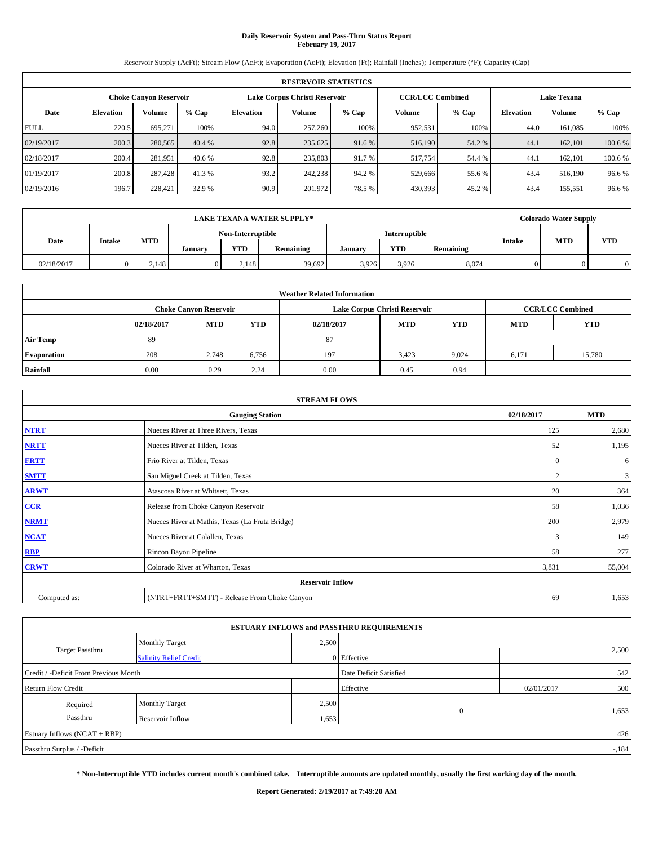## **Daily Reservoir System and Pass-Thru Status Report February 19, 2017**

Reservoir Supply (AcFt); Stream Flow (AcFt); Evaporation (AcFt); Elevation (Ft); Rainfall (Inches); Temperature (°F); Capacity (Cap)

|             | <b>RESERVOIR STATISTICS</b> |                        |         |                  |                               |         |                         |         |                  |                    |         |
|-------------|-----------------------------|------------------------|---------|------------------|-------------------------------|---------|-------------------------|---------|------------------|--------------------|---------|
|             |                             | Choke Canvon Reservoir |         |                  | Lake Corpus Christi Reservoir |         | <b>CCR/LCC Combined</b> |         |                  | <b>Lake Texana</b> |         |
| Date        | <b>Elevation</b>            | Volume                 | $%$ Cap | <b>Elevation</b> | Volume                        | $%$ Cap | Volume                  | $%$ Cap | <b>Elevation</b> | <b>Volume</b>      | % Cap   |
| <b>FULL</b> | 220.5                       | 695.271                | 100%    | 94.0             | 257,260                       | 100%    | 952,531                 | 100%    | 44.0             | 161.085            | 100%    |
| 02/19/2017  | 200.3                       | 280,565                | 40.4 %  | 92.8             | 235,625                       | 91.6 %  | 516,190                 | 54.2 %  | 44.1             | 162,101            | 100.6 % |
| 02/18/2017  | 200.4                       | 281,951                | 40.6 %  | 92.8             | 235,803                       | 91.7 %  | 517,754                 | 54.4 %  | 44.              | 162,101            | 100.6 % |
| 01/19/2017  | 200.8                       | 287.428                | 41.3 %  | 93.2             | 242,238                       | 94.2 %  | 529,666                 | 55.6 %  | 43.4             | 516,190            | 96.6%   |
| 02/19/2016  | 196.7                       | 228,421                | 32.9 %  | 90.9             | 201,972                       | 78.5 %  | 430,393                 | 45.2 %  | 43.4             | 155,551            | 96.6%   |

|            |        |            |         |                   | <b>LAKE TEXANA WATER SUPPLY*</b> |         |               |           |               | <b>Colorado Water Supply</b> |            |
|------------|--------|------------|---------|-------------------|----------------------------------|---------|---------------|-----------|---------------|------------------------------|------------|
|            |        |            |         | Non-Interruptible |                                  |         | Interruptible |           |               |                              |            |
| Date       | Intake | <b>MTD</b> | January | <b>YTD</b>        | Remaining                        | January | YTD           | Remaining | <b>Intake</b> | <b>MTD</b>                   | <b>YTD</b> |
| 02/18/2017 |        | 2.148      |         | 2.148             | 39,692                           | 3.926   | 3,926         | 8,074     |               |                              |            |

| <b>Weather Related Information</b> |            |                                                                                  |       |      |                               |       |                         |        |  |  |
|------------------------------------|------------|----------------------------------------------------------------------------------|-------|------|-------------------------------|-------|-------------------------|--------|--|--|
|                                    |            | <b>Choke Canyon Reservoir</b>                                                    |       |      | Lake Corpus Christi Reservoir |       | <b>CCR/LCC Combined</b> |        |  |  |
|                                    | 02/18/2017 | <b>MTD</b><br><b>YTD</b><br><b>YTD</b><br><b>MTD</b><br><b>MTD</b><br>02/18/2017 |       |      |                               |       |                         |        |  |  |
| <b>Air Temp</b>                    | 89         |                                                                                  |       | 87   |                               |       |                         |        |  |  |
| <b>Evaporation</b>                 | 208        | 2.748                                                                            | 6,756 | 197  | 3,423                         | 9,024 | 6.171                   | 15,780 |  |  |
| Rainfall                           | 0.00       | 0.29                                                                             | 2.24  | 0.00 | 0.45                          | 0.94  |                         |        |  |  |

|              | <b>STREAM FLOWS</b>                             |              |            |  |  |  |  |  |  |  |  |
|--------------|-------------------------------------------------|--------------|------------|--|--|--|--|--|--|--|--|
|              | <b>Gauging Station</b>                          | 02/18/2017   | <b>MTD</b> |  |  |  |  |  |  |  |  |
| <b>NTRT</b>  | Nueces River at Three Rivers, Texas             | 125          | 2,680      |  |  |  |  |  |  |  |  |
| <b>NRTT</b>  | Nueces River at Tilden, Texas                   | 52           | 1,195      |  |  |  |  |  |  |  |  |
| <b>FRTT</b>  | Frio River at Tilden, Texas                     | $\mathbf{0}$ | 6          |  |  |  |  |  |  |  |  |
| <b>SMTT</b>  | San Miguel Creek at Tilden, Texas               |              | 3          |  |  |  |  |  |  |  |  |
| <b>ARWT</b>  | Atascosa River at Whitsett, Texas               | 20           | 364        |  |  |  |  |  |  |  |  |
| $CCR$        | Release from Choke Canyon Reservoir             | 58           | 1,036      |  |  |  |  |  |  |  |  |
| <b>NRMT</b>  | Nueces River at Mathis, Texas (La Fruta Bridge) | 200          | 2,979      |  |  |  |  |  |  |  |  |
| <b>NCAT</b>  | Nueces River at Calallen, Texas                 | 3            | 149        |  |  |  |  |  |  |  |  |
| RBP          | Rincon Bayou Pipeline                           | 58           | 277        |  |  |  |  |  |  |  |  |
| <b>CRWT</b>  | Colorado River at Wharton, Texas                | 3,831        | 55,004     |  |  |  |  |  |  |  |  |
|              | <b>Reservoir Inflow</b>                         |              |            |  |  |  |  |  |  |  |  |
| Computed as: | (NTRT+FRTT+SMTT) - Release From Choke Canyon    | 69           | 1,653      |  |  |  |  |  |  |  |  |

|                                       |                               |       | <b>ESTUARY INFLOWS and PASSTHRU REQUIREMENTS</b> |            |        |
|---------------------------------------|-------------------------------|-------|--------------------------------------------------|------------|--------|
|                                       | Monthly Target                | 2,500 |                                                  |            |        |
| <b>Target Passthru</b>                | <b>Salinity Relief Credit</b> |       | 0 Effective                                      |            | 2,500  |
| Credit / -Deficit From Previous Month |                               |       | Date Deficit Satisfied                           |            | 542    |
| <b>Return Flow Credit</b>             |                               |       | Effective                                        | 02/01/2017 | 500    |
| Required                              | Monthly Target                | 2,500 |                                                  |            |        |
| Passthru                              | <b>Reservoir Inflow</b>       | 1,653 | $\mathbf{0}$                                     |            | 1,653  |
| Estuary Inflows $(NCAT + RBP)$        |                               |       |                                                  |            | 426    |
| Passthru Surplus / -Deficit           |                               |       |                                                  |            | $-184$ |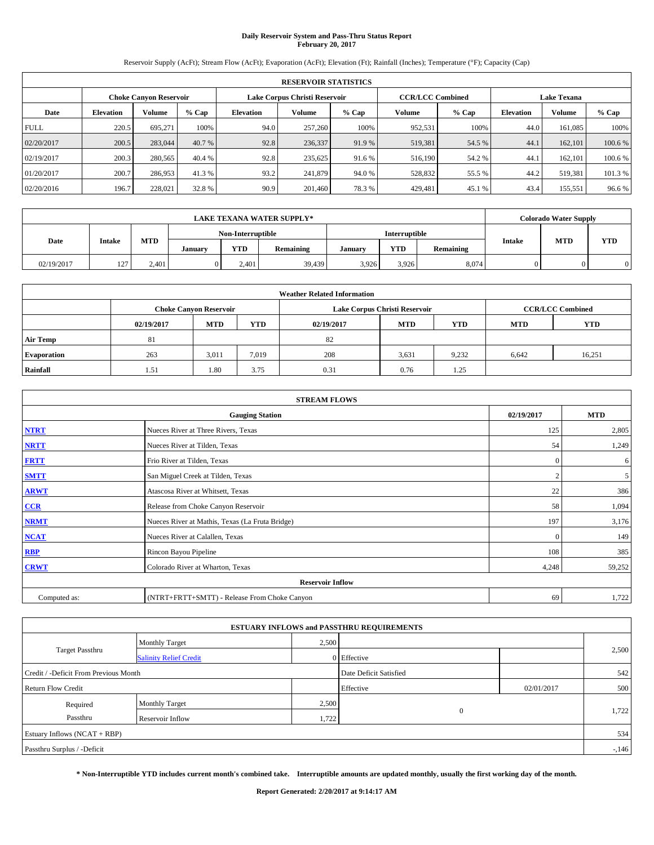## **Daily Reservoir System and Pass-Thru Status Report February 20, 2017**

Reservoir Supply (AcFt); Stream Flow (AcFt); Evaporation (AcFt); Elevation (Ft); Rainfall (Inches); Temperature (°F); Capacity (Cap)

|             | <b>RESERVOIR STATISTICS</b> |                               |         |                  |                               |         |                                               |         |                  |               |         |
|-------------|-----------------------------|-------------------------------|---------|------------------|-------------------------------|---------|-----------------------------------------------|---------|------------------|---------------|---------|
|             |                             | <b>Choke Canyon Reservoir</b> |         |                  | Lake Corpus Christi Reservoir |         | <b>CCR/LCC Combined</b><br><b>Lake Texana</b> |         |                  |               |         |
| Date        | <b>Elevation</b>            | Volume                        | $%$ Cap | <b>Elevation</b> | Volume                        | $%$ Cap | Volume                                        | $%$ Cap | <b>Elevation</b> | <b>Volume</b> | $%$ Cap |
| <b>FULL</b> | 220.5                       | 695.271                       | 100%    | 94.0             | 257,260                       | 100%    | 952,531                                       | 100%    | 44.0             | 161.085       | 100%    |
| 02/20/2017  | 200.5                       | 283,044                       | 40.7 %  | 92.8             | 236,337                       | 91.9 %  | 519,381                                       | 54.5 %  | 44.1             | 162,101       | 100.6%  |
| 02/19/2017  | 200.3                       | 280,565                       | 40.4 %  | 92.8             | 235.625                       | 91.6 %  | 516,190                                       | 54.2 %  | 44.              | 162,101       | 100.6%  |
| 01/20/2017  | 200.7                       | 286,953                       | 41.3 %  | 93.2             | 241,879                       | 94.0%   | 528,832                                       | 55.5 %  | 44.2             | 519.381       | 101.3 % |
| 02/20/2016  | 196.7                       | 228,021                       | 32.8 %  | 90.9             | 201.460                       | 78.3%   | 429,481                                       | 45.1 %  | 43.4             | 155,551       | 96.6%   |

|            |        |            |         |                   | <b>LAKE TEXANA WATER SUPPLY*</b> |         |               |           |               | <b>Colorado Water Supply</b> |            |
|------------|--------|------------|---------|-------------------|----------------------------------|---------|---------------|-----------|---------------|------------------------------|------------|
|            |        |            |         | Non-Interruptible |                                  |         | Interruptible |           |               | <b>MTD</b>                   |            |
| Date       | Intake | <b>MTD</b> | January | <b>YTD</b>        | Remaining                        | January | YTD           | Remaining | <b>Intake</b> |                              | <b>YTD</b> |
| 02/19/2017 | 127    | 2,401      |         | 2.401             | 39,439                           | 3.926   | 3,926         | 8,074     |               |                              |            |

|                    | <b>Weather Related Information</b> |                                                                           |       |      |                               |                         |       |        |  |  |  |  |
|--------------------|------------------------------------|---------------------------------------------------------------------------|-------|------|-------------------------------|-------------------------|-------|--------|--|--|--|--|
|                    |                                    | <b>Choke Canyon Reservoir</b>                                             |       |      | Lake Corpus Christi Reservoir | <b>CCR/LCC Combined</b> |       |        |  |  |  |  |
|                    | 02/19/2017                         | <b>MTD</b><br>YTD<br><b>MTD</b><br><b>YTD</b><br><b>MTD</b><br>02/19/2017 |       |      |                               |                         |       |        |  |  |  |  |
| <b>Air Temp</b>    | 81                                 |                                                                           |       | 82   |                               |                         |       |        |  |  |  |  |
| <b>Evaporation</b> | 263                                | 3,011                                                                     | 7,019 | 208  | 3,631                         | 9,232                   | 6,642 | 16,251 |  |  |  |  |
| Rainfall           | 1.51                               | 1.80                                                                      | 3.75  | 0.31 | 0.76                          | 1.25                    |       |        |  |  |  |  |

| <b>STREAM FLOWS</b> |                                                 |              |            |  |  |  |  |  |
|---------------------|-------------------------------------------------|--------------|------------|--|--|--|--|--|
|                     | <b>Gauging Station</b>                          | 02/19/2017   | <b>MTD</b> |  |  |  |  |  |
| <b>NTRT</b>         | Nueces River at Three Rivers, Texas             | 125          | 2,805      |  |  |  |  |  |
| <b>NRTT</b>         | Nueces River at Tilden, Texas                   | 54           | 1,249      |  |  |  |  |  |
| <b>FRTT</b>         | Frio River at Tilden, Texas                     | $\mathbf{0}$ | 6          |  |  |  |  |  |
| <b>SMTT</b>         | San Miguel Creek at Tilden, Texas               |              | 5          |  |  |  |  |  |
| <b>ARWT</b>         | Atascosa River at Whitsett, Texas               | 22           | 386        |  |  |  |  |  |
| $CCR$               | Release from Choke Canyon Reservoir             | 58           | 1,094      |  |  |  |  |  |
| <b>NRMT</b>         | Nueces River at Mathis, Texas (La Fruta Bridge) | 197          | 3,176      |  |  |  |  |  |
| <b>NCAT</b>         | Nueces River at Calallen, Texas                 | $\Omega$     | 149        |  |  |  |  |  |
| <b>RBP</b>          | Rincon Bayou Pipeline                           | 108          | 385        |  |  |  |  |  |
| <b>CRWT</b>         | Colorado River at Wharton, Texas                | 4,248        | 59,252     |  |  |  |  |  |
|                     | <b>Reservoir Inflow</b>                         |              |            |  |  |  |  |  |
| Computed as:        | (NTRT+FRTT+SMTT) - Release From Choke Canyon    | 69           | 1,722      |  |  |  |  |  |

|                                       |                               |       | <b>ESTUARY INFLOWS and PASSTHRU REQUIREMENTS</b> |            |        |
|---------------------------------------|-------------------------------|-------|--------------------------------------------------|------------|--------|
|                                       | Monthly Target                | 2,500 |                                                  |            |        |
| <b>Target Passthru</b>                | <b>Salinity Relief Credit</b> |       | 0 Effective                                      |            | 2,500  |
| Credit / -Deficit From Previous Month |                               |       | Date Deficit Satisfied                           |            | 542    |
| <b>Return Flow Credit</b>             |                               |       | Effective                                        | 02/01/2017 | 500    |
| Required                              | <b>Monthly Target</b>         | 2,500 |                                                  |            |        |
| Passthru                              | Reservoir Inflow              | 1,722 | $\theta$                                         |            | 1,722  |
| Estuary Inflows (NCAT + RBP)          |                               |       |                                                  |            | 534    |
| Passthru Surplus / -Deficit           |                               |       |                                                  |            | $-146$ |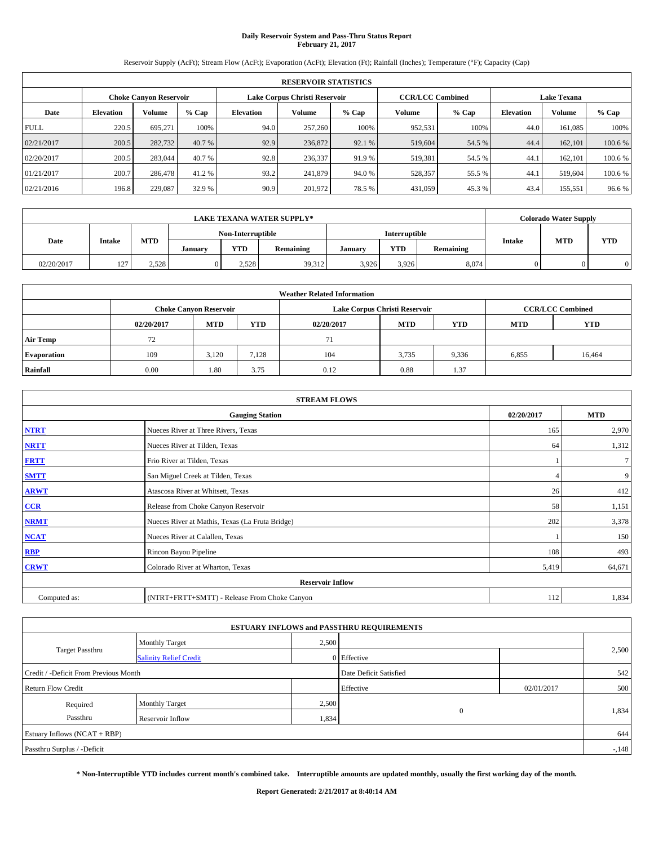## **Daily Reservoir System and Pass-Thru Status Report February 21, 2017**

Reservoir Supply (AcFt); Stream Flow (AcFt); Evaporation (AcFt); Elevation (Ft); Rainfall (Inches); Temperature (°F); Capacity (Cap)

|             | <b>RESERVOIR STATISTICS</b> |                               |         |                               |         |         |                         |         |                    |               |        |  |  |
|-------------|-----------------------------|-------------------------------|---------|-------------------------------|---------|---------|-------------------------|---------|--------------------|---------------|--------|--|--|
|             |                             | <b>Choke Canyon Reservoir</b> |         | Lake Corpus Christi Reservoir |         |         | <b>CCR/LCC Combined</b> |         | <b>Lake Texana</b> |               |        |  |  |
| Date        | <b>Elevation</b>            | Volume                        | $%$ Cap | <b>Elevation</b>              | Volume  | $%$ Cap | Volume                  | $%$ Cap | <b>Elevation</b>   | <b>Volume</b> | % Cap  |  |  |
| <b>FULL</b> | 220.5                       | 695.271                       | 100%    | 94.0                          | 257,260 | 100%    | 952,531                 | 100%    | 44.0               | 161.085       | 100%   |  |  |
| 02/21/2017  | 200.5                       | 282,732                       | 40.7 %  | 92.9                          | 236,872 | 92.1 %  | 519,604                 | 54.5 %  | 44.4               | 162,101       | 100.6% |  |  |
| 02/20/2017  | 200.5                       | 283,044                       | 40.7 %  | 92.8                          | 236,337 | 91.9 %  | 519.381                 | 54.5 %  | 44.                | 162,101       | 100.6% |  |  |
| 01/21/2017  | 200.7                       | 286,478                       | 41.2 %  | 93.2                          | 241,879 | 94.0%   | 528,357                 | 55.5 %  | 44.1               | 519,604       | 100.6% |  |  |
| 02/21/2016  | 196.8                       | 229,087                       | 32.9 %  | 90.9                          | 201,972 | 78.5 %  | 431,059                 | 45.3 %  | 43.4               | 155,551       | 96.6%  |  |  |

|            |               |       |         |                   | <b>LAKE TEXANA WATER SUPPLY*</b> |         |               |           |               | <b>Colorado Water Supply</b> |            |
|------------|---------------|-------|---------|-------------------|----------------------------------|---------|---------------|-----------|---------------|------------------------------|------------|
|            |               |       |         | Non-Interruptible |                                  |         | Interruptible |           |               | <b>MTD</b>                   |            |
| Date       | <b>Intake</b> | MTD   | January | <b>YTD</b>        | Remaining                        | January | YTD           | Remaining | <b>Intake</b> |                              | <b>YTD</b> |
| 02/20/2017 | 127           | 2,528 |         | 2.528             | 39,312                           | 3.926   | 3,926         | 8,074     |               |                              | 0          |

|                    | <b>Weather Related Information</b>                                                             |                               |       |      |                               |                         |       |            |  |  |  |  |
|--------------------|------------------------------------------------------------------------------------------------|-------------------------------|-------|------|-------------------------------|-------------------------|-------|------------|--|--|--|--|
|                    |                                                                                                | <b>Choke Canyon Reservoir</b> |       |      | Lake Corpus Christi Reservoir | <b>CCR/LCC Combined</b> |       |            |  |  |  |  |
|                    | <b>MTD</b><br><b>YTD</b><br><b>YTD</b><br><b>MTD</b><br><b>MTD</b><br>02/20/2017<br>02/20/2017 |                               |       |      |                               |                         |       | <b>YTD</b> |  |  |  |  |
| <b>Air Temp</b>    | 72                                                                                             |                               |       | 71   |                               |                         |       |            |  |  |  |  |
| <b>Evaporation</b> | 109                                                                                            | 3.120                         | 7.128 | 104  | 3,735                         | 9,336                   | 6,855 | 16,464     |  |  |  |  |
| Rainfall           | 0.00                                                                                           | 1.80                          | 3.75  | 0.12 | 0.88                          | 1.37                    |       |            |  |  |  |  |

| <b>STREAM FLOWS</b> |                                                 |            |                |  |  |  |  |  |
|---------------------|-------------------------------------------------|------------|----------------|--|--|--|--|--|
|                     | <b>Gauging Station</b>                          | 02/20/2017 | <b>MTD</b>     |  |  |  |  |  |
| <b>NTRT</b>         | Nueces River at Three Rivers, Texas             | 165        | 2,970          |  |  |  |  |  |
| <b>NRTT</b>         | Nueces River at Tilden, Texas                   | 64         | 1,312          |  |  |  |  |  |
| <b>FRTT</b>         | Frio River at Tilden, Texas                     |            | $7\phantom{.}$ |  |  |  |  |  |
| <b>SMTT</b>         | San Miguel Creek at Tilden, Texas               |            | 9              |  |  |  |  |  |
| <b>ARWT</b>         | Atascosa River at Whitsett, Texas               | 26         | 412            |  |  |  |  |  |
| CCR                 | Release from Choke Canyon Reservoir             | 58         | 1,151          |  |  |  |  |  |
| <b>NRMT</b>         | Nueces River at Mathis, Texas (La Fruta Bridge) | 202        | 3,378          |  |  |  |  |  |
| <b>NCAT</b>         | Nueces River at Calallen, Texas                 |            | 150            |  |  |  |  |  |
| <b>RBP</b>          | Rincon Bayou Pipeline                           | 108        | 493            |  |  |  |  |  |
| <b>CRWT</b>         | Colorado River at Wharton, Texas                | 5,419      | 64,671         |  |  |  |  |  |
|                     | <b>Reservoir Inflow</b>                         |            |                |  |  |  |  |  |
| Computed as:        | (NTRT+FRTT+SMTT) - Release From Choke Canyon    |            |                |  |  |  |  |  |

|                                       |                               |       | <b>ESTUARY INFLOWS and PASSTHRU REQUIREMENTS</b> |            |        |
|---------------------------------------|-------------------------------|-------|--------------------------------------------------|------------|--------|
|                                       | Monthly Target                | 2,500 |                                                  |            |        |
| <b>Target Passthru</b>                | <b>Salinity Relief Credit</b> |       | 0 Effective                                      |            | 2,500  |
| Credit / -Deficit From Previous Month |                               |       | Date Deficit Satisfied                           |            | 542    |
| <b>Return Flow Credit</b>             |                               |       | Effective                                        | 02/01/2017 | 500    |
| Required                              | Monthly Target                | 2,500 |                                                  |            |        |
| Passthru                              | Reservoir Inflow              | 1,834 | $\mathbf{0}$                                     |            | 1,834  |
| Estuary Inflows (NCAT + RBP)          |                               |       |                                                  |            | 644    |
| Passthru Surplus / -Deficit           |                               |       |                                                  |            | $-148$ |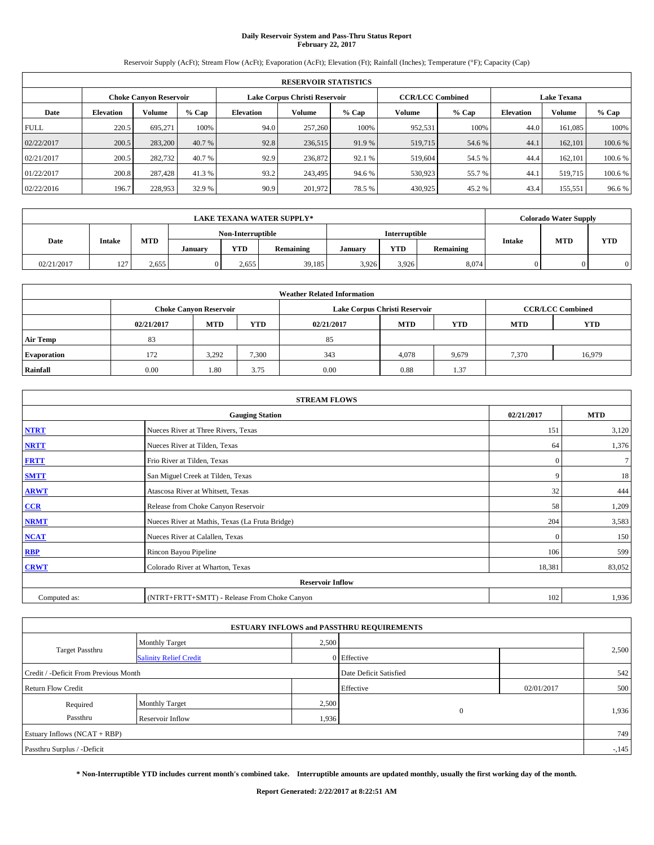## **Daily Reservoir System and Pass-Thru Status Report February 22, 2017**

Reservoir Supply (AcFt); Stream Flow (AcFt); Evaporation (AcFt); Elevation (Ft); Rainfall (Inches); Temperature (°F); Capacity (Cap)

|             | <b>RESERVOIR STATISTICS</b>                             |         |         |                  |         |         |         |                         |                    |               |         |  |  |
|-------------|---------------------------------------------------------|---------|---------|------------------|---------|---------|---------|-------------------------|--------------------|---------------|---------|--|--|
|             | Lake Corpus Christi Reservoir<br>Choke Canvon Reservoir |         |         |                  |         |         |         | <b>CCR/LCC Combined</b> | <b>Lake Texana</b> |               |         |  |  |
| Date        | <b>Elevation</b>                                        | Volume  | $%$ Cap | <b>Elevation</b> | Volume  | $%$ Cap | Volume  | $%$ Cap                 | <b>Elevation</b>   | <b>Volume</b> | % Cap   |  |  |
| <b>FULL</b> | 220.5                                                   | 695.271 | 100%    | 94.0             | 257,260 | 100%    | 952,531 | 100%                    | 44.0               | 161.085       | 100%    |  |  |
| 02/22/2017  | 200.5                                                   | 283,200 | 40.7 %  | 92.8             | 236,515 | 91.9 %  | 519,715 | 54.6 %                  | 44.1               | 162,101       | 100.6 % |  |  |
| 02/21/2017  | 200.5                                                   | 282,732 | 40.7 %  | 92.9             | 236,872 | 92.1 %  | 519,604 | 54.5 %                  | 44.4               | 162,101       | 100.6 % |  |  |
| 01/22/2017  | 200.8                                                   | 287.428 | 41.3 %  | 93.2             | 243.495 | 94.6 %  | 530,923 | 55.7 %                  | 44.1               | 519,715       | 100.6 % |  |  |
| 02/22/2016  | 196.7                                                   | 228,953 | 32.9 %  | 90.9             | 201,972 | 78.5 %  | 430,925 | 45.2 %                  | 43.4               | 155,551       | 96.6%   |  |  |

|            | <b>LAKE TEXANA WATER SUPPLY*</b> |            |         |                   |           |         |               |           |               | <b>Colorado Water Supply</b> |            |
|------------|----------------------------------|------------|---------|-------------------|-----------|---------|---------------|-----------|---------------|------------------------------|------------|
|            |                                  |            |         | Non-Interruptible |           |         | Interruptible |           |               | <b>MTD</b>                   |            |
| Date       | Intake                           | <b>MTD</b> | January | <b>YTD</b>        | Remaining | January | YTD           | Remaining | <b>Intake</b> |                              | <b>YTD</b> |
| 02/21/2017 | 127                              | 2,655      |         | 2.655             | 39,185    | 3.926   | 3,926         | 8,074     |               |                              |            |

|                    | <b>Weather Related Information</b>                                                             |                               |       |      |                               |                         |       |            |  |  |  |  |
|--------------------|------------------------------------------------------------------------------------------------|-------------------------------|-------|------|-------------------------------|-------------------------|-------|------------|--|--|--|--|
|                    |                                                                                                | <b>Choke Canyon Reservoir</b> |       |      | Lake Corpus Christi Reservoir | <b>CCR/LCC Combined</b> |       |            |  |  |  |  |
|                    | <b>MTD</b><br><b>YTD</b><br><b>YTD</b><br><b>MTD</b><br><b>MTD</b><br>02/21/2017<br>02/21/2017 |                               |       |      |                               |                         |       | <b>YTD</b> |  |  |  |  |
| Air Temp           | 83                                                                                             |                               |       | 85   |                               |                         |       |            |  |  |  |  |
| <b>Evaporation</b> | 172                                                                                            | 3.292                         | 7,300 | 343  | 4,078                         | 9,679                   | 7,370 | 16,979     |  |  |  |  |
| Rainfall           | 0.00                                                                                           | 1.80                          | 3.75  | 0.00 | 0.88                          | 1.37                    |       |            |  |  |  |  |

| <b>STREAM FLOWS</b> |                                                 |              |                 |  |  |  |  |  |  |
|---------------------|-------------------------------------------------|--------------|-----------------|--|--|--|--|--|--|
|                     | <b>Gauging Station</b>                          |              |                 |  |  |  |  |  |  |
| <b>NTRT</b>         | Nueces River at Three Rivers, Texas             |              |                 |  |  |  |  |  |  |
| <b>NRTT</b>         | Nueces River at Tilden, Texas                   | 64           | 1,376           |  |  |  |  |  |  |
| <b>FRTT</b>         | Frio River at Tilden, Texas                     | $\mathbf{0}$ | $7\overline{ }$ |  |  |  |  |  |  |
| <b>SMTT</b>         | San Miguel Creek at Tilden, Texas               | 9            | 18              |  |  |  |  |  |  |
| <b>ARWT</b>         | Atascosa River at Whitsett, Texas               | 32           | 444             |  |  |  |  |  |  |
| CCR                 | Release from Choke Canyon Reservoir             | 58           | 1,209           |  |  |  |  |  |  |
| <b>NRMT</b>         | Nueces River at Mathis, Texas (La Fruta Bridge) | 204          | 3,583           |  |  |  |  |  |  |
| <b>NCAT</b>         | Nueces River at Calallen, Texas                 | $\Omega$     | 150             |  |  |  |  |  |  |
| RBP                 | Rincon Bayou Pipeline                           | 106          | 599             |  |  |  |  |  |  |
| <b>CRWT</b>         | Colorado River at Wharton, Texas                | 18,381       | 83,052          |  |  |  |  |  |  |
|                     | <b>Reservoir Inflow</b>                         |              |                 |  |  |  |  |  |  |
| Computed as:        | (NTRT+FRTT+SMTT) - Release From Choke Canyon    | 102          | 1,936           |  |  |  |  |  |  |

|                                       |                               |                        | <b>ESTUARY INFLOWS and PASSTHRU REQUIREMENTS</b> |            |        |  |
|---------------------------------------|-------------------------------|------------------------|--------------------------------------------------|------------|--------|--|
|                                       | <b>Monthly Target</b>         | 2,500                  |                                                  |            |        |  |
| <b>Target Passthru</b>                | <b>Salinity Relief Credit</b> |                        | 0 Effective                                      |            | 2,500  |  |
| Credit / -Deficit From Previous Month |                               | Date Deficit Satisfied |                                                  | 542        |        |  |
| <b>Return Flow Credit</b>             |                               |                        | Effective                                        | 02/01/2017 | 500    |  |
| Required                              | <b>Monthly Target</b>         | 2,500                  |                                                  |            |        |  |
| Passthru                              | Reservoir Inflow              | 1,936                  | $\mathbf{0}$                                     |            | 1,936  |  |
| Estuary Inflows (NCAT + RBP)          |                               |                        |                                                  |            | 749    |  |
| Passthru Surplus / -Deficit           |                               |                        |                                                  |            | $-145$ |  |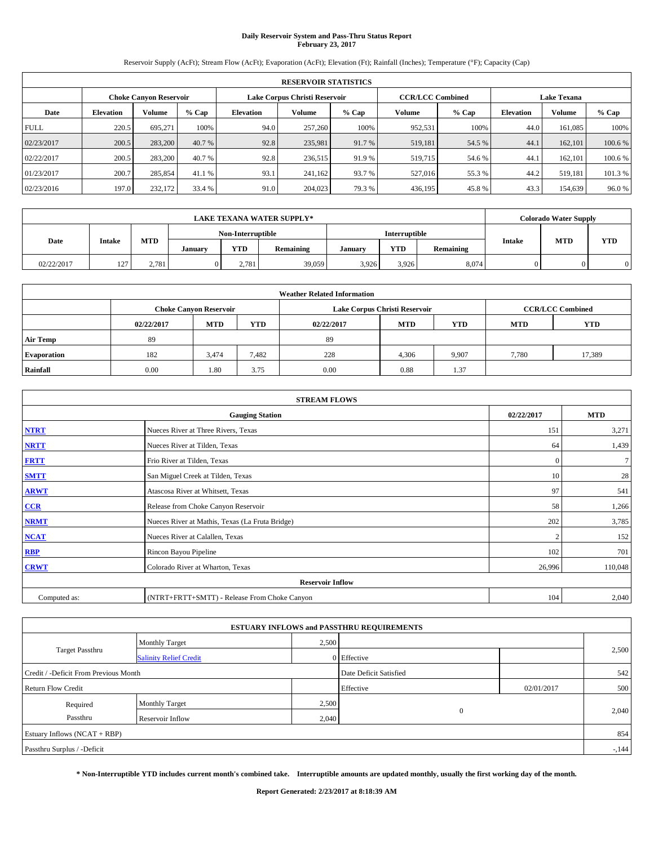## **Daily Reservoir System and Pass-Thru Status Report February 23, 2017**

Reservoir Supply (AcFt); Stream Flow (AcFt); Evaporation (AcFt); Elevation (Ft); Rainfall (Inches); Temperature (°F); Capacity (Cap)

|             | <b>RESERVOIR STATISTICS</b> |                        |         |                  |                               |         |                         |         |                  |                    |         |  |
|-------------|-----------------------------|------------------------|---------|------------------|-------------------------------|---------|-------------------------|---------|------------------|--------------------|---------|--|
|             |                             | Choke Canvon Reservoir |         |                  | Lake Corpus Christi Reservoir |         | <b>CCR/LCC Combined</b> |         |                  | <b>Lake Texana</b> |         |  |
| Date        | <b>Elevation</b>            | Volume                 | $%$ Cap | <b>Elevation</b> | Volume                        | $%$ Cap | Volume                  | $%$ Cap | <b>Elevation</b> | <b>Volume</b>      | % Cap   |  |
| <b>FULL</b> | 220.5                       | 695.271                | 100%    | 94.0             | 257,260                       | 100%    | 952,531                 | 100%    | 44.0             | 161.085            | 100%    |  |
| 02/23/2017  | 200.5                       | 283,200                | 40.7 %  | 92.8             | 235,981                       | 91.7 %  | 519,181                 | 54.5 %  | 44.1             | 162,101            | 100.6 % |  |
| 02/22/2017  | 200.5                       | 283,200                | 40.7 %  | 92.8             | 236,515                       | 91.9 %  | 519,715                 | 54.6 %  | 44.              | 162,101            | 100.6 % |  |
| 01/23/2017  | 200.7                       | 285,854                | 41.1 %  | 93.1             | 241,162                       | 93.7 %  | 527,016                 | 55.3 %  | 44.2             | 519.181            | 101.3 % |  |
| 02/23/2016  | 197.0                       | 232,172                | 33.4 %  | 91.0             | 204,023                       | 79.3 %  | 436,195                 | 45.8%   | 43.3             | 154,639            | 96.0%   |  |

| <b>LAKE TEXANA WATER SUPPLY*</b> |        |            |                   |            |           |               | <b>Colorado Water Supply</b> |           |               |            |            |
|----------------------------------|--------|------------|-------------------|------------|-----------|---------------|------------------------------|-----------|---------------|------------|------------|
|                                  |        |            | Non-Interruptible |            |           | Interruptible |                              |           |               |            |            |
| Date                             | Intake | <b>MTD</b> | January           | <b>YTD</b> | Remaining | January       | YTD                          | Remaining | <b>Intake</b> | <b>MTD</b> | <b>YTD</b> |
| 02/22/2017                       | 127    | 2,781      |                   | 2.781      | 39,059    | 3.926         | 3,926                        | 8,074     |               |            |            |

| <b>Weather Related Information</b> |            |                               |            |            |                               |                         |            |            |  |  |
|------------------------------------|------------|-------------------------------|------------|------------|-------------------------------|-------------------------|------------|------------|--|--|
|                                    |            | <b>Choke Canyon Reservoir</b> |            |            | Lake Corpus Christi Reservoir | <b>CCR/LCC Combined</b> |            |            |  |  |
|                                    | 02/22/2017 | <b>MTD</b>                    | <b>YTD</b> | 02/22/2017 | <b>MTD</b>                    | <b>YTD</b>              | <b>MTD</b> | <b>YTD</b> |  |  |
| <b>Air Temp</b>                    | 89         |                               |            | 89         |                               |                         |            |            |  |  |
| <b>Evaporation</b>                 | 182        | 3.474                         | 7,482      | 228        | 4,306                         | 9,907                   | 7,780      | 17,389     |  |  |
| Rainfall                           | 0.00       | 1.80                          | 3.75       | 0.00       | 0.88                          | 1.37                    |            |            |  |  |

| <b>STREAM FLOWS</b> |                                                 |              |         |  |  |  |  |  |  |
|---------------------|-------------------------------------------------|--------------|---------|--|--|--|--|--|--|
|                     | <b>Gauging Station</b>                          |              |         |  |  |  |  |  |  |
| <b>NTRT</b>         | Nueces River at Three Rivers, Texas             |              |         |  |  |  |  |  |  |
| <b>NRTT</b>         | Nueces River at Tilden, Texas                   | 64           | 1,439   |  |  |  |  |  |  |
| <b>FRTT</b>         | Frio River at Tilden, Texas                     | $\mathbf{0}$ | $\tau$  |  |  |  |  |  |  |
| <b>SMTT</b>         | San Miguel Creek at Tilden, Texas               | 10           | 28      |  |  |  |  |  |  |
| <b>ARWT</b>         | Atascosa River at Whitsett, Texas               | 97           | 541     |  |  |  |  |  |  |
| $CCR$               | Release from Choke Canyon Reservoir             | 58           | 1,266   |  |  |  |  |  |  |
| <b>NRMT</b>         | Nueces River at Mathis, Texas (La Fruta Bridge) | 202          | 3,785   |  |  |  |  |  |  |
| <b>NCAT</b>         | Nueces River at Calallen, Texas                 | $\bigcap$    | 152     |  |  |  |  |  |  |
| RBP                 | Rincon Bayou Pipeline                           | 102          | 701     |  |  |  |  |  |  |
| <b>CRWT</b>         | Colorado River at Wharton, Texas                | 26,996       | 110,048 |  |  |  |  |  |  |
|                     |                                                 |              |         |  |  |  |  |  |  |
| Computed as:        | (NTRT+FRTT+SMTT) - Release From Choke Canyon    | 104          | 2,040   |  |  |  |  |  |  |

| <b>ESTUARY INFLOWS and PASSTHRU REQUIREMENTS</b> |                               |                        |                |            |        |  |  |  |  |  |
|--------------------------------------------------|-------------------------------|------------------------|----------------|------------|--------|--|--|--|--|--|
|                                                  | <b>Monthly Target</b>         | 2,500                  |                |            |        |  |  |  |  |  |
| <b>Target Passthru</b>                           | <b>Salinity Relief Credit</b> |                        | 0 Effective    |            | 2,500  |  |  |  |  |  |
| Credit / -Deficit From Previous Month            |                               | Date Deficit Satisfied |                | 542        |        |  |  |  |  |  |
| <b>Return Flow Credit</b>                        |                               |                        | Effective      | 02/01/2017 | 500    |  |  |  |  |  |
| Required                                         | <b>Monthly Target</b>         | 2,500                  |                |            |        |  |  |  |  |  |
| Passthru                                         | Reservoir Inflow              | 2,040                  | $\overline{0}$ |            | 2,040  |  |  |  |  |  |
| Estuary Inflows $(NCAT + RBP)$                   |                               |                        |                |            | 854    |  |  |  |  |  |
| Passthru Surplus / -Deficit                      |                               |                        |                |            | $-144$ |  |  |  |  |  |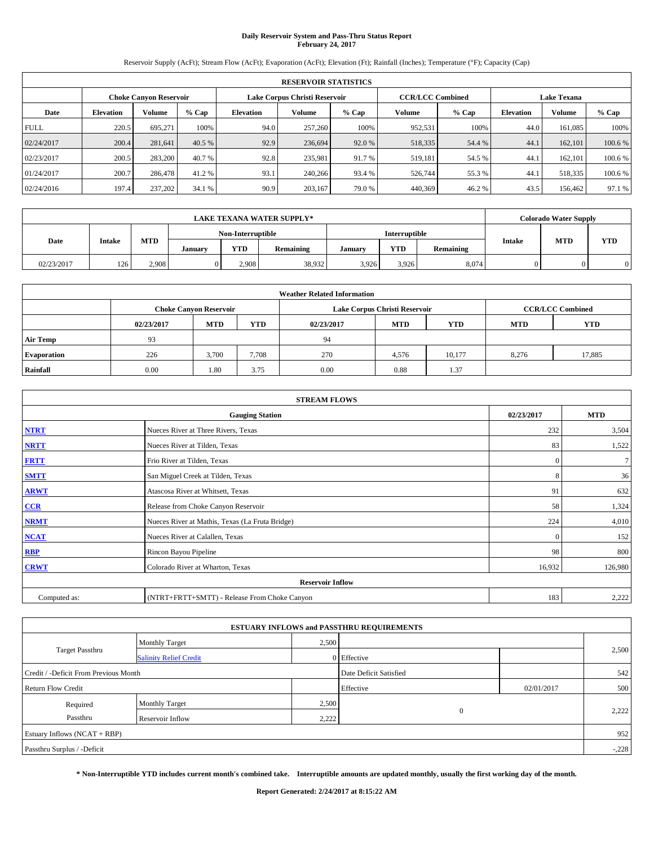## **Daily Reservoir System and Pass-Thru Status Report February 24, 2017**

Reservoir Supply (AcFt); Stream Flow (AcFt); Evaporation (AcFt); Elevation (Ft); Rainfall (Inches); Temperature (°F); Capacity (Cap)

|             | <b>RESERVOIR STATISTICS</b> |                        |         |                  |                               |         |                         |         |                  |                    |         |  |
|-------------|-----------------------------|------------------------|---------|------------------|-------------------------------|---------|-------------------------|---------|------------------|--------------------|---------|--|
|             |                             | Choke Canvon Reservoir |         |                  | Lake Corpus Christi Reservoir |         | <b>CCR/LCC Combined</b> |         |                  | <b>Lake Texana</b> |         |  |
| Date        | <b>Elevation</b>            | Volume                 | $%$ Cap | <b>Elevation</b> | Volume                        | $%$ Cap | Volume                  | $%$ Cap | <b>Elevation</b> | <b>Volume</b>      | % Cap   |  |
| <b>FULL</b> | 220.5                       | 695.271                | 100%    | 94.0             | 257,260                       | 100%    | 952,531                 | 100%    | 44.0             | 161.085            | 100%    |  |
| 02/24/2017  | 200.4                       | 281.641                | 40.5 %  | 92.9             | 236,694                       | 92.0 %  | 518,335                 | 54.4 %  | 44.1             | 162,101            | 100.6 % |  |
| 02/23/2017  | 200.5                       | 283,200                | 40.7 %  | 92.8             | 235,981                       | 91.7 %  | 519,181                 | 54.5 %  | 44.              | 162,101            | 100.6 % |  |
| 01/24/2017  | 200.7                       | 286,478                | 41.2 %  | 93.1             | 240,266                       | 93.4 %  | 526,744                 | 55.3 %  | 44.1             | 518,335            | 100.6 % |  |
| 02/24/2016  | 197.4                       | 237,202                | 34.1 %  | 90.9             | 203,167                       | 79.0%   | 440,369                 | 46.2%   | 43.5             | 156,462            | 97.1 %  |  |

| <b>LAKE TEXANA WATER SUPPLY*</b> |        |            |                   |            |           |               | <b>Colorado Water Supply</b> |           |               |            |            |
|----------------------------------|--------|------------|-------------------|------------|-----------|---------------|------------------------------|-----------|---------------|------------|------------|
|                                  |        |            | Non-Interruptible |            |           | Interruptible |                              |           |               |            |            |
| Date                             | Intake | <b>MTD</b> | January           | <b>YTD</b> | Remaining | January       | YTD                          | Remaining | <b>Intake</b> | <b>MTD</b> | <b>YTD</b> |
| 02/23/2017                       | 126    | 2,908      |                   | 2.908      | 38,932    | 3,926         | 3,926                        | 8,074     |               |            |            |

| <b>Weather Related Information</b> |            |                               |            |            |                               |                         |            |            |  |  |
|------------------------------------|------------|-------------------------------|------------|------------|-------------------------------|-------------------------|------------|------------|--|--|
|                                    |            | <b>Choke Canyon Reservoir</b> |            |            | Lake Corpus Christi Reservoir | <b>CCR/LCC Combined</b> |            |            |  |  |
|                                    | 02/23/2017 | <b>MTD</b>                    | <b>YTD</b> | 02/23/2017 | <b>MTD</b>                    | <b>YTD</b>              | <b>MTD</b> | <b>YTD</b> |  |  |
| <b>Air Temp</b>                    | 93         |                               |            | 94         |                               |                         |            |            |  |  |
| <b>Evaporation</b>                 | 226        | 3,700                         | 7.708      | 270        | 4,576                         | 10,177                  | 8.276      | 17,885     |  |  |
| Rainfall                           | 0.00       | 1.80                          | 3.75       | 0.00       | 0.88                          | 1.37                    |            |            |  |  |

| <b>STREAM FLOWS</b> |                                                 |              |         |  |  |  |  |  |  |
|---------------------|-------------------------------------------------|--------------|---------|--|--|--|--|--|--|
|                     | <b>Gauging Station</b>                          |              |         |  |  |  |  |  |  |
| <b>NTRT</b>         | Nueces River at Three Rivers, Texas             | 232          | 3,504   |  |  |  |  |  |  |
| <b>NRTT</b>         | Nueces River at Tilden, Texas                   | 83           | 1,522   |  |  |  |  |  |  |
| <b>FRTT</b>         | Frio River at Tilden, Texas                     | $\mathbf{0}$ | $\tau$  |  |  |  |  |  |  |
| <b>SMTT</b>         | San Miguel Creek at Tilden, Texas               | 8            | 36      |  |  |  |  |  |  |
| <b>ARWT</b>         | Atascosa River at Whitsett, Texas               | 91           | 632     |  |  |  |  |  |  |
| $CCR$               | Release from Choke Canyon Reservoir             | 58           | 1,324   |  |  |  |  |  |  |
| <b>NRMT</b>         | Nueces River at Mathis, Texas (La Fruta Bridge) | 224          | 4,010   |  |  |  |  |  |  |
| <b>NCAT</b>         | Nueces River at Calallen, Texas                 | $\mathbf{0}$ | 152     |  |  |  |  |  |  |
| RBP                 | Rincon Bayou Pipeline                           | 98           | 800     |  |  |  |  |  |  |
| <b>CRWT</b>         | Colorado River at Wharton, Texas                | 16,932       | 126,980 |  |  |  |  |  |  |
|                     |                                                 |              |         |  |  |  |  |  |  |
| Computed as:        | (NTRT+FRTT+SMTT) - Release From Choke Canyon    | 183          | 2,222   |  |  |  |  |  |  |

|                                       |                               |       | <b>ESTUARY INFLOWS and PASSTHRU REQUIREMENTS</b> |            |         |  |
|---------------------------------------|-------------------------------|-------|--------------------------------------------------|------------|---------|--|
|                                       | Monthly Target                | 2,500 |                                                  |            |         |  |
| <b>Target Passthru</b>                | <b>Salinity Relief Credit</b> |       | 0 Effective                                      |            | 2,500   |  |
| Credit / -Deficit From Previous Month |                               |       | Date Deficit Satisfied                           |            | 542     |  |
| <b>Return Flow Credit</b>             |                               |       | Effective                                        | 02/01/2017 | 500     |  |
| Required                              | Monthly Target                | 2,500 |                                                  |            |         |  |
| Passthru                              | <b>Reservoir Inflow</b>       | 2,222 | $\mathbf{0}$                                     |            | 2,222   |  |
| Estuary Inflows $(NCAT + RBP)$        |                               |       |                                                  |            | 952     |  |
| Passthru Surplus / -Deficit           |                               |       |                                                  |            | $-.228$ |  |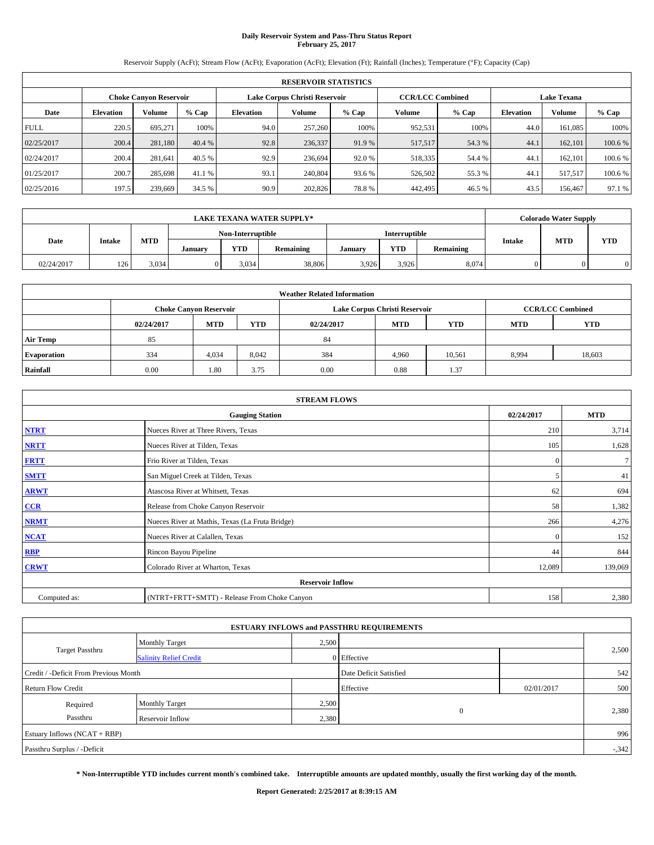## **Daily Reservoir System and Pass-Thru Status Report February 25, 2017**

Reservoir Supply (AcFt); Stream Flow (AcFt); Evaporation (AcFt); Elevation (Ft); Rainfall (Inches); Temperature (°F); Capacity (Cap)

|             | <b>RESERVOIR STATISTICS</b> |                               |         |                                                          |         |         |         |         |                    |               |         |  |
|-------------|-----------------------------|-------------------------------|---------|----------------------------------------------------------|---------|---------|---------|---------|--------------------|---------------|---------|--|
|             |                             | <b>Choke Canyon Reservoir</b> |         | Lake Corpus Christi Reservoir<br><b>CCR/LCC Combined</b> |         |         |         |         | <b>Lake Texana</b> |               |         |  |
| Date        | <b>Elevation</b>            | Volume                        | $%$ Cap | <b>Elevation</b>                                         | Volume  | $%$ Cap | Volume  | $%$ Cap | <b>Elevation</b>   | <b>Volume</b> | % Cap   |  |
| <b>FULL</b> | 220.5                       | 695.271                       | 100%    | 94.0                                                     | 257,260 | 100%    | 952,531 | 100%    | 44.0               | 161.085       | 100%    |  |
| 02/25/2017  | 200.4                       | 281.180                       | 40.4 %  | 92.8                                                     | 236,337 | 91.9 %  | 517,517 | 54.3 %  | 44.1               | 162,101       | 100.6%  |  |
| 02/24/2017  | 200.4                       | 281.641                       | 40.5 %  | 92.9                                                     | 236,694 | 92.0 %  | 518,335 | 54.4 %  | 44.                | 162,101       | 100.6 % |  |
| 01/25/2017  | 200.7                       | 285,698                       | 41.1 %  | 93.1                                                     | 240,804 | 93.6 %  | 526,502 | 55.3 %  | 44.1               | 517.517       | 100.6 % |  |
| 02/25/2016  | 197.5                       | 239,669                       | 34.5 %  | 90.9                                                     | 202,826 | 78.8%   | 442,495 | 46.5 %  | 43.5               | 156,467       | 97.1 %  |  |

|            | <b>LAKE TEXANA WATER SUPPLY*</b> |            |         |                   |           |         |               |           |                             | <b>Colorado Water Supply</b> |            |  |
|------------|----------------------------------|------------|---------|-------------------|-----------|---------|---------------|-----------|-----------------------------|------------------------------|------------|--|
| Date       |                                  |            |         | Non-Interruptible |           |         | Interruptible |           |                             |                              |            |  |
|            | Intake                           | <b>MTD</b> | January | <b>YTD</b>        | Remaining | January | YTD           | Remaining | <b>MTD</b><br><b>Intake</b> |                              | <b>YTD</b> |  |
| 02/24/2017 | 126                              | 3,034      |         | 3.034             | 38,806    | 3.926   | 3,926         | 8,074     |                             |                              |            |  |

| <b>Weather Related Information</b> |                                                                                                |                               |       |      |                               |                         |       |            |  |  |
|------------------------------------|------------------------------------------------------------------------------------------------|-------------------------------|-------|------|-------------------------------|-------------------------|-------|------------|--|--|
|                                    |                                                                                                | <b>Choke Canyon Reservoir</b> |       |      | Lake Corpus Christi Reservoir | <b>CCR/LCC Combined</b> |       |            |  |  |
|                                    | <b>YTD</b><br><b>MTD</b><br><b>MTD</b><br><b>YTD</b><br><b>MTD</b><br>02/24/2017<br>02/24/2017 |                               |       |      |                               |                         |       | <b>YTD</b> |  |  |
| <b>Air Temp</b>                    | 85                                                                                             |                               |       | 84   |                               |                         |       |            |  |  |
| <b>Evaporation</b>                 | 334                                                                                            | 4,034                         | 8,042 | 384  | 4,960                         | 10,561                  | 8,994 | 18,603     |  |  |
| Rainfall                           | 0.00                                                                                           | 1.80                          | 3.75  | 0.00 | 0.88                          | 1.37                    |       |            |  |  |

| <b>STREAM FLOWS</b> |                                                 |              |            |  |  |  |  |  |  |  |
|---------------------|-------------------------------------------------|--------------|------------|--|--|--|--|--|--|--|
|                     | <b>Gauging Station</b>                          | 02/24/2017   | <b>MTD</b> |  |  |  |  |  |  |  |
| <b>NTRT</b>         | Nueces River at Three Rivers, Texas             | 210          | 3,714      |  |  |  |  |  |  |  |
| <b>NRTT</b>         | Nueces River at Tilden, Texas                   | 105          | 1,628      |  |  |  |  |  |  |  |
| <b>FRTT</b>         | Frio River at Tilden, Texas                     | $\mathbf{0}$ | $\tau$     |  |  |  |  |  |  |  |
| <b>SMTT</b>         | San Miguel Creek at Tilden, Texas               | 5            | 41         |  |  |  |  |  |  |  |
| <b>ARWT</b>         | Atascosa River at Whitsett, Texas               | 62           | 694        |  |  |  |  |  |  |  |
| CCR                 | Release from Choke Canyon Reservoir             | 58           | 1,382      |  |  |  |  |  |  |  |
| <b>NRMT</b>         | Nueces River at Mathis, Texas (La Fruta Bridge) | 266          | 4,276      |  |  |  |  |  |  |  |
| NCAT                | Nueces River at Calallen, Texas                 | $\mathbf{0}$ | 152        |  |  |  |  |  |  |  |
| <b>RBP</b>          | Rincon Bayou Pipeline                           | 44           | 844        |  |  |  |  |  |  |  |
| <b>CRWT</b>         | Colorado River at Wharton, Texas                | 12,089       | 139,069    |  |  |  |  |  |  |  |
|                     | <b>Reservoir Inflow</b>                         |              |            |  |  |  |  |  |  |  |
| Computed as:        | (NTRT+FRTT+SMTT) - Release From Choke Canyon    |              |            |  |  |  |  |  |  |  |

| <b>ESTUARY INFLOWS and PASSTHRU REQUIREMENTS</b> |                               |                        |             |            |        |  |  |  |  |  |
|--------------------------------------------------|-------------------------------|------------------------|-------------|------------|--------|--|--|--|--|--|
|                                                  | Monthly Target                | 2,500                  |             |            |        |  |  |  |  |  |
| <b>Target Passthru</b>                           | <b>Salinity Relief Credit</b> |                        | 0 Effective |            | 2,500  |  |  |  |  |  |
| Credit / -Deficit From Previous Month            |                               | Date Deficit Satisfied |             | 542        |        |  |  |  |  |  |
| <b>Return Flow Credit</b>                        |                               |                        | Effective   | 02/01/2017 | 500    |  |  |  |  |  |
| Required                                         | <b>Monthly Target</b>         | 2,500                  |             |            |        |  |  |  |  |  |
| Passthru                                         | Reservoir Inflow              | 2,380                  | $\theta$    |            | 2,380  |  |  |  |  |  |
| Estuary Inflows $(NCAT + RBP)$                   |                               |                        |             |            | 996    |  |  |  |  |  |
| Passthru Surplus / -Deficit                      |                               |                        |             |            | $-342$ |  |  |  |  |  |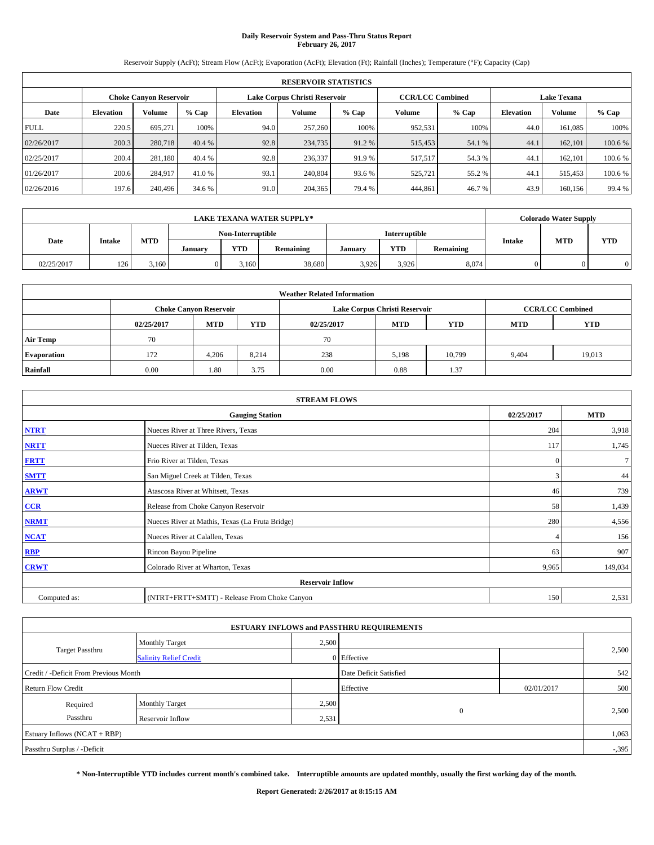## **Daily Reservoir System and Pass-Thru Status Report February 26, 2017**

Reservoir Supply (AcFt); Stream Flow (AcFt); Evaporation (AcFt); Elevation (Ft); Rainfall (Inches); Temperature (°F); Capacity (Cap)

|             | <b>RESERVOIR STATISTICS</b> |                        |         |                                                          |         |         |         |         |                    |               |         |
|-------------|-----------------------------|------------------------|---------|----------------------------------------------------------|---------|---------|---------|---------|--------------------|---------------|---------|
|             |                             | Choke Canvon Reservoir |         | <b>CCR/LCC Combined</b><br>Lake Corpus Christi Reservoir |         |         |         |         | <b>Lake Texana</b> |               |         |
| Date        | <b>Elevation</b>            | Volume                 | $%$ Cap | <b>Elevation</b>                                         | Volume  | $%$ Cap | Volume  | $%$ Cap | <b>Elevation</b>   | <b>Volume</b> | % Cap   |
| <b>FULL</b> | 220.5                       | 695.271                | 100%    | 94.0                                                     | 257,260 | 100%    | 952,531 | 100%    | 44.0               | 161.085       | 100%    |
| 02/26/2017  | 200.3                       | 280,718                | 40.4 %  | 92.8                                                     | 234,735 | 91.2 %  | 515,453 | 54.1 %  | 44.1               | 162,101       | 100.6 % |
| 02/25/2017  | 200.4                       | 281,180                | 40.4 %  | 92.8                                                     | 236,337 | 91.9 %  | 517,517 | 54.3 %  | 44.                | 162,101       | 100.6 % |
| 01/26/2017  | 200.6                       | 284,917                | 41.0 %  | 93.1                                                     | 240,804 | 93.6 %  | 525,721 | 55.2 %  | 44.                | 515,453       | 100.6 % |
| 02/26/2016  | 197.6                       | 240,496                | 34.6 %  | 91.0                                                     | 204,365 | 79.4 %  | 444.861 | 46.7%   | 43.9               | 160,156       | 99.4 %  |

|            | <b>LAKE TEXANA WATER SUPPLY*</b> |            |         |                   |           |         |               |           |               |            | <b>Colorado Water Supply</b> |  |  |
|------------|----------------------------------|------------|---------|-------------------|-----------|---------|---------------|-----------|---------------|------------|------------------------------|--|--|
|            |                                  |            |         | Non-Interruptible |           |         | Interruptible |           |               |            |                              |  |  |
| Date       | Intake                           | <b>MTD</b> | January | <b>YTD</b>        | Remaining | January | YTD           | Remaining | <b>Intake</b> | <b>MTD</b> | <b>YTD</b>                   |  |  |
| 02/25/2017 | 126                              | 3,160      |         | 3.160             | 38,680    | 3,926   | 3,926         | 8,074     |               |            |                              |  |  |

| <b>Weather Related Information</b> |            |                                                                                  |       |      |                               |                         |       |        |  |  |
|------------------------------------|------------|----------------------------------------------------------------------------------|-------|------|-------------------------------|-------------------------|-------|--------|--|--|
|                                    |            | <b>Choke Canvon Reservoir</b>                                                    |       |      | Lake Corpus Christi Reservoir | <b>CCR/LCC Combined</b> |       |        |  |  |
|                                    | 02/25/2017 | <b>YTD</b><br><b>MTD</b><br><b>MTD</b><br><b>YTD</b><br><b>MTD</b><br>02/25/2017 |       |      |                               |                         |       |        |  |  |
| <b>Air Temp</b>                    | 70         |                                                                                  |       | 70   |                               |                         |       |        |  |  |
| <b>Evaporation</b>                 | 172        | 4.206                                                                            | 8,214 | 238  | 5,198                         | 10,799                  | 9,404 | 19,013 |  |  |
| Rainfall                           | 0.00       | 1.80                                                                             | 3.75  | 0.00 | 0.88                          | 1.37                    |       |        |  |  |

| <b>STREAM FLOWS</b> |                                                 |                |            |  |  |  |  |  |  |  |
|---------------------|-------------------------------------------------|----------------|------------|--|--|--|--|--|--|--|
|                     | <b>Gauging Station</b>                          | 02/25/2017     | <b>MTD</b> |  |  |  |  |  |  |  |
| <b>NTRT</b>         | Nueces River at Three Rivers, Texas             | 204            | 3,918      |  |  |  |  |  |  |  |
| <b>NRTT</b>         | Nueces River at Tilden, Texas                   | 117            | 1,745      |  |  |  |  |  |  |  |
| <b>FRTT</b>         | Frio River at Tilden, Texas                     | $\mathbf{0}$   | $\tau$     |  |  |  |  |  |  |  |
| <b>SMTT</b>         | San Miguel Creek at Tilden, Texas               | 3              | 44         |  |  |  |  |  |  |  |
| <b>ARWT</b>         | Atascosa River at Whitsett, Texas               | 46             | 739        |  |  |  |  |  |  |  |
| $CCR$               | Release from Choke Canyon Reservoir             | 58             | 1,439      |  |  |  |  |  |  |  |
| <b>NRMT</b>         | Nueces River at Mathis, Texas (La Fruta Bridge) | 280            | 4,556      |  |  |  |  |  |  |  |
| <b>NCAT</b>         | Nueces River at Calallen, Texas                 | $\overline{4}$ | 156        |  |  |  |  |  |  |  |
| <b>RBP</b>          | Rincon Bayou Pipeline                           | 63             | 907        |  |  |  |  |  |  |  |
| <b>CRWT</b>         | Colorado River at Wharton, Texas                | 9,965          | 149,034    |  |  |  |  |  |  |  |
|                     |                                                 |                |            |  |  |  |  |  |  |  |
| Computed as:        | (NTRT+FRTT+SMTT) - Release From Choke Canyon    |                |            |  |  |  |  |  |  |  |

|                                       |                               |       | <b>ESTUARY INFLOWS and PASSTHRU REQUIREMENTS</b> |            |          |
|---------------------------------------|-------------------------------|-------|--------------------------------------------------|------------|----------|
|                                       | Monthly Target                | 2,500 |                                                  |            |          |
| <b>Target Passthru</b>                | <b>Salinity Relief Credit</b> |       | 0 Effective                                      |            | 2,500    |
| Credit / -Deficit From Previous Month |                               |       | Date Deficit Satisfied                           |            | 542      |
| <b>Return Flow Credit</b>             |                               |       | Effective                                        | 02/01/2017 | 500      |
| Required                              | Monthly Target                | 2,500 |                                                  |            |          |
| Passthru                              | <b>Reservoir Inflow</b>       | 2,531 | $\mathbf{0}$                                     |            | 2,500    |
| Estuary Inflows $(NCAT + RBP)$        |                               |       |                                                  |            | 1,063    |
| Passthru Surplus / -Deficit           |                               |       |                                                  |            | $-0.395$ |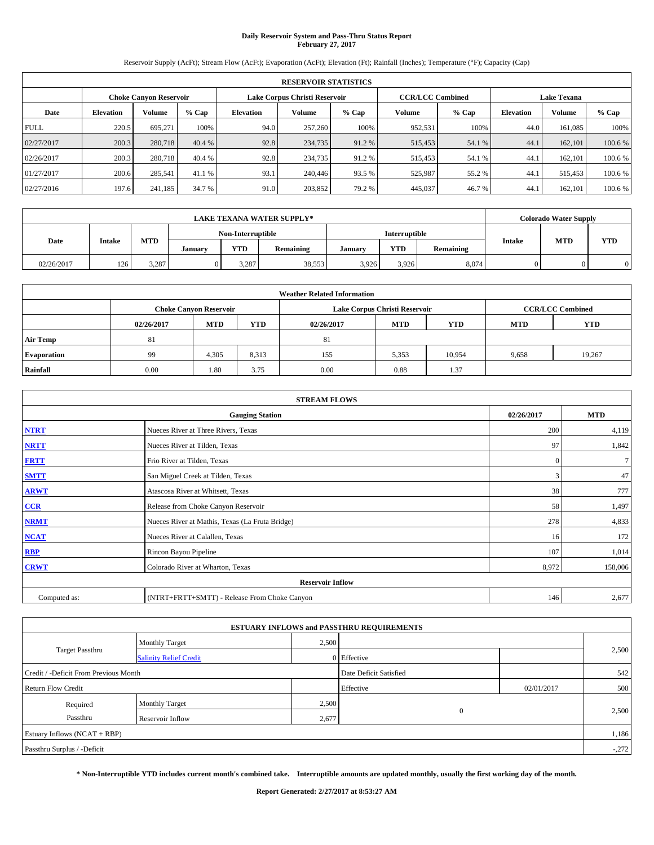## **Daily Reservoir System and Pass-Thru Status Report February 27, 2017**

Reservoir Supply (AcFt); Stream Flow (AcFt); Evaporation (AcFt); Elevation (Ft); Rainfall (Inches); Temperature (°F); Capacity (Cap)

|             | <b>RESERVOIR STATISTICS</b> |                               |         |                  |                               |         |                         |         |                    |         |         |
|-------------|-----------------------------|-------------------------------|---------|------------------|-------------------------------|---------|-------------------------|---------|--------------------|---------|---------|
|             |                             | <b>Choke Canvon Reservoir</b> |         |                  | Lake Corpus Christi Reservoir |         | <b>CCR/LCC Combined</b> |         | <b>Lake Texana</b> |         |         |
| Date        | <b>Elevation</b>            | Volume                        | $%$ Cap | <b>Elevation</b> | <b>Volume</b>                 | $%$ Cap | Volume                  | $%$ Cap | <b>Elevation</b>   | Volume  | % Cap   |
| <b>FULL</b> | 220.5                       | 695.271                       | 100%    | 94.0             | 257,260                       | 100%    | 952,531                 | 100%    | 44.0               | 161,085 | 100%    |
| 02/27/2017  | 200.3                       | 280,718                       | 40.4 %  | 92.8             | 234,735                       | 91.2 %  | 515,453                 | 54.1 %  | 44.1               | 162,101 | 100.6 % |
| 02/26/2017  | 200.3                       | 280,718                       | 40.4 %  | 92.8             | 234,735                       | 91.2 %  | 515,453                 | 54.1 %  | 44.1               | 162,101 | 100.6%  |
| 01/27/2017  | 200.6                       | 285.541                       | 41.1 %  | 93.1             | 240,446                       | 93.5 %  | 525,987                 | 55.2 %  | 44.1               | 515,453 | 100.6 % |
| 02/27/2016  | 197.6                       | 241,185                       | 34.7 %  | 91.0             | 203,852                       | 79.2 %  | 445,037                 | 46.7%   | 44.1               | 162,101 | 100.6%  |

|            | <b>LAKE TEXANA WATER SUPPLY*</b> |            |         |                   |           |         |               |           |               | <b>Colorado Water Supply</b> |            |  |
|------------|----------------------------------|------------|---------|-------------------|-----------|---------|---------------|-----------|---------------|------------------------------|------------|--|
|            |                                  |            |         | Non-Interruptible |           |         | Interruptible |           |               |                              |            |  |
| Date       | Intake                           | <b>MTD</b> | January | <b>YTD</b>        | Remaining | January | YTD           | Remaining | <b>Intake</b> | <b>MTD</b>                   | <b>YTD</b> |  |
| 02/26/2017 | 126                              | 3,287      |         | 3.287             | 38,553    | 3,926   | 3,926         | 8,074     |               |                              |            |  |

| <b>Weather Related Information</b> |                               |            |            |            |                               |                         |            |            |
|------------------------------------|-------------------------------|------------|------------|------------|-------------------------------|-------------------------|------------|------------|
|                                    | <b>Choke Canyon Reservoir</b> |            |            |            | Lake Corpus Christi Reservoir | <b>CCR/LCC Combined</b> |            |            |
|                                    | 02/26/2017                    | <b>MTD</b> | <b>YTD</b> | 02/26/2017 | <b>MTD</b>                    | <b>YTD</b>              | <b>MTD</b> | <b>YTD</b> |
| <b>Air Temp</b>                    | 81                            |            |            | 81         |                               |                         |            |            |
| <b>Evaporation</b>                 | 99                            | 4,305      | 8,313      | 155        | 5,353                         | 10,954                  | 9,658      | 19,267     |
| Rainfall                           | 0.00                          | 1.80       | 3.75       | 0.00       | 0.88                          | 1.37                    |            |            |

| <b>STREAM FLOWS</b> |                                                 |              |                |  |  |  |  |
|---------------------|-------------------------------------------------|--------------|----------------|--|--|--|--|
|                     | 02/26/2017                                      | <b>MTD</b>   |                |  |  |  |  |
| <b>NTRT</b>         | Nueces River at Three Rivers, Texas             | 200          | 4,119          |  |  |  |  |
| <b>NRTT</b>         | Nueces River at Tilden, Texas                   | 97           | 1,842          |  |  |  |  |
| <b>FRTT</b>         | Frio River at Tilden, Texas                     | $\mathbf{0}$ | $\overline{7}$ |  |  |  |  |
| <b>SMTT</b>         | San Miguel Creek at Tilden, Texas               | 3            | 47             |  |  |  |  |
| <b>ARWT</b>         | Atascosa River at Whitsett, Texas               | 38           | 777            |  |  |  |  |
| CCR                 | Release from Choke Canyon Reservoir             | 58           | 1,497          |  |  |  |  |
| <b>NRMT</b>         | Nueces River at Mathis, Texas (La Fruta Bridge) | 278          | 4,833          |  |  |  |  |
| <b>NCAT</b>         | Nueces River at Calallen, Texas                 | 16           | 172            |  |  |  |  |
| <b>RBP</b>          | Rincon Bayou Pipeline                           | 107          | 1,014          |  |  |  |  |
| <b>CRWT</b>         | Colorado River at Wharton, Texas                | 8,972        | 158,006        |  |  |  |  |
|                     | <b>Reservoir Inflow</b>                         |              |                |  |  |  |  |
| Computed as:        | (NTRT+FRTT+SMTT) - Release From Choke Canyon    | 146          | 2,677          |  |  |  |  |

|                                       |                               |       | <b>ESTUARY INFLOWS and PASSTHRU REQUIREMENTS</b> |            |         |
|---------------------------------------|-------------------------------|-------|--------------------------------------------------|------------|---------|
|                                       | Monthly Target                | 2,500 |                                                  |            |         |
| <b>Target Passthru</b>                | <b>Salinity Relief Credit</b> |       | 0 Effective                                      |            | 2,500   |
| Credit / -Deficit From Previous Month |                               |       | Date Deficit Satisfied                           |            | 542     |
| <b>Return Flow Credit</b>             |                               |       | Effective                                        | 02/01/2017 | 500     |
| Required                              | Monthly Target                | 2,500 |                                                  |            | 2,500   |
| Passthru                              | <b>Reservoir Inflow</b>       | 2,677 | $\mathbf{0}$                                     |            |         |
| Estuary Inflows $(NCAT + RBP)$        |                               |       |                                                  |            |         |
| Passthru Surplus / -Deficit           |                               |       |                                                  |            | $-.272$ |